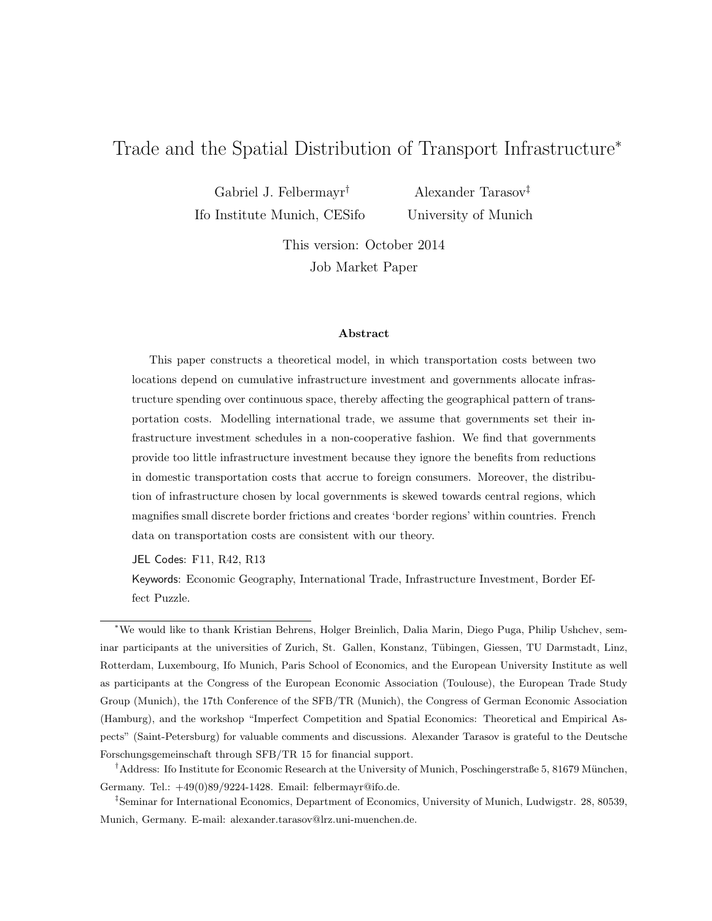# Trade and the Spatial Distribution of Transport Infrastructure<sup>∗</sup>

Gabriel J. Felbermayr† Ifo Institute Munich, CESifo

Alexander Tarasov‡ University of Munich

This version: October 2014 Job Market Paper

#### Abstract

This paper constructs a theoretical model, in which transportation costs between two locations depend on cumulative infrastructure investment and governments allocate infrastructure spending over continuous space, thereby affecting the geographical pattern of transportation costs. Modelling international trade, we assume that governments set their infrastructure investment schedules in a non-cooperative fashion. We find that governments provide too little infrastructure investment because they ignore the benefits from reductions in domestic transportation costs that accrue to foreign consumers. Moreover, the distribution of infrastructure chosen by local governments is skewed towards central regions, which magnifies small discrete border frictions and creates 'border regions' within countries. French data on transportation costs are consistent with our theory.

JEL Codes: F11, R42, R13

Keywords: Economic Geography, International Trade, Infrastructure Investment, Border Effect Puzzle.

<sup>∗</sup>We would like to thank Kristian Behrens, Holger Breinlich, Dalia Marin, Diego Puga, Philip Ushchev, seminar participants at the universities of Zurich, St. Gallen, Konstanz, Tübingen, Giessen, TU Darmstadt, Linz, Rotterdam, Luxembourg, Ifo Munich, Paris School of Economics, and the European University Institute as well as participants at the Congress of the European Economic Association (Toulouse), the European Trade Study Group (Munich), the 17th Conference of the SFB/TR (Munich), the Congress of German Economic Association (Hamburg), and the workshop "Imperfect Competition and Spatial Economics: Theoretical and Empirical Aspects" (Saint-Petersburg) for valuable comments and discussions. Alexander Tarasov is grateful to the Deutsche Forschungsgemeinschaft through SFB/TR 15 for financial support.

<sup>&</sup>lt;sup>†</sup>Address: Ifo Institute for Economic Research at the University of Munich, Poschingerstraße 5, 81679 München, Germany. Tel.: +49(0)89/9224-1428. Email: felbermayr@ifo.de.

<sup>‡</sup>Seminar for International Economics, Department of Economics, University of Munich, Ludwigstr. 28, 80539, Munich, Germany. E-mail: alexander.tarasov@lrz.uni-muenchen.de.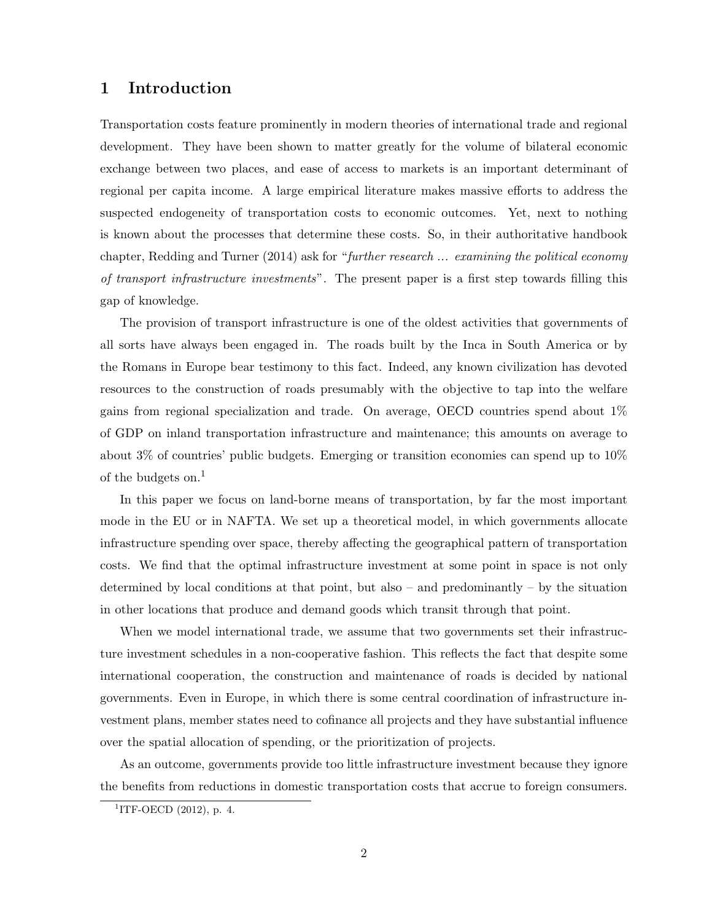## 1 Introduction

Transportation costs feature prominently in modern theories of international trade and regional development. They have been shown to matter greatly for the volume of bilateral economic exchange between two places, and ease of access to markets is an important determinant of regional per capita income. A large empirical literature makes massive efforts to address the suspected endogeneity of transportation costs to economic outcomes. Yet, next to nothing is known about the processes that determine these costs. So, in their authoritative handbook chapter, Redding and Turner (2014) ask for "further research ... examining the political economy of transport infrastructure investments". The present paper is a first step towards filling this gap of knowledge.

The provision of transport infrastructure is one of the oldest activities that governments of all sorts have always been engaged in. The roads built by the Inca in South America or by the Romans in Europe bear testimony to this fact. Indeed, any known civilization has devoted resources to the construction of roads presumably with the objective to tap into the welfare gains from regional specialization and trade. On average, OECD countries spend about 1% of GDP on inland transportation infrastructure and maintenance; this amounts on average to about 3% of countries' public budgets. Emerging or transition economies can spend up to 10% of the budgets on.<sup>1</sup>

In this paper we focus on land-borne means of transportation, by far the most important mode in the EU or in NAFTA. We set up a theoretical model, in which governments allocate infrastructure spending over space, thereby affecting the geographical pattern of transportation costs. We find that the optimal infrastructure investment at some point in space is not only determined by local conditions at that point, but also – and predominantly – by the situation in other locations that produce and demand goods which transit through that point.

When we model international trade, we assume that two governments set their infrastructure investment schedules in a non-cooperative fashion. This reflects the fact that despite some international cooperation, the construction and maintenance of roads is decided by national governments. Even in Europe, in which there is some central coordination of infrastructure investment plans, member states need to cofinance all projects and they have substantial influence over the spatial allocation of spending, or the prioritization of projects.

As an outcome, governments provide too little infrastructure investment because they ignore the benefits from reductions in domestic transportation costs that accrue to foreign consumers.

 ${}^{1}$ ITF-OECD (2012), p. 4.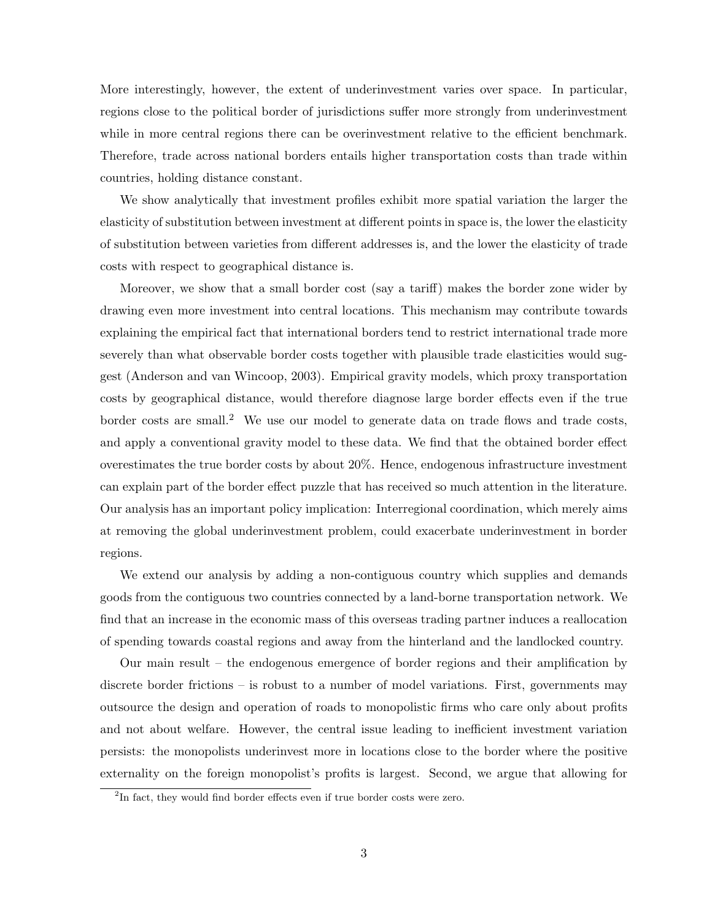More interestingly, however, the extent of underinvestment varies over space. In particular, regions close to the political border of jurisdictions suffer more strongly from underinvestment while in more central regions there can be overinvestment relative to the efficient benchmark. Therefore, trade across national borders entails higher transportation costs than trade within countries, holding distance constant.

We show analytically that investment profiles exhibit more spatial variation the larger the elasticity of substitution between investment at different points in space is, the lower the elasticity of substitution between varieties from different addresses is, and the lower the elasticity of trade costs with respect to geographical distance is.

Moreover, we show that a small border cost (say a tariff) makes the border zone wider by drawing even more investment into central locations. This mechanism may contribute towards explaining the empirical fact that international borders tend to restrict international trade more severely than what observable border costs together with plausible trade elasticities would suggest (Anderson and van Wincoop, 2003). Empirical gravity models, which proxy transportation costs by geographical distance, would therefore diagnose large border effects even if the true border costs are small.<sup>2</sup> We use our model to generate data on trade flows and trade costs, and apply a conventional gravity model to these data. We find that the obtained border effect overestimates the true border costs by about 20%. Hence, endogenous infrastructure investment can explain part of the border effect puzzle that has received so much attention in the literature. Our analysis has an important policy implication: Interregional coordination, which merely aims at removing the global underinvestment problem, could exacerbate underinvestment in border regions.

We extend our analysis by adding a non-contiguous country which supplies and demands goods from the contiguous two countries connected by a land-borne transportation network. We find that an increase in the economic mass of this overseas trading partner induces a reallocation of spending towards coastal regions and away from the hinterland and the landlocked country.

Our main result – the endogenous emergence of border regions and their amplification by discrete border frictions – is robust to a number of model variations. First, governments may outsource the design and operation of roads to monopolistic firms who care only about profits and not about welfare. However, the central issue leading to inefficient investment variation persists: the monopolists underinvest more in locations close to the border where the positive externality on the foreign monopolist's profits is largest. Second, we argue that allowing for

<sup>&</sup>lt;sup>2</sup>In fact, they would find border effects even if true border costs were zero.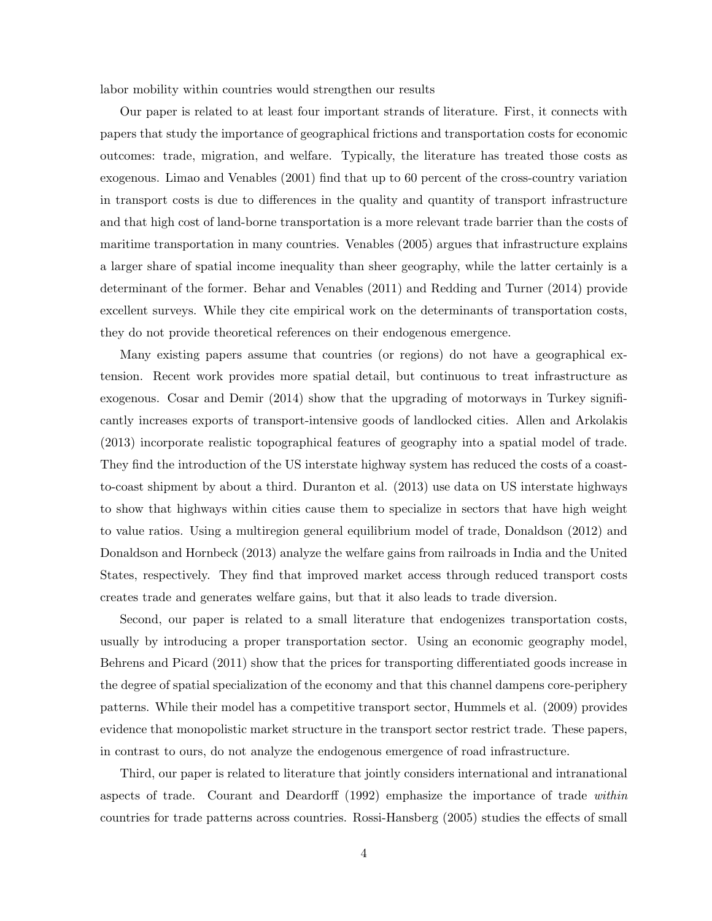labor mobility within countries would strengthen our results

Our paper is related to at least four important strands of literature. First, it connects with papers that study the importance of geographical frictions and transportation costs for economic outcomes: trade, migration, and welfare. Typically, the literature has treated those costs as exogenous. Limao and Venables (2001) find that up to 60 percent of the cross-country variation in transport costs is due to differences in the quality and quantity of transport infrastructure and that high cost of land-borne transportation is a more relevant trade barrier than the costs of maritime transportation in many countries. Venables (2005) argues that infrastructure explains a larger share of spatial income inequality than sheer geography, while the latter certainly is a determinant of the former. Behar and Venables (2011) and Redding and Turner (2014) provide excellent surveys. While they cite empirical work on the determinants of transportation costs, they do not provide theoretical references on their endogenous emergence.

Many existing papers assume that countries (or regions) do not have a geographical extension. Recent work provides more spatial detail, but continuous to treat infrastructure as exogenous. Cosar and Demir (2014) show that the upgrading of motorways in Turkey significantly increases exports of transport-intensive goods of landlocked cities. Allen and Arkolakis (2013) incorporate realistic topographical features of geography into a spatial model of trade. They find the introduction of the US interstate highway system has reduced the costs of a coastto-coast shipment by about a third. Duranton et al. (2013) use data on US interstate highways to show that highways within cities cause them to specialize in sectors that have high weight to value ratios. Using a multiregion general equilibrium model of trade, Donaldson (2012) and Donaldson and Hornbeck (2013) analyze the welfare gains from railroads in India and the United States, respectively. They find that improved market access through reduced transport costs creates trade and generates welfare gains, but that it also leads to trade diversion.

Second, our paper is related to a small literature that endogenizes transportation costs, usually by introducing a proper transportation sector. Using an economic geography model, Behrens and Picard (2011) show that the prices for transporting differentiated goods increase in the degree of spatial specialization of the economy and that this channel dampens core-periphery patterns. While their model has a competitive transport sector, Hummels et al. (2009) provides evidence that monopolistic market structure in the transport sector restrict trade. These papers, in contrast to ours, do not analyze the endogenous emergence of road infrastructure.

Third, our paper is related to literature that jointly considers international and intranational aspects of trade. Courant and Deardorff (1992) emphasize the importance of trade within countries for trade patterns across countries. Rossi-Hansberg (2005) studies the effects of small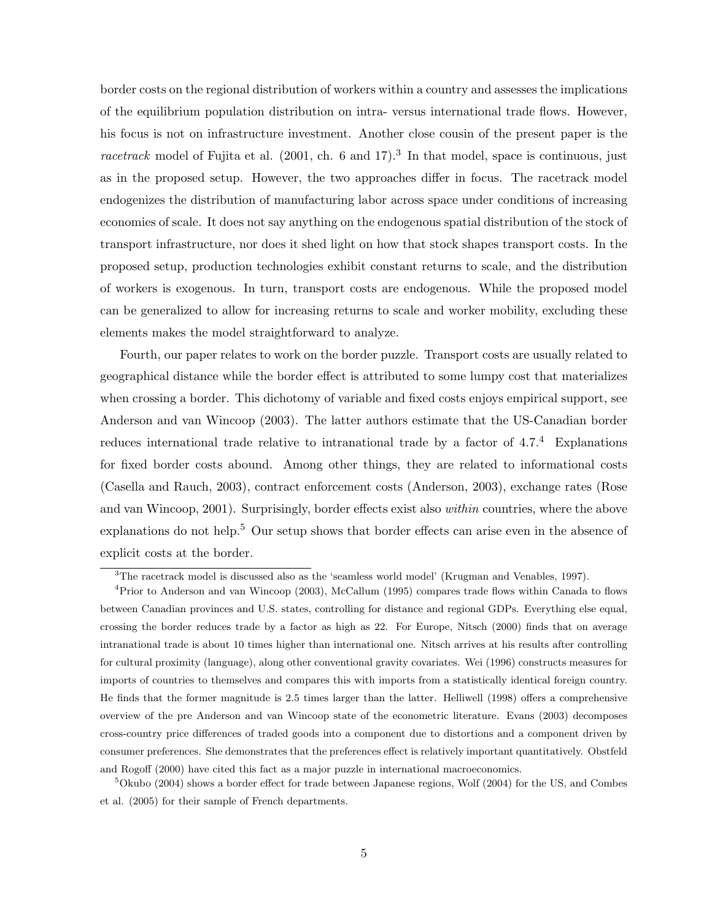border costs on the regional distribution of workers within a country and assesses the implications of the equilibrium population distribution on intra- versus international trade flows. However, his focus is not on infrastructure investment. Another close cousin of the present paper is the racetrack model of Fujita et al.  $(2001, ch. 6 and 17).$ <sup>3</sup> In that model, space is continuous, just as in the proposed setup. However, the two approaches differ in focus. The racetrack model endogenizes the distribution of manufacturing labor across space under conditions of increasing economies of scale. It does not say anything on the endogenous spatial distribution of the stock of transport infrastructure, nor does it shed light on how that stock shapes transport costs. In the proposed setup, production technologies exhibit constant returns to scale, and the distribution of workers is exogenous. In turn, transport costs are endogenous. While the proposed model can be generalized to allow for increasing returns to scale and worker mobility, excluding these elements makes the model straightforward to analyze.

Fourth, our paper relates to work on the border puzzle. Transport costs are usually related to geographical distance while the border effect is attributed to some lumpy cost that materializes when crossing a border. This dichotomy of variable and fixed costs enjoys empirical support, see Anderson and van Wincoop (2003). The latter authors estimate that the US-Canadian border reduces international trade relative to intranational trade by a factor of 4.7.<sup>4</sup> Explanations for fixed border costs abound. Among other things, they are related to informational costs (Casella and Rauch, 2003), contract enforcement costs (Anderson, 2003), exchange rates (Rose and van Wincoop, 2001). Surprisingly, border effects exist also within countries, where the above explanations do not help.<sup>5</sup> Our setup shows that border effects can arise even in the absence of explicit costs at the border.

<sup>3</sup>The racetrack model is discussed also as the 'seamless world model' (Krugman and Venables, 1997).

<sup>4</sup>Prior to Anderson and van Wincoop (2003), McCallum (1995) compares trade flows within Canada to flows between Canadian provinces and U.S. states, controlling for distance and regional GDPs. Everything else equal, crossing the border reduces trade by a factor as high as 22. For Europe, Nitsch (2000) finds that on average intranational trade is about 10 times higher than international one. Nitsch arrives at his results after controlling for cultural proximity (language), along other conventional gravity covariates. Wei (1996) constructs measures for imports of countries to themselves and compares this with imports from a statistically identical foreign country. He finds that the former magnitude is 2.5 times larger than the latter. Helliwell (1998) offers a comprehensive overview of the pre Anderson and van Wincoop state of the econometric literature. Evans (2003) decomposes cross-country price differences of traded goods into a component due to distortions and a component driven by consumer preferences. She demonstrates that the preferences effect is relatively important quantitatively. Obstfeld and Rogoff (2000) have cited this fact as a major puzzle in international macroeconomics.

 $5$ Okubo (2004) shows a border effect for trade between Japanese regions, Wolf (2004) for the US, and Combes et al. (2005) for their sample of French departments.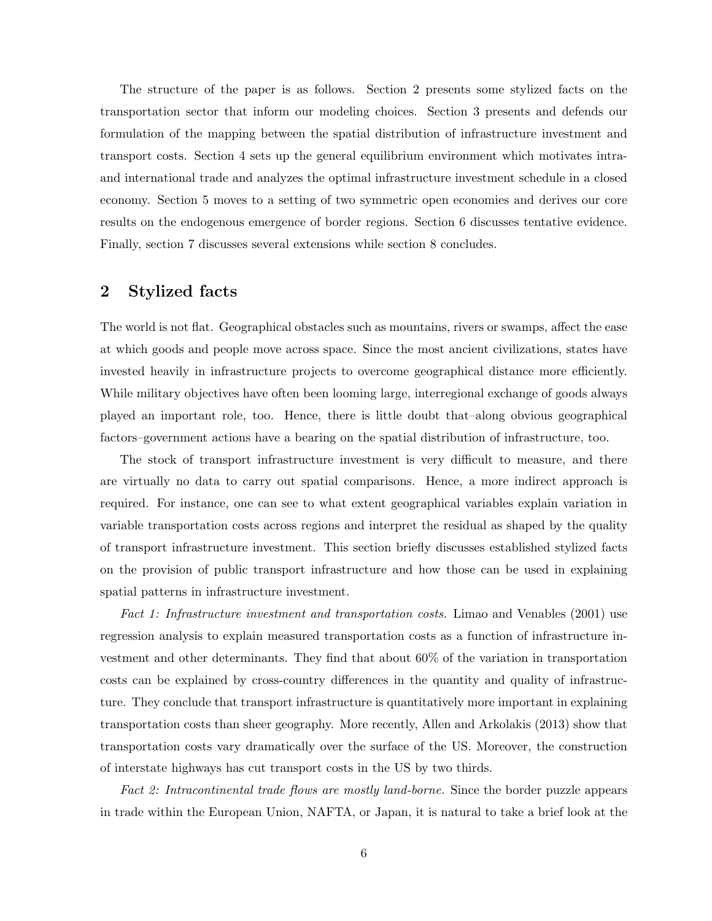The structure of the paper is as follows. Section 2 presents some stylized facts on the transportation sector that inform our modeling choices. Section 3 presents and defends our formulation of the mapping between the spatial distribution of infrastructure investment and transport costs. Section 4 sets up the general equilibrium environment which motivates intraand international trade and analyzes the optimal infrastructure investment schedule in a closed economy. Section 5 moves to a setting of two symmetric open economies and derives our core results on the endogenous emergence of border regions. Section 6 discusses tentative evidence. Finally, section 7 discusses several extensions while section 8 concludes.

## 2 Stylized facts

The world is not flat. Geographical obstacles such as mountains, rivers or swamps, affect the ease at which goods and people move across space. Since the most ancient civilizations, states have invested heavily in infrastructure projects to overcome geographical distance more efficiently. While military objectives have often been looming large, interregional exchange of goods always played an important role, too. Hence, there is little doubt that–along obvious geographical factors–government actions have a bearing on the spatial distribution of infrastructure, too.

The stock of transport infrastructure investment is very difficult to measure, and there are virtually no data to carry out spatial comparisons. Hence, a more indirect approach is required. For instance, one can see to what extent geographical variables explain variation in variable transportation costs across regions and interpret the residual as shaped by the quality of transport infrastructure investment. This section briefly discusses established stylized facts on the provision of public transport infrastructure and how those can be used in explaining spatial patterns in infrastructure investment.

Fact 1: Infrastructure investment and transportation costs. Limao and Venables (2001) use regression analysis to explain measured transportation costs as a function of infrastructure investment and other determinants. They find that about 60% of the variation in transportation costs can be explained by cross-country differences in the quantity and quality of infrastructure. They conclude that transport infrastructure is quantitatively more important in explaining transportation costs than sheer geography. More recently, Allen and Arkolakis (2013) show that transportation costs vary dramatically over the surface of the US. Moreover, the construction of interstate highways has cut transport costs in the US by two thirds.

Fact 2: Intracontinental trade flows are mostly land-borne. Since the border puzzle appears in trade within the European Union, NAFTA, or Japan, it is natural to take a brief look at the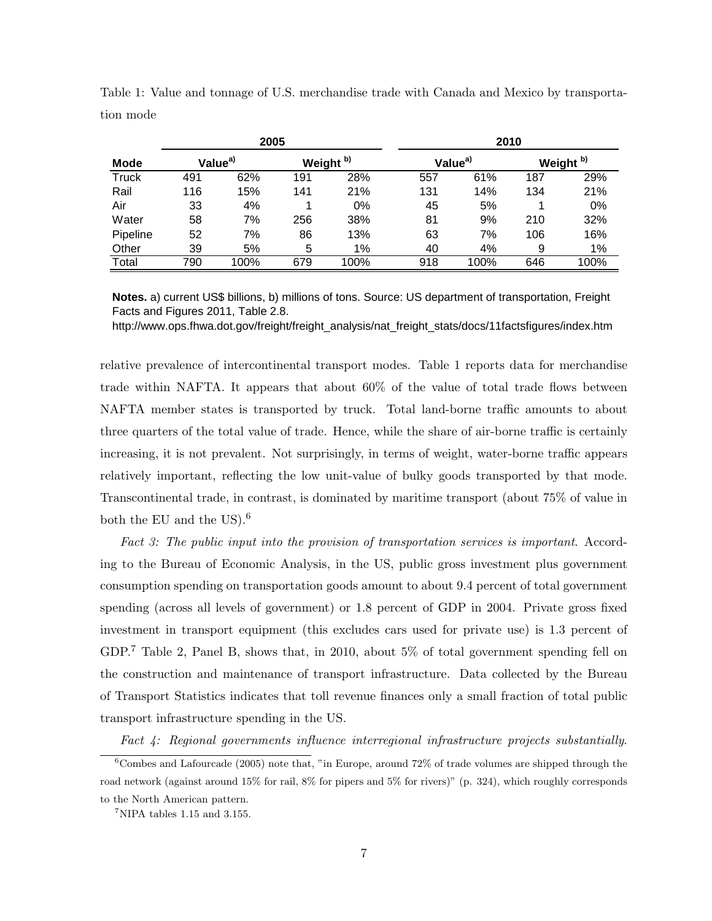|             | 2005                |      |                      |       | 2010                |      |                      |      |  |
|-------------|---------------------|------|----------------------|-------|---------------------|------|----------------------|------|--|
| <b>Mode</b> | Value <sup>a)</sup> |      | Weight <sup>b)</sup> |       | Value <sup>a)</sup> |      | Weight <sup>b)</sup> |      |  |
| Truck       | 491                 | 62%  | 191                  | 28%   | 557                 | 61%  | 187                  | 29%  |  |
| Rail        | 116                 | 15%  | 141                  | 21%   | 131                 | 14%  | 134                  | 21%  |  |
| Air         | 33                  | 4%   |                      | 0%    | 45                  | 5%   |                      | 0%   |  |
| Water       | 58                  | 7%   | 256                  | 38%   | 81                  | 9%   | 210                  | 32%  |  |
| Pipeline    | 52                  | 7%   | 86                   | 13%   | 63                  | 7%   | 106                  | 16%  |  |
| Other       | 39                  | 5%   | 5                    | $1\%$ | 40                  | 4%   | 9                    | 1%   |  |
| Total       | 790                 | 100% | 679                  | 100%  | 918                 | 100% | 646                  | 100% |  |

Table 1: Value and tonnage of U.S. merchandise trade with Canada and Mexico by transportation mode

**Notes.** a) current US\$ billions, b) millions of tons. Source: US department of transportation, Freight Facts and Figures 2011, Table 2.8.

http://www.ops.fhwa.dot.gov/freight/freight\_analysis/nat\_freight\_stats/docs/11factsfigures/index.htm

relative prevalence of intercontinental transport modes. Table 1 reports data for merchandise trade within NAFTA. It appears that about 60% of the value of total trade flows between NAFTA member states is transported by truck. Total land-borne traffic amounts to about three quarters of the total value of trade. Hence, while the share of air-borne traffic is certainly increasing, it is not prevalent. Not surprisingly, in terms of weight, water-borne traffic appears relatively important, reflecting the low unit-value of bulky goods transported by that mode. Transcontinental trade, in contrast, is dominated by maritime transport (about 75% of value in both the EU and the US).<sup>6</sup>

Fact 3: The public input into the provision of transportation services is important. According to the Bureau of Economic Analysis, in the US, public gross investment plus government consumption spending on transportation goods amount to about 9.4 percent of total government spending (across all levels of government) or 1.8 percent of GDP in 2004. Private gross fixed investment in transport equipment (this excludes cars used for private use) is 1.3 percent of GDP.<sup>7</sup> Table 2, Panel B, shows that, in 2010, about 5% of total government spending fell on the construction and maintenance of transport infrastructure. Data collected by the Bureau of Transport Statistics indicates that toll revenue finances only a small fraction of total public transport infrastructure spending in the US.

Fact 4: Regional governments influence interregional infrastructure projects substantially.

 $6$ Combes and Lafourcade (2005) note that, "in Europe, around 72% of trade volumes are shipped through the road network (against around 15% for rail, 8% for pipers and 5% for rivers)" (p. 324), which roughly corresponds to the North American pattern.

 $7$ NIPA tables 1.15 and 3.155.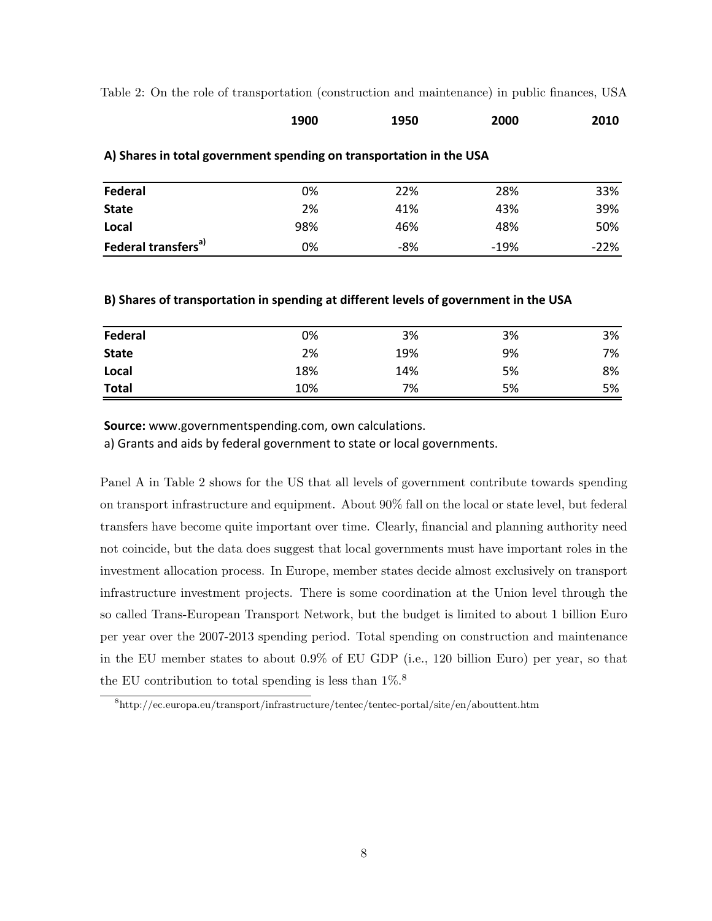Table 2: On the role of transportation (construction and maintenance) in public finances, USA **On the role of transportation in public finances, USA**

| 1900 | 1950 | 2000 | 2010 |
|------|------|------|------|
|      |      |      |      |

| Federal                         | 0%  | 22% | 28%    | 33%    |
|---------------------------------|-----|-----|--------|--------|
| <b>State</b>                    | 2%  | 41% | 43%    | 39%    |
| Local                           | 98% | 46% | 48%    | 50%    |
| Federal transfers <sup>a)</sup> | 0%  | -8% | $-19%$ | $-22%$ |

### **A) Shares in total government spending on transportation in the USA**

## **B) Shares of transportation in spending at different levels of government in the USA**

| Federal      | 0%  | 3%  | 3% | 3% |
|--------------|-----|-----|----|----|
| <b>State</b> | 2%  | 19% | 9% | 7% |
| Local        | 18% | 14% | 5% | 8% |
| <b>Total</b> | 10% | 7%  | 5% | 5% |

**Source:** www.governmentspending.com, own calculations.

a) Grants and aids by federal government to state or local governments.

Panel A in Table 2 shows for the US that all levels of government contribute towards spending on transport infrastructure and equipment. About 90% fall on the local or state level, but federal transfers have become quite important over time. Clearly, financial and planning authority need not coincide, but the data does suggest that local governments must have important roles in the investment allocation process. In Europe, member states decide almost exclusively on transport infrastructure investment projects. There is some coordination at the Union level through the so called Trans-European Transport Network, but the budget is limited to about 1 billion Euro per year over the 2007-2013 spending period. Total spending on construction and maintenance in the EU member states to about 0.9% of EU GDP (i.e., 120 billion Euro) per year, so that the EU contribution to total spending is less than  $1\%$ .<sup>8</sup>

<sup>8</sup>http://ec.europa.eu/transport/infrastructure/tentec/tentec-portal/site/en/abouttent.htm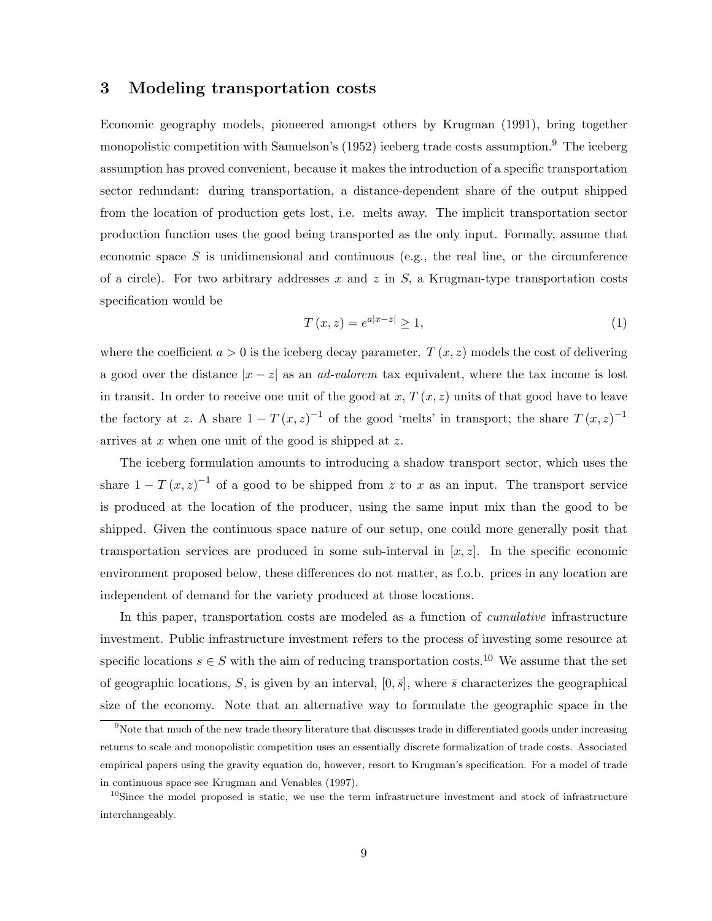## 3 Modeling transportation costs

Economic geography models, pioneered amongst others by Krugman (1991), bring together monopolistic competition with Samuelson's (1952) iceberg trade costs assumption.<sup>9</sup> The iceberg assumption has proved convenient, because it makes the introduction of a specific transportation sector redundant: during transportation, a distance-dependent share of the output shipped from the location of production gets lost, i.e. melts away. The implicit transportation sector production function uses the good being transported as the only input. Formally, assume that economic space S is unidimensional and continuous (e.g., the real line, or the circumference of a circle). For two arbitrary addresses x and z in  $S$ , a Krugman-type transportation costs specification would be

$$
T(x,z) = e^{a|x-z|} \ge 1,
$$
\n(1)

where the coefficient  $a > 0$  is the iceberg decay parameter.  $T(x, z)$  models the cost of delivering a good over the distance  $|x-z|$  as an *ad-valorem* tax equivalent, where the tax income is lost in transit. In order to receive one unit of the good at  $x, T(x, z)$  units of that good have to leave the factory at z. A share  $1 - T(x, z)^{-1}$  of the good 'melts' in transport; the share  $T(x, z)^{-1}$ arrives at  $x$  when one unit of the good is shipped at  $z$ .

The iceberg formulation amounts to introducing a shadow transport sector, which uses the share  $1 - T(x, z)^{-1}$  of a good to be shipped from z to x as an input. The transport service is produced at the location of the producer, using the same input mix than the good to be shipped. Given the continuous space nature of our setup, one could more generally posit that transportation services are produced in some sub-interval in  $[x, z]$ . In the specific economic environment proposed below, these differences do not matter, as f.o.b. prices in any location are independent of demand for the variety produced at those locations.

In this paper, transportation costs are modeled as a function of *cumulative* infrastructure investment. Public infrastructure investment refers to the process of investing some resource at specific locations  $s \in S$  with the aim of reducing transportation costs.<sup>10</sup> We assume that the set of geographic locations, S, is given by an interval,  $[0, \bar{s}]$ , where  $\bar{s}$  characterizes the geographical size of the economy. Note that an alternative way to formulate the geographic space in the

<sup>&</sup>lt;sup>9</sup>Note that much of the new trade theory literature that discusses trade in differentiated goods under increasing returns to scale and monopolistic competition uses an essentially discrete formalization of trade costs. Associated empirical papers using the gravity equation do, however, resort to Krugman's specification. For a model of trade in continuous space see Krugman and Venables (1997).

<sup>&</sup>lt;sup>10</sup>Since the model proposed is static, we use the term infrastructure investment and stock of infrastructure interchangeably.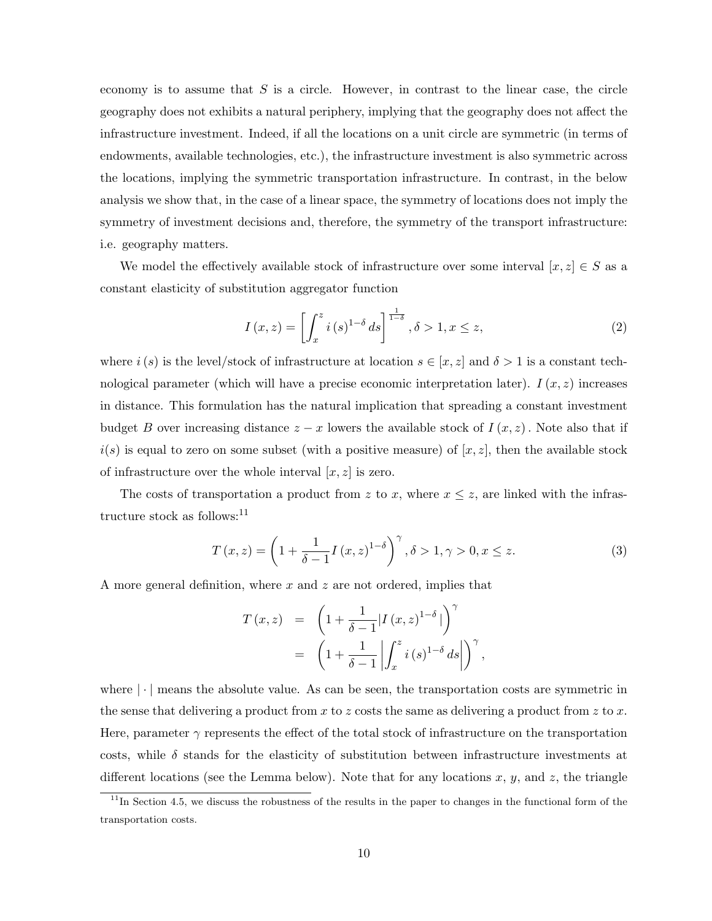economy is to assume that  $S$  is a circle. However, in contrast to the linear case, the circle geography does not exhibits a natural periphery, implying that the geography does not affect the infrastructure investment. Indeed, if all the locations on a unit circle are symmetric (in terms of endowments, available technologies, etc.), the infrastructure investment is also symmetric across the locations, implying the symmetric transportation infrastructure. In contrast, in the below analysis we show that, in the case of a linear space, the symmetry of locations does not imply the symmetry of investment decisions and, therefore, the symmetry of the transport infrastructure: i.e. geography matters.

We model the effectively available stock of infrastructure over some interval  $[x, z] \in S$  as a constant elasticity of substitution aggregator function

$$
I(x,z) = \left[\int_x^z i(s)^{1-\delta} ds\right]^{\frac{1}{1-\delta}}, \delta > 1, x \le z,
$$
\n
$$
(2)
$$

where  $i(s)$  is the level/stock of infrastructure at location  $s \in [x, z]$  and  $\delta > 1$  is a constant technological parameter (which will have a precise economic interpretation later).  $I(x, z)$  increases in distance. This formulation has the natural implication that spreading a constant investment budget B over increasing distance  $z - x$  lowers the available stock of  $I(x, z)$ . Note also that if  $i(s)$  is equal to zero on some subset (with a positive measure) of  $[x, z]$ , then the available stock of infrastructure over the whole interval  $[x, z]$  is zero.

The costs of transportation a product from z to x, where  $x \leq z$ , are linked with the infrastructure stock as follows:<sup>11</sup>

$$
T(x,z) = \left(1 + \frac{1}{\delta - 1}I(x,z)^{1-\delta}\right)^{\gamma}, \delta > 1, \gamma > 0, x \le z.
$$
 (3)

A more general definition, where x and z are not ordered, implies that

$$
T(x,z) = \left(1 + \frac{1}{\delta - 1} |I(x,z)^{1-\delta}| \right)^{\gamma}
$$
  
= 
$$
\left(1 + \frac{1}{\delta - 1} \left| \int_x^z i(s)^{1-\delta} ds \right| \right)^{\gamma},
$$

where  $\lfloor \cdot \rfloor$  means the absolute value. As can be seen, the transportation costs are symmetric in the sense that delivering a product from x to z costs the same as delivering a product from z to x. Here, parameter  $\gamma$  represents the effect of the total stock of infrastructure on the transportation costs, while  $\delta$  stands for the elasticity of substitution between infrastructure investments at different locations (see the Lemma below). Note that for any locations  $x, y$ , and  $z$ , the triangle

 $11$ In Section 4.5, we discuss the robustness of the results in the paper to changes in the functional form of the transportation costs.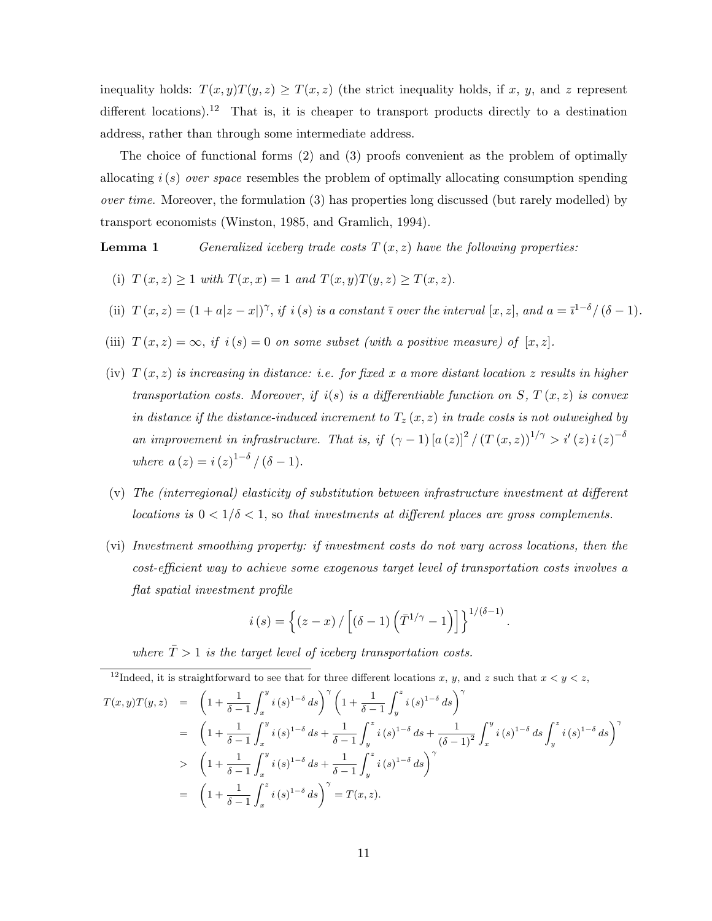inequality holds:  $T(x, y)T(y, z) \geq T(x, z)$  (the strict inequality holds, if x, y, and z represent different locations).<sup>12</sup> That is, it is cheaper to transport products directly to a destination address, rather than through some intermediate address.

The choice of functional forms (2) and (3) proofs convenient as the problem of optimally allocating  $i(s)$  over space resembles the problem of optimally allocating consumption spending over time. Moreover, the formulation  $(3)$  has properties long discussed (but rarely modelled) by transport economists (Winston, 1985, and Gramlich, 1994).

**Lemma 1** Generalized iceberg trade costs  $T(x, z)$  have the following properties:

- (i)  $T (x, z) \ge 1$  with  $T (x, x) = 1$  and  $T (x, y) T (y, z) \ge T (x, z)$ .
- (ii)  $T(x, z) = (1 + a|z x|)^{\gamma}$ , if i(s) is a constant  $\overline{\imath}$  over the interval  $[x, z]$ , and  $a = \overline{\imath}^{1-\delta}/(\delta 1)$ .
- (iii)  $T(x, z) = \infty$ , if  $i(s) = 0$  on some subset (with a positive measure) of  $[x, z]$ .
- (iv)  $T(x, z)$  is increasing in distance: i.e. for fixed x a more distant location z results in higher transportation costs. Moreover, if  $i(s)$  is a differentiable function on S,  $T(x, z)$  is convex in distance if the distance-induced increment to  $T_z(x, z)$  in trade costs is not outweighed by an improvement in infrastructure. That is, if  $(\gamma - 1) [a(z)]^2 / (T(x, z))^{1/\gamma} > i'(z) i(z)^{-\delta}$ where  $a(z) = i(z)^{1-\delta} / (\delta - 1)$ .
- (v) The (interregional) elasticity of substitution between infrastructure investment at different locations is  $0 < 1/\delta < 1$ , so that investments at different places are gross complements.
- (vi) Investment smoothing property: if investment costs do not vary across locations, then the cost-efficient way to achieve some exogenous target level of transportation costs involves a flat spatial investment profile

$$
i(s) = \left\{ (z-x) / \left[ (\delta - 1) \left( \overline{T}^{1/\gamma} - 1 \right) \right] \right\}^{1/(\delta - 1)}.
$$

where  $\overline{T} > 1$  is the target level of iceberg transportation costs.

<sup>12</sup>Indeed, it is straightforward to see that for three different locations x, y, and z such that  $x < y < z$ ,

$$
T(x,y)T(y,z) = \left(1 + \frac{1}{\delta - 1} \int_x^y i(s)^{1-\delta} ds\right)^\gamma \left(1 + \frac{1}{\delta - 1} \int_y^z i(s)^{1-\delta} ds\right)^\gamma
$$
  
\n
$$
= \left(1 + \frac{1}{\delta - 1} \int_x^y i(s)^{1-\delta} ds + \frac{1}{\delta - 1} \int_y^z i(s)^{1-\delta} ds + \frac{1}{(\delta - 1)^2} \int_x^y i(s)^{1-\delta} ds \int_y^z i(s)^{1-\delta} ds\right)^\gamma
$$
  
\n
$$
> \left(1 + \frac{1}{\delta - 1} \int_x^y i(s)^{1-\delta} ds + \frac{1}{\delta - 1} \int_y^z i(s)^{1-\delta} ds\right)^\gamma
$$
  
\n
$$
= \left(1 + \frac{1}{\delta - 1} \int_x^z i(s)^{1-\delta} ds\right)^\gamma = T(x, z).
$$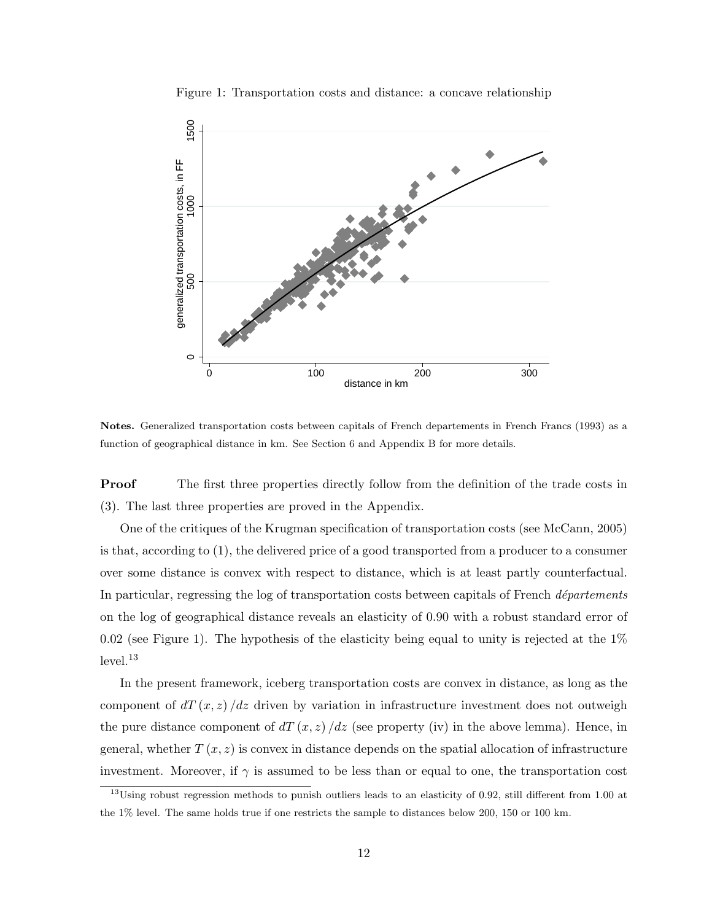

Figure 1: Transportation costs and distance: a concave relationship

Notes. Generalized transportation costs between capitals of French departements in French Francs (1993) as a function of geographical distance in km. See Section 6 and Appendix B for more details.

**Proof** The first three properties directly follow from the definition of the trade costs in (3). The last three properties are proved in the Appendix.

One of the critiques of the Krugman specification of transportation costs (see McCann, 2005) is that, according to (1), the delivered price of a good transported from a producer to a consumer over some distance is convex with respect to distance, which is at least partly counterfactual. In particular, regressing the log of transportation costs between capitals of French  $d\acute{e}partements$ on the log of geographical distance reveals an elasticity of 0.90 with a robust standard error of 0.02 (see Figure 1). The hypothesis of the elasticity being equal to unity is rejected at the  $1\%$ level.<sup>13</sup>

In the present framework, iceberg transportation costs are convex in distance, as long as the component of  $dT(x, z)/dz$  driven by variation in infrastructure investment does not outweigh the pure distance component of  $dT(x, z)/dz$  (see property (iv) in the above lemma). Hence, in general, whether  $T(x, z)$  is convex in distance depends on the spatial allocation of infrastructure investment. Moreover, if  $\gamma$  is assumed to be less than or equal to one, the transportation cost

 $13$ Using robust regression methods to punish outliers leads to an elasticity of 0.92, still different from 1.00 at the 1% level. The same holds true if one restricts the sample to distances below 200, 150 or 100 km.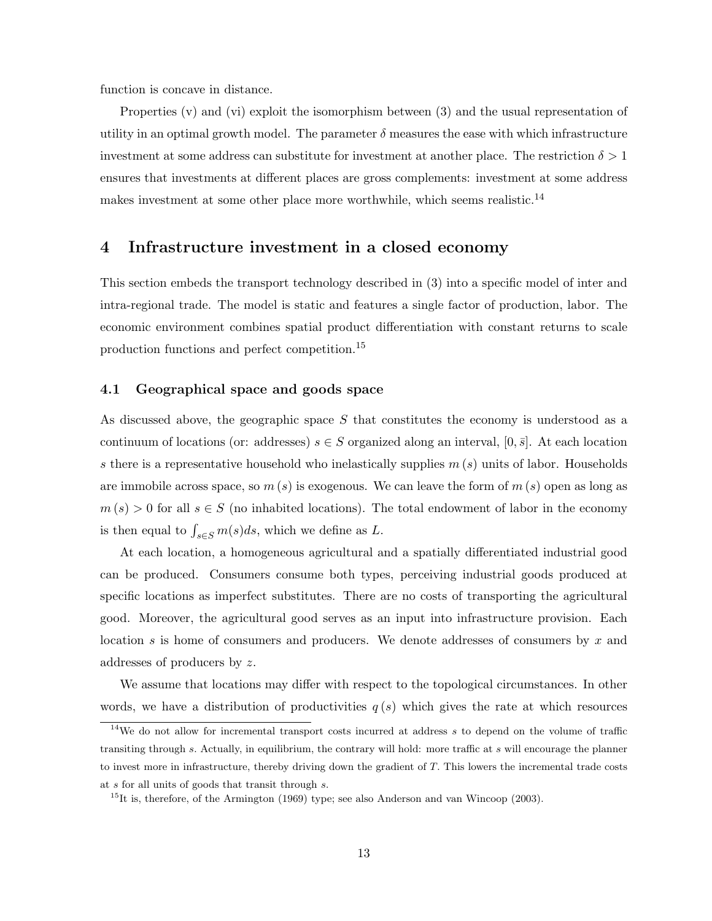function is concave in distance.

Properties (v) and (vi) exploit the isomorphism between (3) and the usual representation of utility in an optimal growth model. The parameter  $\delta$  measures the ease with which infrastructure investment at some address can substitute for investment at another place. The restriction  $\delta > 1$ ensures that investments at different places are gross complements: investment at some address makes investment at some other place more worthwhile, which seems realistic.<sup>14</sup>

## 4 Infrastructure investment in a closed economy

This section embeds the transport technology described in (3) into a specific model of inter and intra-regional trade. The model is static and features a single factor of production, labor. The economic environment combines spatial product differentiation with constant returns to scale production functions and perfect competition.<sup>15</sup>

### 4.1 Geographical space and goods space

As discussed above, the geographic space S that constitutes the economy is understood as a continuum of locations (or: addresses)  $s \in S$  organized along an interval,  $[0, \bar{s}]$ . At each location s there is a representative household who inelastically supplies  $m(s)$  units of labor. Households are immobile across space, so  $m(s)$  is exogenous. We can leave the form of  $m(s)$  open as long as  $m(s) > 0$  for all  $s \in S$  (no inhabited locations). The total endowment of labor in the economy is then equal to  $\int_{s \in S} m(s) ds$ , which we define as L.

At each location, a homogeneous agricultural and a spatially differentiated industrial good can be produced. Consumers consume both types, perceiving industrial goods produced at specific locations as imperfect substitutes. There are no costs of transporting the agricultural good. Moreover, the agricultural good serves as an input into infrastructure provision. Each location s is home of consumers and producers. We denote addresses of consumers by x and addresses of producers by z.

We assume that locations may differ with respect to the topological circumstances. In other words, we have a distribution of productivities  $q(s)$  which gives the rate at which resources

 $14$ We do not allow for incremental transport costs incurred at address s to depend on the volume of traffic transiting through s. Actually, in equilibrium, the contrary will hold: more traffic at s will encourage the planner to invest more in infrastructure, thereby driving down the gradient of T. This lowers the incremental trade costs at s for all units of goods that transit through s.

 $15$ It is, therefore, of the Armington (1969) type; see also Anderson and van Wincoop (2003).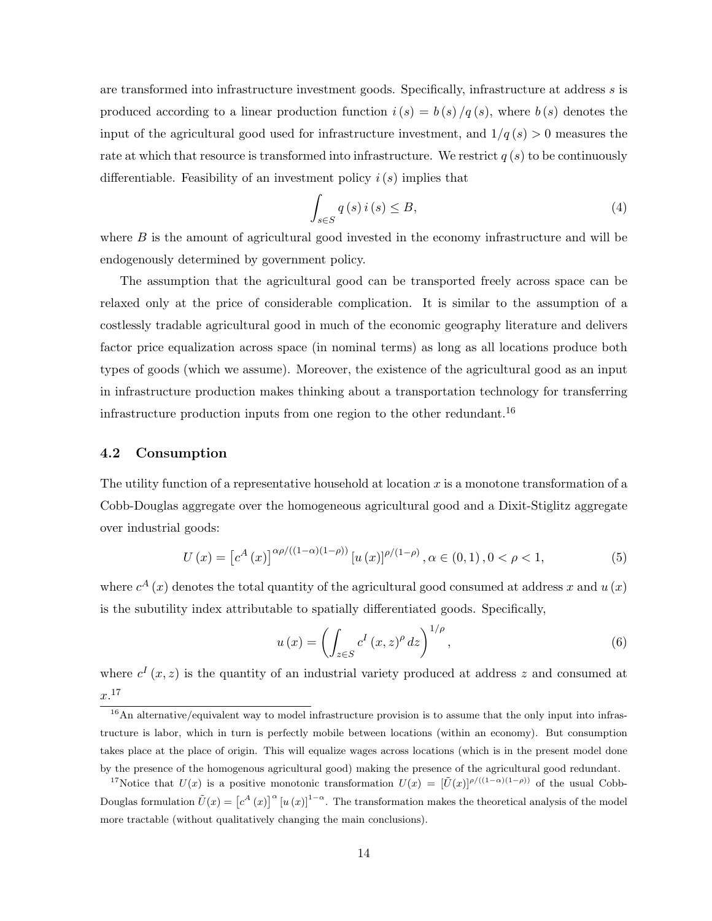are transformed into infrastructure investment goods. Specifically, infrastructure at address s is produced according to a linear production function  $i(s) = b(s)/q(s)$ , where  $b(s)$  denotes the input of the agricultural good used for infrastructure investment, and  $1/q(s) > 0$  measures the rate at which that resource is transformed into infrastructure. We restrict  $q(s)$  to be continuously differentiable. Feasibility of an investment policy  $i(s)$  implies that

$$
\int_{s \in S} q(s) i(s) \le B,\tag{4}
$$

where  $B$  is the amount of agricultural good invested in the economy infrastructure and will be endogenously determined by government policy.

The assumption that the agricultural good can be transported freely across space can be relaxed only at the price of considerable complication. It is similar to the assumption of a costlessly tradable agricultural good in much of the economic geography literature and delivers factor price equalization across space (in nominal terms) as long as all locations produce both types of goods (which we assume). Moreover, the existence of the agricultural good as an input in infrastructure production makes thinking about a transportation technology for transferring infrastructure production inputs from one region to the other redundant.<sup>16</sup>

## 4.2 Consumption

The utility function of a representative household at location  $x$  is a monotone transformation of a Cobb-Douglas aggregate over the homogeneous agricultural good and a Dixit-Stiglitz aggregate over industrial goods:

$$
U(x) = \left[c^{A}(x)\right]^{\alpha\rho/((1-\alpha)(1-\rho))}\left[u(x)\right]^{\rho/(1-\rho)}, \alpha \in (0,1), 0 < \rho < 1,\tag{5}
$$

where  $c^{A}(x)$  denotes the total quantity of the agricultural good consumed at address x and  $u(x)$ is the subutility index attributable to spatially differentiated goods. Specifically,

$$
u(x) = \left(\int_{z \in S} c^I(x, z)^\rho dz\right)^{1/\rho},\tag{6}
$$

where  $c^{I}(x, z)$  is the quantity of an industrial variety produced at address z and consumed at  $x.^{17}$ 

 $\frac{16}{16}$ An alternative/equivalent way to model infrastructure provision is to assume that the only input into infrastructure is labor, which in turn is perfectly mobile between locations (within an economy). But consumption takes place at the place of origin. This will equalize wages across locations (which is in the present model done by the presence of the homogenous agricultural good) making the presence of the agricultural good redundant.

<sup>&</sup>lt;sup>17</sup>Notice that  $U(x)$  is a positive monotonic transformation  $U(x) = [\tilde{U}(x)]^{\rho/(1-\alpha)(1-\rho)}$  of the usual Cobb-Douglas formulation  $\tilde{U}(x) = [c^A(x)]^{\alpha} [u(x)]^{1-\alpha}$ . The transformation makes the theoretical analysis of the model more tractable (without qualitatively changing the main conclusions).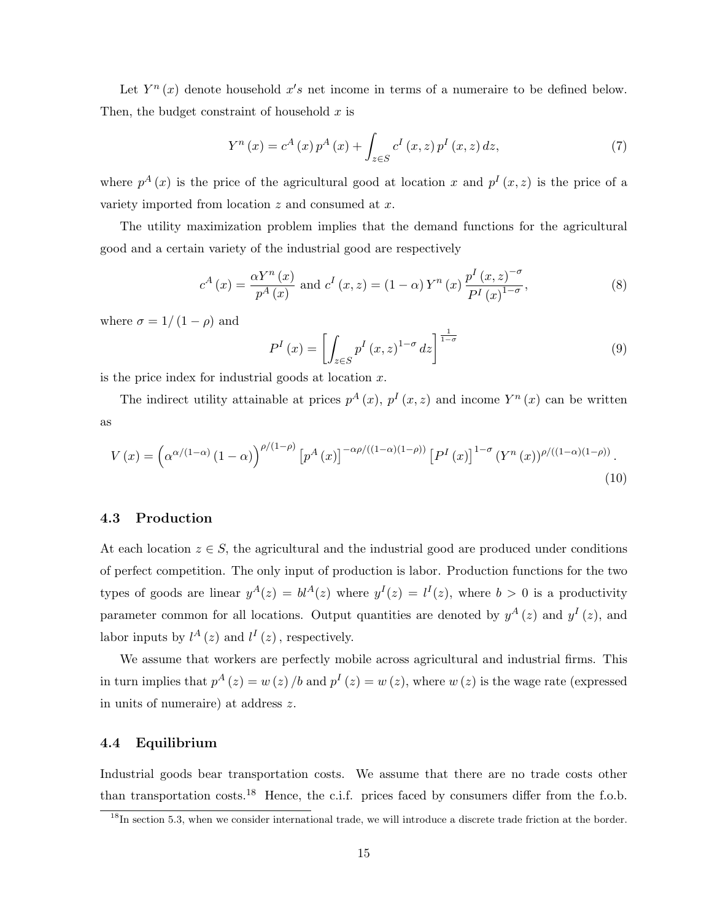Let  $Y^n(x)$  denote household  $x's$  net income in terms of a numeraire to be defined below. Then, the budget constraint of household  $x$  is

$$
Y^{n}(x) = c^{A}(x) p^{A}(x) + \int_{z \in S} c^{I}(x, z) p^{I}(x, z) dz,
$$
\n(7)

where  $p^{A}(x)$  is the price of the agricultural good at location x and  $p^{I}(x, z)$  is the price of a variety imported from location  $z$  and consumed at  $x$ .

The utility maximization problem implies that the demand functions for the agricultural good and a certain variety of the industrial good are respectively

$$
c^{A}(x) = \frac{\alpha Y^{n}(x)}{p^{A}(x)} \text{ and } c^{I}(x, z) = (1 - \alpha) Y^{n}(x) \frac{p^{I}(x, z)^{-\sigma}}{P^{I}(x)^{1-\sigma}},
$$
\n(8)

where  $\sigma = 1/(1 - \rho)$  and

$$
P^{I}(x) = \left[ \int_{z \in S} p^{I}(x, z)^{1-\sigma} dz \right]^{\frac{1}{1-\sigma}}
$$
\n(9)

is the price index for industrial goods at location  $x$ .

The indirect utility attainable at prices  $p^{A}(x)$ ,  $p^{I}(x, z)$  and income  $Y^{n}(x)$  can be written as

$$
V\left(x\right) = \left(\alpha^{\alpha/(1-\alpha)}\left(1-\alpha\right)\right)^{\rho/(1-\rho)}\left[p^A\left(x\right)\right]^{-\alpha\rho/\left((1-\alpha)(1-\rho)\right)}\left[P^I\left(x\right)\right]^{1-\sigma}\left(Y^n\left(x\right)\right)^{\rho/\left((1-\alpha)(1-\rho)\right)}.\tag{10}
$$

## 4.3 Production

At each location  $z \in S$ , the agricultural and the industrial good are produced under conditions of perfect competition. The only input of production is labor. Production functions for the two types of goods are linear  $y^A(z) = bl^A(z)$  where  $y^I(z) = l^I(z)$ , where  $b > 0$  is a productivity parameter common for all locations. Output quantities are denoted by  $y^A(z)$  and  $y^I(z)$ , and labor inputs by  $l^A(z)$  and  $l^I(z)$ , respectively.

We assume that workers are perfectly mobile across agricultural and industrial firms. This in turn implies that  $p^{A}(z) = w(z) / b$  and  $p^{I}(z) = w(z)$ , where  $w(z)$  is the wage rate (expressed in units of numeraire) at address z.

### 4.4 Equilibrium

Industrial goods bear transportation costs. We assume that there are no trade costs other than transportation costs.<sup>18</sup> Hence, the c.i.f. prices faced by consumers differ from the f.o.b.

<sup>&</sup>lt;sup>18</sup>In section 5.3, when we consider international trade, we will introduce a discrete trade friction at the border.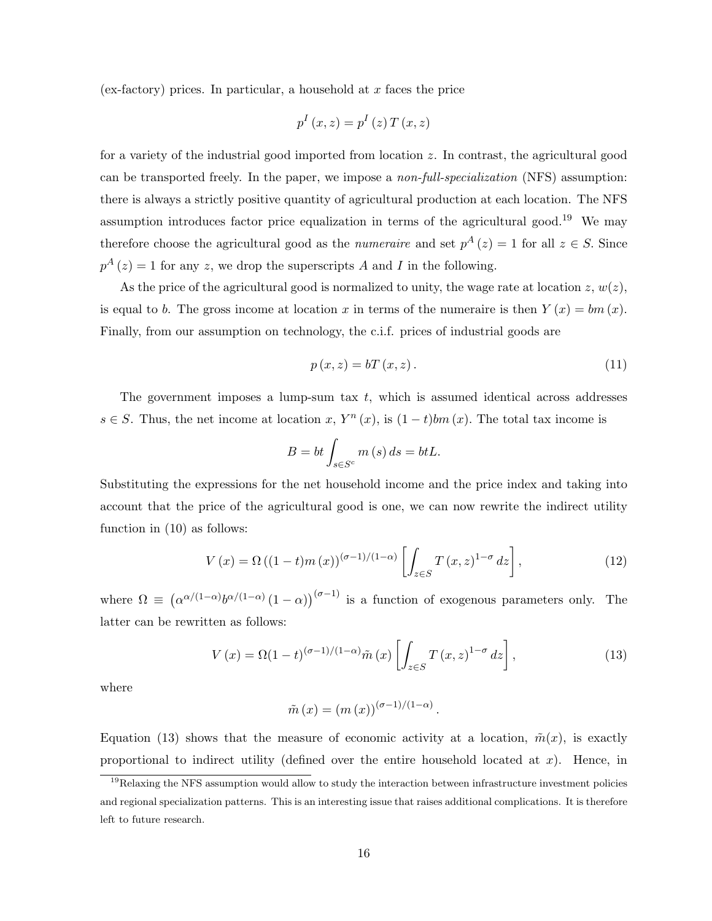(ex-factory) prices. In particular, a household at  $x$  faces the price

$$
p^{I}(x,z) = p^{I}(z) T(x,z)
$$

for a variety of the industrial good imported from location z. In contrast, the agricultural good can be transported freely. In the paper, we impose a non-full-specialization (NFS) assumption: there is always a strictly positive quantity of agricultural production at each location. The NFS assumption introduces factor price equalization in terms of the agricultural good.<sup>19</sup> We may therefore choose the agricultural good as the *numeraire* and set  $p^{A}(z) = 1$  for all  $z \in S$ . Since  $p^{A}(z) = 1$  for any z, we drop the superscripts A and I in the following.

As the price of the agricultural good is normalized to unity, the wage rate at location  $z, w(z)$ , is equal to b. The gross income at location x in terms of the numeraire is then  $Y(x) = bm(x)$ . Finally, from our assumption on technology, the c.i.f. prices of industrial goods are

$$
p(x,z) = bT(x,z). \tag{11}
$$

The government imposes a lump-sum tax  $t$ , which is assumed identical across addresses  $s \in S$ . Thus, the net income at location x,  $Y^n(x)$ , is  $(1-t)bm(x)$ . The total tax income is

$$
B = bt \int_{s \in S^c} m(s) ds = btL.
$$

Substituting the expressions for the net household income and the price index and taking into account that the price of the agricultural good is one, we can now rewrite the indirect utility function in (10) as follows:

$$
V(x) = \Omega\left((1-t)m(x)\right)^{(\sigma-1)/(1-\alpha)}\left[\int_{z\in S} T(x,z)^{1-\sigma} dz\right],\tag{12}
$$

where  $\Omega \equiv (\alpha^{\alpha/(1-\alpha)}b^{\alpha/(1-\alpha)}(1-\alpha))^{(\sigma-1)}$  is a function of exogenous parameters only. The latter can be rewritten as follows:

$$
V(x) = \Omega(1-t)^{(\sigma-1)/(1-\alpha)}\tilde{m}(x)\left[\int_{z\in S} T(x,z)^{1-\sigma} dz\right],\tag{13}
$$

.

where

$$
\tilde{m}(x) = (m(x))^{(\sigma - 1)/(1 - \alpha)}
$$

Equation (13) shows that the measure of economic activity at a location,  $\tilde{m}(x)$ , is exactly proportional to indirect utility (defined over the entire household located at  $x$ ). Hence, in

<sup>&</sup>lt;sup>19</sup>Relaxing the NFS assumption would allow to study the interaction between infrastructure investment policies and regional specialization patterns. This is an interesting issue that raises additional complications. It is therefore left to future research.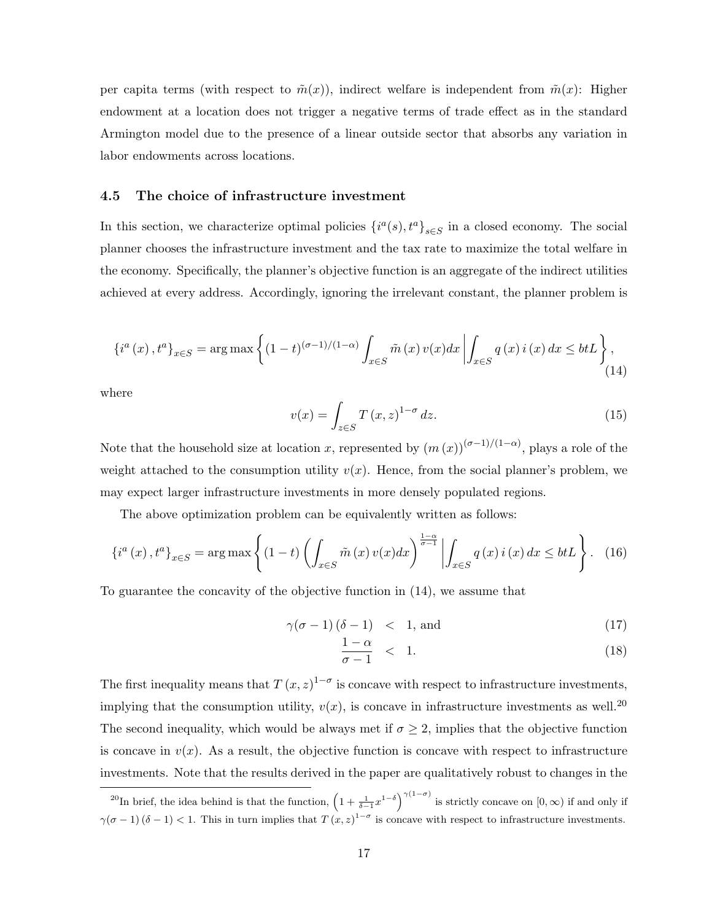per capita terms (with respect to  $\tilde{m}(x)$ ), indirect welfare is independent from  $\tilde{m}(x)$ : Higher endowment at a location does not trigger a negative terms of trade effect as in the standard Armington model due to the presence of a linear outside sector that absorbs any variation in labor endowments across locations.

#### 4.5 The choice of infrastructure investment

In this section, we characterize optimal policies  $\{i^a(s), t^a\}_{s\in S}$  in a closed economy. The social planner chooses the infrastructure investment and the tax rate to maximize the total welfare in the economy. Specifically, the planner's objective function is an aggregate of the indirect utilities achieved at every address. Accordingly, ignoring the irrelevant constant, the planner problem is

$$
\{i^{a}(x), t^{a}\}_{x \in S} = \arg \max \left\{ (1-t)^{(\sigma-1)/(1-\alpha)} \int_{x \in S} \tilde{m}(x) v(x) dx \left| \int_{x \in S} q(x) i(x) dx \leq btL \right. \right\},\tag{14}
$$

where

$$
v(x) = \int_{z \in S} T(x, z)^{1-\sigma} dz.
$$
 (15)

Note that the household size at location x, represented by  $(m(x))^{(\sigma-1)/(1-\alpha)}$ , plays a role of the weight attached to the consumption utility  $v(x)$ . Hence, from the social planner's problem, we may expect larger infrastructure investments in more densely populated regions.

The above optimization problem can be equivalently written as follows:

$$
\{i^{a}(x), t^{a}\}_{x \in S} = \arg \max \left\{ (1-t) \left( \int_{x \in S} \tilde{m}(x) v(x) dx \right)^{\frac{1-\alpha}{\sigma-1}} \left| \int_{x \in S} q(x) i(x) dx \leq btL \right. \right\}.
$$
 (16)

To guarantee the concavity of the objective function in (14), we assume that

$$
\gamma(\sigma - 1) (\delta - 1) \quad < \quad 1, \text{ and} \tag{17}
$$

$$
\frac{1-\alpha}{\sigma-1} < 1. \tag{18}
$$

The first inequality means that  $T(x, z)^{1-\sigma}$  is concave with respect to infrastructure investments, implying that the consumption utility,  $v(x)$ , is concave in infrastructure investments as well.<sup>20</sup> The second inequality, which would be always met if  $\sigma \geq 2$ , implies that the objective function is concave in  $v(x)$ . As a result, the objective function is concave with respect to infrastructure investments. Note that the results derived in the paper are qualitatively robust to changes in the

<sup>&</sup>lt;sup>20</sup>In brief, the idea behind is that the function,  $\left(1+\frac{1}{\delta-1}x^{1-\delta}\right)^{\gamma(1-\sigma)}$  is strictly concave on  $[0,\infty)$  if and only if  $\gamma(\sigma-1)(\delta-1) < 1$ . This in turn implies that  $T(x, z)^{1-\sigma}$  is concave with respect to infrastructure investments.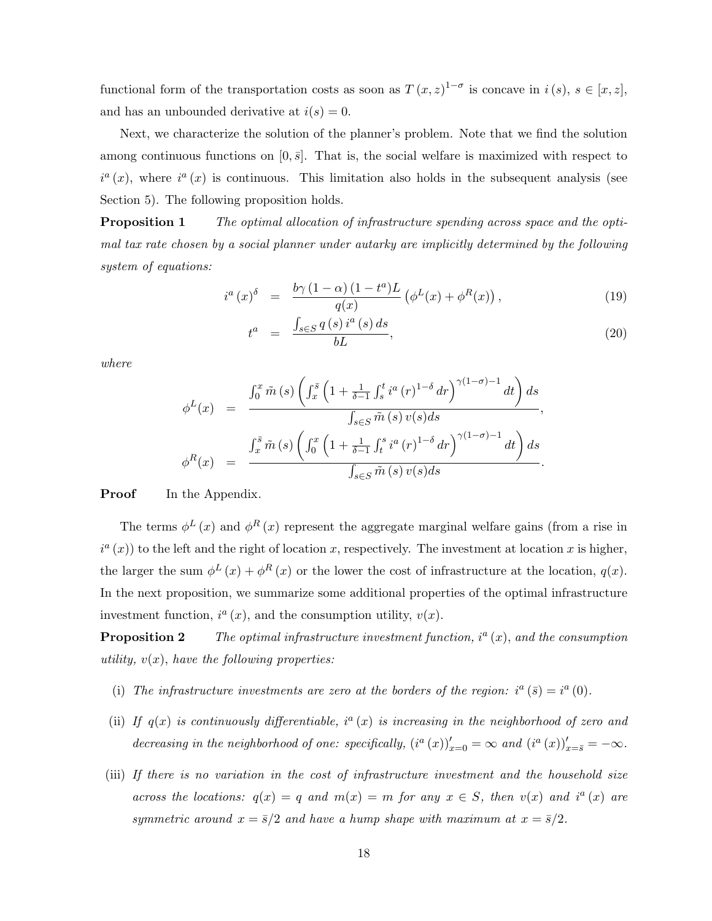functional form of the transportation costs as soon as  $T(x, z)^{1-\sigma}$  is concave in  $i(s), s \in [x, z]$ , and has an unbounded derivative at  $i(s) = 0$ .

Next, we characterize the solution of the planner's problem. Note that we find the solution among continuous functions on  $[0, \bar{s}]$ . That is, the social welfare is maximized with respect to  $i^{a}(x)$ , where  $i^{a}(x)$  is continuous. This limitation also holds in the subsequent analysis (see Section 5). The following proposition holds.

**Proposition 1** The optimal allocation of infrastructure spending across space and the optimal tax rate chosen by a social planner under autarky are implicitly determined by the following system of equations:

$$
i^{a}(x)^{\delta} = \frac{b\gamma \left(1-\alpha\right)\left(1-t^{a}\right)L}{q(x)} \left(\phi^{L}(x) + \phi^{R}(x)\right), \qquad (19)
$$

$$
t^{a} = \frac{\int_{s \in S} q(s) i^{a}(s) ds}{bL}, \qquad (20)
$$

where

$$
\phi^{L}(x) = \frac{\int_{0}^{x} \tilde{m}(s) \left( \int_{x}^{\bar{s}} \left( 1 + \frac{1}{\delta - 1} \int_{s}^{t} i^{a}(r)^{1-\delta} dr \right)^{\gamma(1-\sigma)-1} dt \right) ds}{\int_{s \in S} \tilde{m}(s) v(s) ds},
$$

$$
\phi^{R}(x) = \frac{\int_{x}^{\bar{s}} \tilde{m}(s) \left( \int_{0}^{x} \left( 1 + \frac{1}{\delta - 1} \int_{t}^{s} i^{a}(r)^{1-\delta} dr \right)^{\gamma(1-\sigma)-1} dt \right) ds}{\int_{s \in S} \tilde{m}(s) v(s) ds}.
$$

**Proof** In the Appendix.

The terms  $\phi^L(x)$  and  $\phi^R(x)$  represent the aggregate marginal welfare gains (from a rise in  $i^a(x)$ ) to the left and the right of location x, respectively. The investment at location x is higher, the larger the sum  $\phi^L(x) + \phi^R(x)$  or the lower the cost of infrastructure at the location,  $q(x)$ . In the next proposition, we summarize some additional properties of the optimal infrastructure investment function,  $i^a(x)$ , and the consumption utility,  $v(x)$ .

**Proposition 2** The optimal infrastructure investment function,  $i^a(x)$ , and the consumption utility,  $v(x)$ , have the following properties:

- (i) The infrastructure investments are zero at the borders of the region:  $i^a(\bar{s}) = i^a(0)$ .
- (ii) If  $q(x)$  is continuously differentiable,  $i^a(x)$  is increasing in the neighborhood of zero and decreasing in the neighborhood of one: specifically,  $(i^a(x))'_{x=0} = \infty$  and  $(i^a(x))'_{x=\bar{s}} = -\infty$ .
- (iii) If there is no variation in the cost of infrastructure investment and the household size across the locations:  $q(x) = q$  and  $m(x) = m$  for any  $x \in S$ , then  $v(x)$  and  $i^a(x)$  are symmetric around  $x = \bar{s}/2$  and have a hump shape with maximum at  $x = \bar{s}/2$ .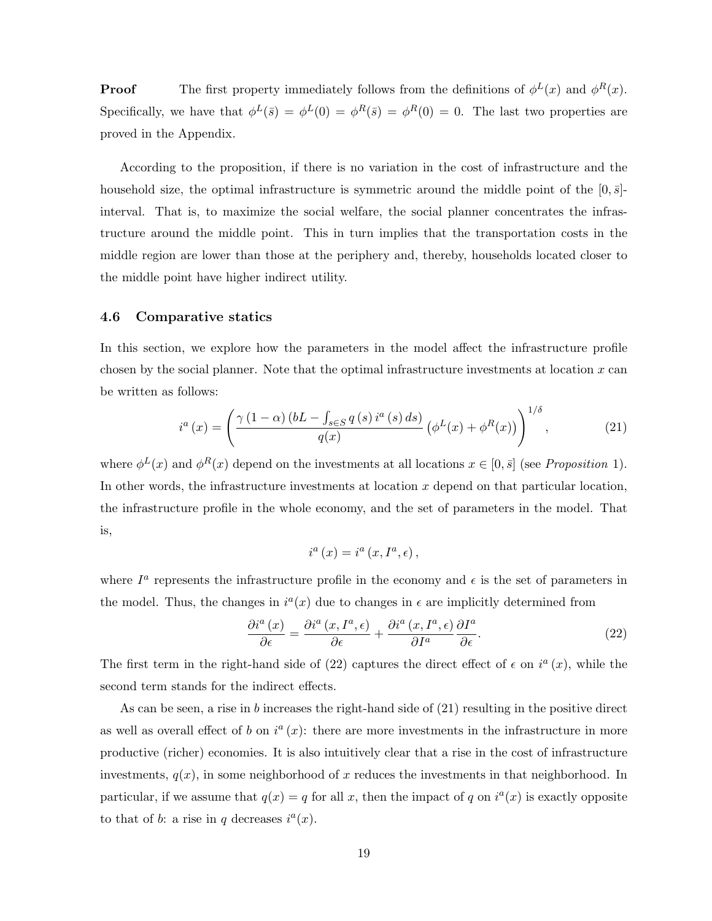**Proof** The first property immediately follows from the definitions of  $\phi^L(x)$  and  $\phi^R(x)$ . Specifically, we have that  $\phi^L(\bar{s}) = \phi^L(0) = \phi^R(\bar{s}) = \phi^R(0) = 0$ . The last two properties are proved in the Appendix.

According to the proposition, if there is no variation in the cost of infrastructure and the household size, the optimal infrastructure is symmetric around the middle point of the  $[0, \bar{s}]$ interval. That is, to maximize the social welfare, the social planner concentrates the infrastructure around the middle point. This in turn implies that the transportation costs in the middle region are lower than those at the periphery and, thereby, households located closer to the middle point have higher indirect utility.

### 4.6 Comparative statics

In this section, we explore how the parameters in the model affect the infrastructure profile chosen by the social planner. Note that the optimal infrastructure investments at location  $x$  can be written as follows:

$$
i^{a}(x) = \left(\frac{\gamma(1-\alpha)(bL - \int_{s \in S} q(s) i^{a}(s) ds)}{q(x)} \left(\phi^{L}(x) + \phi^{R}(x)\right)\right)^{1/\delta}, \tag{21}
$$

where  $\phi^L(x)$  and  $\phi^R(x)$  depend on the investments at all locations  $x \in [0, \bar{s}]$  (see *Proposition 1*). In other words, the infrastructure investments at location  $x$  depend on that particular location, the infrastructure profile in the whole economy, and the set of parameters in the model. That is,

$$
i^{a}(x) = i^{a}(x, I^{a}, \epsilon),
$$

where  $I^a$  represents the infrastructure profile in the economy and  $\epsilon$  is the set of parameters in the model. Thus, the changes in  $i^a(x)$  due to changes in  $\epsilon$  are implicitly determined from

$$
\frac{\partial i^{a}(x)}{\partial \epsilon} = \frac{\partial i^{a}(x, I^{a}, \epsilon)}{\partial \epsilon} + \frac{\partial i^{a}(x, I^{a}, \epsilon)}{\partial I^{a}} \frac{\partial I^{a}}{\partial \epsilon}.
$$
\n(22)

The first term in the right-hand side of (22) captures the direct effect of  $\epsilon$  on  $i^a(x)$ , while the second term stands for the indirect effects.

As can be seen, a rise in b increases the right-hand side of (21) resulting in the positive direct as well as overall effect of b on  $i^a(x)$ : there are more investments in the infrastructure in more productive (richer) economies. It is also intuitively clear that a rise in the cost of infrastructure investments,  $q(x)$ , in some neighborhood of x reduces the investments in that neighborhood. In particular, if we assume that  $q(x) = q$  for all x, then the impact of q on  $i^a(x)$  is exactly opposite to that of b: a rise in q decreases  $i^a(x)$ .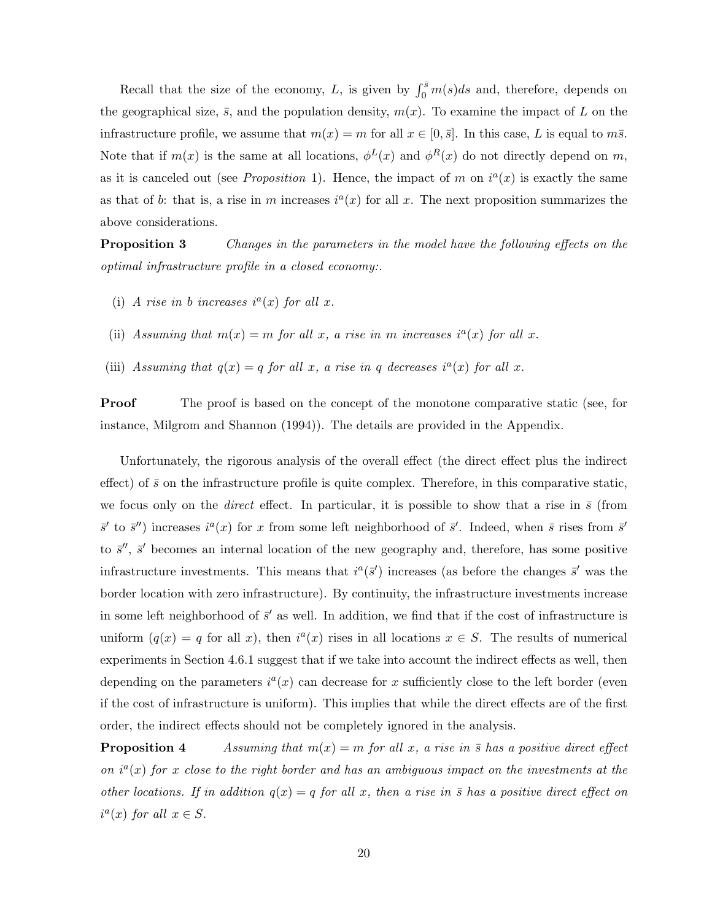Recall that the size of the economy, L, is given by  $\int_0^{\bar{s}} m(s)ds$  and, therefore, depends on the geographical size,  $\bar{s}$ , and the population density,  $m(x)$ . To examine the impact of L on the infrastructure profile, we assume that  $m(x) = m$  for all  $x \in [0, \bar{s}]$ . In this case, L is equal to  $m\bar{s}$ . Note that if  $m(x)$  is the same at all locations,  $\phi^L(x)$  and  $\phi^R(x)$  do not directly depend on m, as it is canceled out (see *Proposition* 1). Hence, the impact of m on  $i^a(x)$  is exactly the same as that of b: that is, a rise in m increases  $i^a(x)$  for all x. The next proposition summarizes the above considerations.

**Proposition 3** Changes in the parameters in the model have the following effects on the optimal infrastructure profile in a closed economy:.

- (i) A rise in b increases  $i^a(x)$  for all x.
- (ii) Assuming that  $m(x) = m$  for all x, a rise in m increases  $i^a(x)$  for all x.
- (iii) Assuming that  $q(x) = q$  for all x, a rise in q decreases  $i^a(x)$  for all x.

**Proof** The proof is based on the concept of the monotone comparative static (see, for instance, Milgrom and Shannon (1994)). The details are provided in the Appendix.

Unfortunately, the rigorous analysis of the overall effect (the direct effect plus the indirect effect) of  $\bar{s}$  on the infrastructure profile is quite complex. Therefore, in this comparative static, we focus only on the *direct* effect. In particular, it is possible to show that a rise in  $\bar{s}$  (from  $\bar{s}'$  to  $\bar{s}''$ ) increases  $i^a(x)$  for x from some left neighborhood of  $\bar{s}'$ . Indeed, when  $\bar{s}$  rises from  $\bar{s}'$ to  $\bar{s}$ ",  $\bar{s}$ ' becomes an internal location of the new geography and, therefore, has some positive infrastructure investments. This means that  $i^a(\bar{s}')$  increases (as before the changes  $\bar{s}'$  was the border location with zero infrastructure). By continuity, the infrastructure investments increase in some left neighborhood of  $\bar{s}'$  as well. In addition, we find that if the cost of infrastructure is uniform  $(q(x) = q$  for all x), then  $i^a(x)$  rises in all locations  $x \in S$ . The results of numerical experiments in Section 4.6.1 suggest that if we take into account the indirect effects as well, then depending on the parameters  $i^a(x)$  can decrease for x sufficiently close to the left border (even if the cost of infrastructure is uniform). This implies that while the direct effects are of the first order, the indirect effects should not be completely ignored in the analysis.

**Proposition 4** Assuming that  $m(x) = m$  for all x, a rise in  $\bar{s}$  has a positive direct effect on  $i^a(x)$  for x close to the right border and has an ambiguous impact on the investments at the other locations. If in addition  $q(x) = q$  for all x, then a rise in  $\bar{s}$  has a positive direct effect on  $i^a(x)$  for all  $x \in S$ .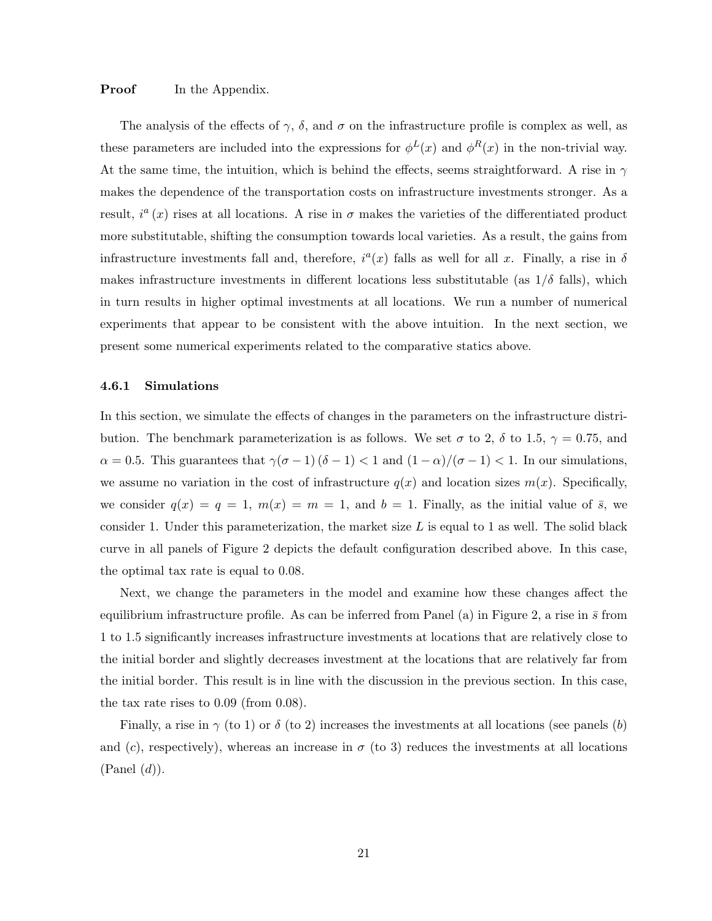## **Proof** In the Appendix.

The analysis of the effects of  $\gamma$ ,  $\delta$ , and  $\sigma$  on the infrastructure profile is complex as well, as these parameters are included into the expressions for  $\phi^L(x)$  and  $\phi^R(x)$  in the non-trivial way. At the same time, the intuition, which is behind the effects, seems straightforward. A rise in  $\gamma$ makes the dependence of the transportation costs on infrastructure investments stronger. As a result,  $i^{a}(x)$  rises at all locations. A rise in  $\sigma$  makes the varieties of the differentiated product more substitutable, shifting the consumption towards local varieties. As a result, the gains from infrastructure investments fall and, therefore,  $i^a(x)$  falls as well for all x. Finally, a rise in  $\delta$ makes infrastructure investments in different locations less substitutable (as  $1/\delta$  falls), which in turn results in higher optimal investments at all locations. We run a number of numerical experiments that appear to be consistent with the above intuition. In the next section, we present some numerical experiments related to the comparative statics above.

#### 4.6.1 Simulations

In this section, we simulate the effects of changes in the parameters on the infrastructure distribution. The benchmark parameterization is as follows. We set  $\sigma$  to 2,  $\delta$  to 1.5,  $\gamma = 0.75$ , and  $\alpha = 0.5$ . This guarantees that  $\gamma(\sigma - 1)(\delta - 1) < 1$  and  $(1 - \alpha)/(\sigma - 1) < 1$ . In our simulations, we assume no variation in the cost of infrastructure  $q(x)$  and location sizes  $m(x)$ . Specifically, we consider  $q(x) = q = 1$ ,  $m(x) = m = 1$ , and  $b = 1$ . Finally, as the initial value of  $\bar{s}$ , we consider 1. Under this parameterization, the market size  $L$  is equal to 1 as well. The solid black curve in all panels of Figure 2 depicts the default configuration described above. In this case, the optimal tax rate is equal to 0.08.

Next, we change the parameters in the model and examine how these changes affect the equilibrium infrastructure profile. As can be inferred from Panel (a) in Figure 2, a rise in  $\bar{s}$  from 1 to 1.5 significantly increases infrastructure investments at locations that are relatively close to the initial border and slightly decreases investment at the locations that are relatively far from the initial border. This result is in line with the discussion in the previous section. In this case, the tax rate rises to 0.09 (from 0.08).

Finally, a rise in  $\gamma$  (to 1) or  $\delta$  (to 2) increases the investments at all locations (see panels (b) and (c), respectively), whereas an increase in  $\sigma$  (to 3) reduces the investments at all locations  $(Panel(d)).$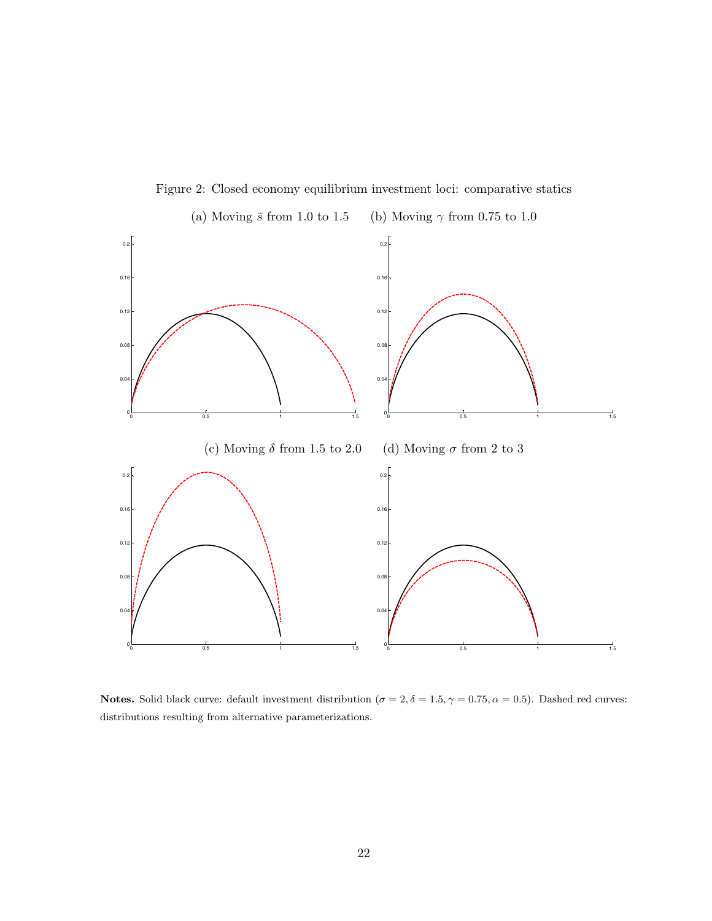

Figure 2: Closed economy equilibrium investment loci: comparative statics

Notes. Solid black curve: default investment distribution ( $\sigma = 2, \delta = 1.5, \gamma = 0.75, \alpha = 0.5$ ). Dashed red curves: distributions resulting from alternative parameterizations.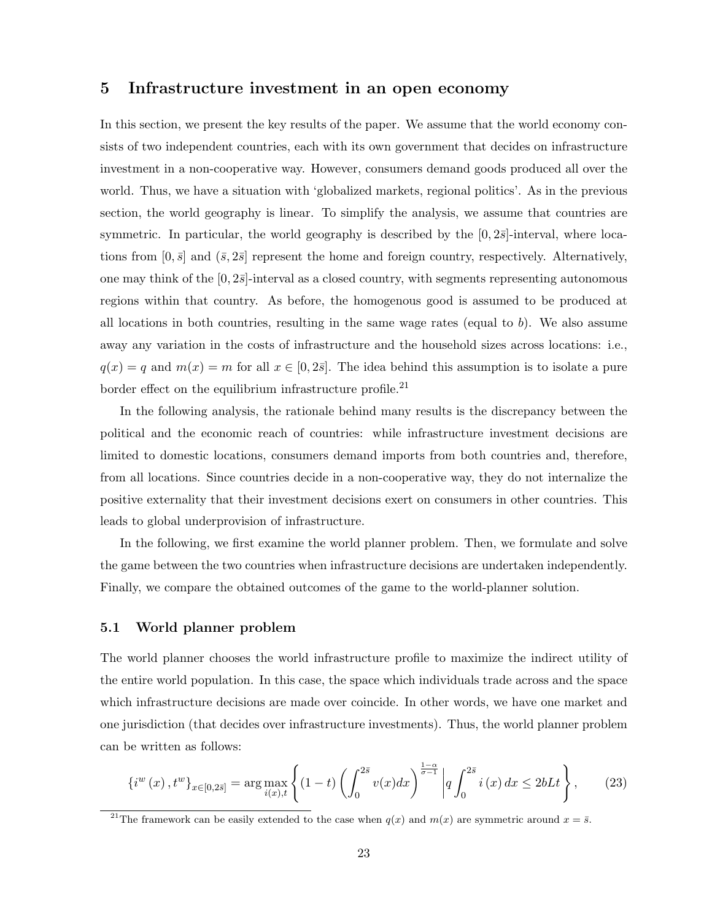## 5 Infrastructure investment in an open economy

In this section, we present the key results of the paper. We assume that the world economy consists of two independent countries, each with its own government that decides on infrastructure investment in a non-cooperative way. However, consumers demand goods produced all over the world. Thus, we have a situation with 'globalized markets, regional politics'. As in the previous section, the world geography is linear. To simplify the analysis, we assume that countries are symmetric. In particular, the world geography is described by the  $[0, 2\bar{s}]$ -interval, where locations from  $[0, \bar{s}]$  and  $(\bar{s}, 2\bar{s}]$  represent the home and foreign country, respectively. Alternatively, one may think of the  $[0, 2\bar{s}]$ -interval as a closed country, with segments representing autonomous regions within that country. As before, the homogenous good is assumed to be produced at all locations in both countries, resulting in the same wage rates (equal to  $b$ ). We also assume away any variation in the costs of infrastructure and the household sizes across locations: i.e.,  $q(x) = q$  and  $m(x) = m$  for all  $x \in [0, 2\overline{s}]$ . The idea behind this assumption is to isolate a pure border effect on the equilibrium infrastructure profile.<sup>21</sup>

In the following analysis, the rationale behind many results is the discrepancy between the political and the economic reach of countries: while infrastructure investment decisions are limited to domestic locations, consumers demand imports from both countries and, therefore, from all locations. Since countries decide in a non-cooperative way, they do not internalize the positive externality that their investment decisions exert on consumers in other countries. This leads to global underprovision of infrastructure.

In the following, we first examine the world planner problem. Then, we formulate and solve the game between the two countries when infrastructure decisions are undertaken independently. Finally, we compare the obtained outcomes of the game to the world-planner solution.

### 5.1 World planner problem

The world planner chooses the world infrastructure profile to maximize the indirect utility of the entire world population. In this case, the space which individuals trade across and the space which infrastructure decisions are made over coincide. In other words, we have one market and one jurisdiction (that decides over infrastructure investments). Thus, the world planner problem can be written as follows:

$$
\{i^{w}(x), t^{w}\}_{x \in [0,2\bar{s}]} = \arg\max_{i(x),t} \left\{ (1-t) \left( \int_{0}^{2\bar{s}} v(x)dx \right)^{\frac{1-\alpha}{\sigma-1}} \left| q \int_{0}^{2\bar{s}} i(x)dx \le 2bLt \right. \right\},
$$
 (23)

<sup>&</sup>lt;sup>21</sup>The framework can be easily extended to the case when  $q(x)$  and  $m(x)$  are symmetric around  $x = \overline{s}$ .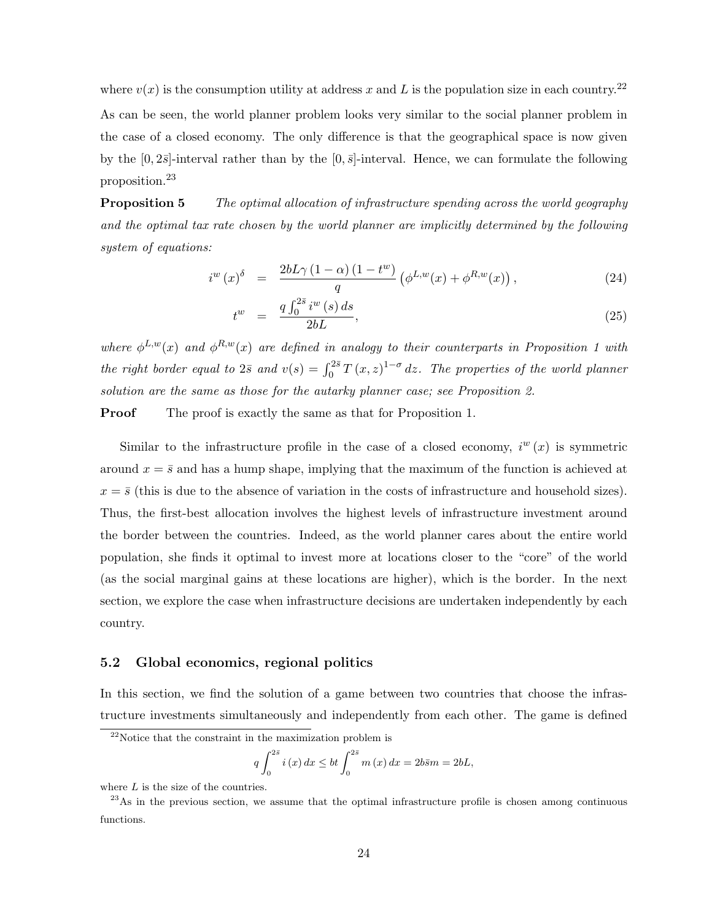where  $v(x)$  is the consumption utility at address x and L is the population size in each country.<sup>22</sup> As can be seen, the world planner problem looks very similar to the social planner problem in the case of a closed economy. The only difference is that the geographical space is now given by the  $[0, 2\bar{s}]$ -interval rather than by the  $[0, \bar{s}]$ -interval. Hence, we can formulate the following proposition.<sup>23</sup>

**Proposition 5** The optimal allocation of infrastructure spending across the world geography and the optimal tax rate chosen by the world planner are implicitly determined by the following system of equations:

$$
i^{w}(x)^{\delta} = \frac{2bL\gamma\left(1-\alpha\right)\left(1-t^{w}\right)}{q}\left(\phi^{L,w}(x)+\phi^{R,w}(x)\right),\tag{24}
$$

$$
t^{w} = \frac{q \int_0^{2\bar{s}} i^{w}(s) ds}{2bL}, \tag{25}
$$

where  $\phi^{L,w}(x)$  and  $\phi^{R,w}(x)$  are defined in analogy to their counterparts in Proposition 1 with the right border equal to  $2\bar{s}$  and  $v(s) = \int_0^{2\bar{s}} T(x, z)^{1-\sigma} dz$ . The properties of the world planner solution are the same as those for the autarky planner case; see Proposition 2.

**Proof** The proof is exactly the same as that for Proposition 1.

Similar to the infrastructure profile in the case of a closed economy,  $i^{w}(x)$  is symmetric around  $x = \overline{s}$  and has a hump shape, implying that the maximum of the function is achieved at  $x = \bar{s}$  (this is due to the absence of variation in the costs of infrastructure and household sizes). Thus, the first-best allocation involves the highest levels of infrastructure investment around the border between the countries. Indeed, as the world planner cares about the entire world population, she finds it optimal to invest more at locations closer to the "core" of the world (as the social marginal gains at these locations are higher), which is the border. In the next section, we explore the case when infrastructure decisions are undertaken independently by each country.

### 5.2 Global economics, regional politics

In this section, we find the solution of a game between two countries that choose the infrastructure investments simultaneously and independently from each other. The game is defined

$$
q \int_0^{2\bar{s}} i(x) dx \le bt \int_0^{2\bar{s}} m(x) dx = 2b\bar{s}m = 2bL,
$$

<sup>22</sup>Notice that the constraint in the maximization problem is

where  $L$  is the size of the countries.

 $^{23}$ As in the previous section, we assume that the optimal infrastructure profile is chosen among continuous functions.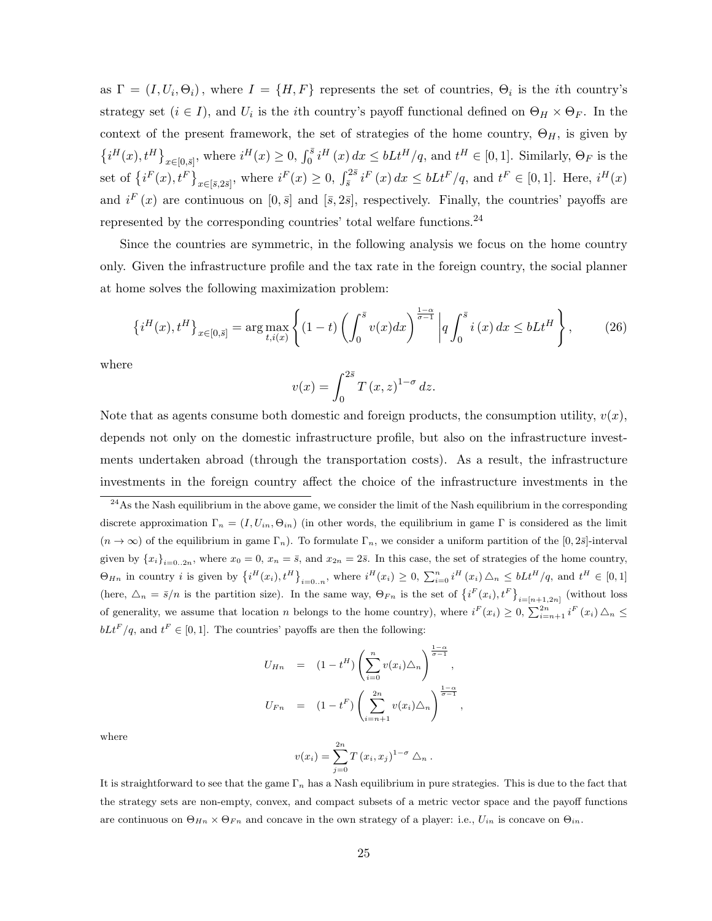as  $\Gamma = (I, U_i, \Theta_i)$ , where  $I = \{H, F\}$  represents the set of countries,  $\Theta_i$  is the *i*th country's strategy set  $(i \in I)$ , and  $U_i$  is the *i*th country's payoff functional defined on  $\Theta_H \times \Theta_F$ . In the context of the present framework, the set of strategies of the home country,  $\Theta_H$ , is given by  $\{i^H(x), t^H\}_{x\in[0,\bar{s}]},$  where  $i^H(x)\geq 0$ ,  $\int_0^{\bar{s}} i^H(x) dx \leq bLt^H/q$ , and  $t^H \in [0,1]$ . Similarly,  $\Theta_F$  is the set of  $\{i^F(x), t^F\}_{x \in [\bar{s}, 2\bar{s}]}$ , where  $i^F(x) \ge 0$ ,  $\int_{\bar{s}}^{2\bar{s}} i^F(x) dx \le bLt^F/q$ , and  $t^F \in [0, 1]$ . Here,  $i^H(x)$ and  $i^F(x)$  are continuous on  $[0, \bar{s}]$  and  $[\bar{s}, 2\bar{s}]$ , respectively. Finally, the countries' payoffs are represented by the corresponding countries' total welfare functions.<sup>24</sup>

Since the countries are symmetric, in the following analysis we focus on the home country only. Given the infrastructure profile and the tax rate in the foreign country, the social planner at home solves the following maximization problem:

$$
\left\{i^{H}(x), t^{H}\right\}_{x \in [0,\bar{s}]} = \arg\max_{t, i(x)} \left\{ (1-t) \left( \int_{0}^{\bar{s}} v(x) dx \right)^{\frac{1-\alpha}{\sigma-1}} \left| q \int_{0}^{\bar{s}} i(x) dx \leq bLt^{H} \right\},\right\}
$$
(26)

where

$$
v(x) = \int_0^{2\bar{s}} T(x, z)^{1-\sigma} dz.
$$

Note that as agents consume both domestic and foreign products, the consumption utility,  $v(x)$ , depends not only on the domestic infrastructure profile, but also on the infrastructure investments undertaken abroad (through the transportation costs). As a result, the infrastructure investments in the foreign country affect the choice of the infrastructure investments in the

$$
U_{Hn} = (1 - t^{H}) \left( \sum_{i=0}^{n} v(x_{i}) \Delta_{n} \right)^{\frac{1-\alpha}{\sigma-1}},
$$
  

$$
U_{Fn} = (1 - t^{F}) \left( \sum_{i=n+1}^{2n} v(x_{i}) \Delta_{n} \right)^{\frac{1-\alpha}{\sigma-1}},
$$

where

$$
v(x_i) = \sum_{j=0}^{2n} T(x_i, x_j)^{1-\sigma} \Delta_n
$$
.

It is straightforward to see that the game  $\Gamma_n$  has a Nash equilibrium in pure strategies. This is due to the fact that the strategy sets are non-empty, convex, and compact subsets of a metric vector space and the payoff functions are continuous on  $\Theta_{H_n} \times \Theta_{F_n}$  and concave in the own strategy of a player: i.e.,  $U_{in}$  is concave on  $\Theta_{in}$ .

 $^{24}$ As the Nash equilibrium in the above game, we consider the limit of the Nash equilibrium in the corresponding discrete approximation  $\Gamma_n = (I, U_{in}, \Theta_{in})$  (in other words, the equilibrium in game  $\Gamma$  is considered as the limit  $(n \to \infty)$  of the equilibrium in game  $\Gamma_n$ ). To formulate  $\Gamma_n$ , we consider a uniform partition of the [0, 2 $\bar{s}$ ]-interval given by  ${x_i}_{i=0..2n}$ , where  $x_0 = 0$ ,  $x_n = \overline{s}$ , and  $x_{2n} = 2\overline{s}$ . In this case, the set of strategies of the home country,  $\Theta_{H_n}$  in country *i* is given by  $\left\{i^H(x_i), t^H\right\}_{i=0..n}$ , where  $i^H(x_i) \geq 0$ ,  $\sum_{i=0}^n i^H(x_i) \triangle_n \leq bLt^H/q$ , and  $t^H \in [0,1]$ (here,  $\Delta_n = \bar{s}/n$  is the partition size). In the same way,  $\Theta_{Fn}$  is the set of  $\{i^F(x_i), t^F\}_{i=[n+1,2n]}$  (without loss of generality, we assume that location n belongs to the home country), where  $i^F(x_i) \geq 0$ ,  $\sum_{i=n+1}^{2n} i^F(x_i) \triangle_n \leq$  $bLt^F/q$ , and  $t^F \in [0,1]$ . The countries' payoffs are then the following: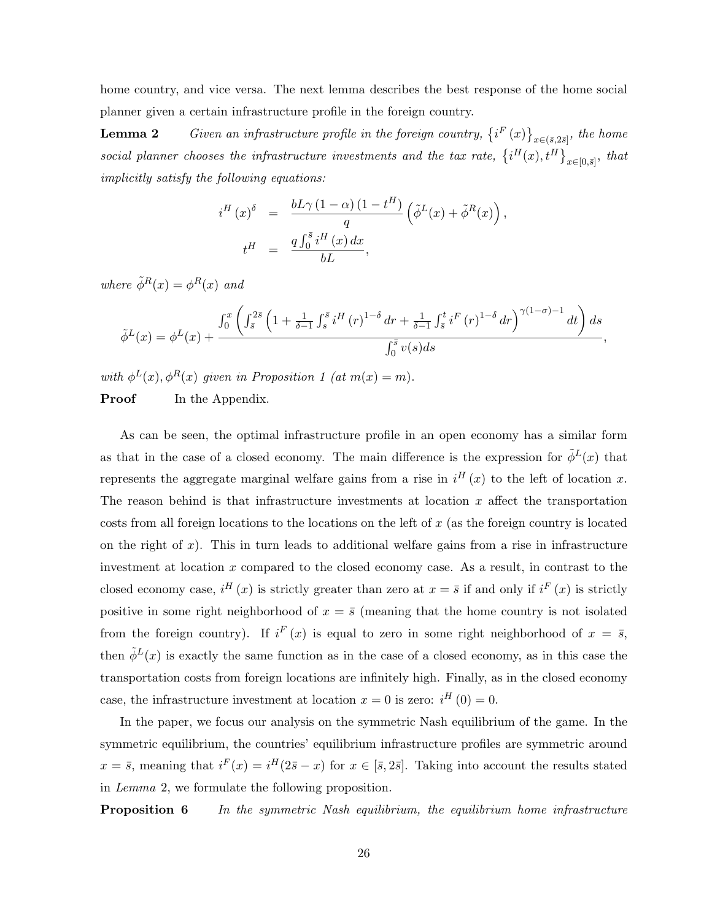home country, and vice versa. The next lemma describes the best response of the home social planner given a certain infrastructure profile in the foreign country.

**Lemma 2** Given an infrastructure profile in the foreign country,  $\{i^F(x)\}_{x\in (\bar{s},2\bar{s}]},\}$  the home social planner chooses the infrastructure investments and the tax rate,  $\{i^H(x), t^H\}_{x \in [0,\bar{s}]}$ , that implicitly satisfy the following equations:

$$
i^H(x)^{\delta} = \frac{bL\gamma (1-\alpha) (1-t^H)}{q} (\tilde{\phi}^L(x) + \tilde{\phi}^R(x)),
$$
  

$$
t^H = \frac{q \int_0^{\bar{s}} i^H(x) dx}{bL},
$$

where  $\tilde{\phi}^R(x) = \phi^R(x)$  and

$$
\tilde{\phi}^{L}(x) = \phi^{L}(x) + \frac{\int_{0}^{x} \left( \int_{\bar{s}}^{2\bar{s}} \left( 1 + \frac{1}{\delta - 1} \int_{s}^{\bar{s}} i^{H}(r)^{1-\delta} dr + \frac{1}{\delta - 1} \int_{\bar{s}}^{t} i^{F}(r)^{1-\delta} dr \right)^{\gamma(1-\sigma)-1} dt \right) ds}{\int_{0}^{\bar{s}} v(s) ds},
$$

with  $\phi^L(x)$ ,  $\phi^R(x)$  given in Proposition 1 (at  $m(x) = m$ ).

**Proof** In the Appendix.

As can be seen, the optimal infrastructure profile in an open economy has a similar form as that in the case of a closed economy. The main difference is the expression for  $\tilde{\phi}^L(x)$  that represents the aggregate marginal welfare gains from a rise in  $i^H(x)$  to the left of location x. The reason behind is that infrastructure investments at location  $x$  affect the transportation costs from all foreign locations to the locations on the left of  $x$  (as the foreign country is located on the right of  $x$ ). This in turn leads to additional welfare gains from a rise in infrastructure investment at location  $x$  compared to the closed economy case. As a result, in contrast to the closed economy case,  $i^H(x)$  is strictly greater than zero at  $x = \overline{s}$  if and only if  $i^F(x)$  is strictly positive in some right neighborhood of  $x = \bar{s}$  (meaning that the home country is not isolated from the foreign country). If  $i^F(x)$  is equal to zero in some right neighborhood of  $x = \overline{s}$ , then  $\tilde{\phi}^L(x)$  is exactly the same function as in the case of a closed economy, as in this case the transportation costs from foreign locations are infinitely high. Finally, as in the closed economy case, the infrastructure investment at location  $x = 0$  is zero:  $i^H(0) = 0$ .

In the paper, we focus our analysis on the symmetric Nash equilibrium of the game. In the symmetric equilibrium, the countries' equilibrium infrastructure profiles are symmetric around  $x = \bar{s}$ , meaning that  $i^F(x) = i^H(2\bar{s} - x)$  for  $x \in [\bar{s}, 2\bar{s}]$ . Taking into account the results stated in Lemma 2, we formulate the following proposition.

**Proposition 6** In the symmetric Nash equilibrium, the equilibrium home infrastructure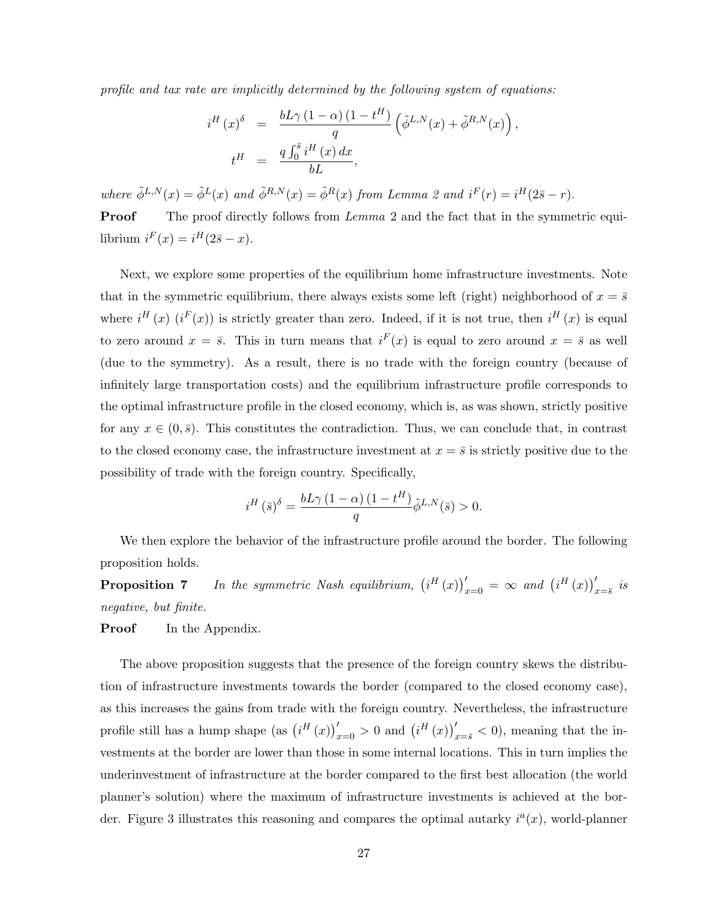profile and tax rate are implicitly determined by the following system of equations:

$$
i^H(x)^{\delta} = \frac{bL\gamma (1-\alpha) (1-t^H)}{q} \left( \tilde{\phi}^{L,N}(x) + \tilde{\phi}^{R,N}(x) \right),
$$
  

$$
t^H = \frac{q \int_0^{\bar{s}} i^H(x) dx}{bL},
$$

where  $\tilde{\phi}^{L,N}(x) = \tilde{\phi}^L(x)$  and  $\tilde{\phi}^{R,N}(x) = \tilde{\phi}^R(x)$  from Lemma 2 and  $i^F(r) = i^H(2\bar{s} - r)$ .

**Proof** The proof directly follows from *Lemma* 2 and the fact that in the symmetric equilibrium  $i^F(x) = i^H(2\overline{s} - x)$ .

Next, we explore some properties of the equilibrium home infrastructure investments. Note that in the symmetric equilibrium, there always exists some left (right) neighborhood of  $x = \bar{s}$ where  $i^H(x)$   $(i^F(x))$  is strictly greater than zero. Indeed, if it is not true, then  $i^H(x)$  is equal to zero around  $x = \bar{s}$ . This in turn means that  $i^{F}(x)$  is equal to zero around  $x = \bar{s}$  as well (due to the symmetry). As a result, there is no trade with the foreign country (because of infinitely large transportation costs) and the equilibrium infrastructure profile corresponds to the optimal infrastructure profile in the closed economy, which is, as was shown, strictly positive for any  $x \in (0, \bar{s})$ . This constitutes the contradiction. Thus, we can conclude that, in contrast to the closed economy case, the infrastructure investment at  $x = \bar{s}$  is strictly positive due to the possibility of trade with the foreign country. Specifically,

$$
i^H(\bar{s})^{\delta} = \frac{bL\gamma (1-\alpha) (1-t^H)}{q} \tilde{\phi}^{L,N}(\bar{s}) > 0.
$$

We then explore the behavior of the infrastructure profile around the border. The following proposition holds.

**Proposition 7** In the symmetric Nash equilibrium,  $(i^H(x))'_{x=0} = \infty$  and  $(i^H(x))'_{x=\overline{s}}$  is negative, but finite.

#### **Proof** In the Appendix.

The above proposition suggests that the presence of the foreign country skews the distribution of infrastructure investments towards the border (compared to the closed economy case), as this increases the gains from trade with the foreign country. Nevertheless, the infrastructure profile still has a hump shape  $(\text{as } (i^H(x))'_{x=0} > 0 \text{ and } (i^H(x))'_{x=\bar{s}} < 0)$ , meaning that the investments at the border are lower than those in some internal locations. This in turn implies the underinvestment of infrastructure at the border compared to the first best allocation (the world planner's solution) where the maximum of infrastructure investments is achieved at the border. Figure 3 illustrates this reasoning and compares the optimal autarky  $i^a(x)$ , world-planner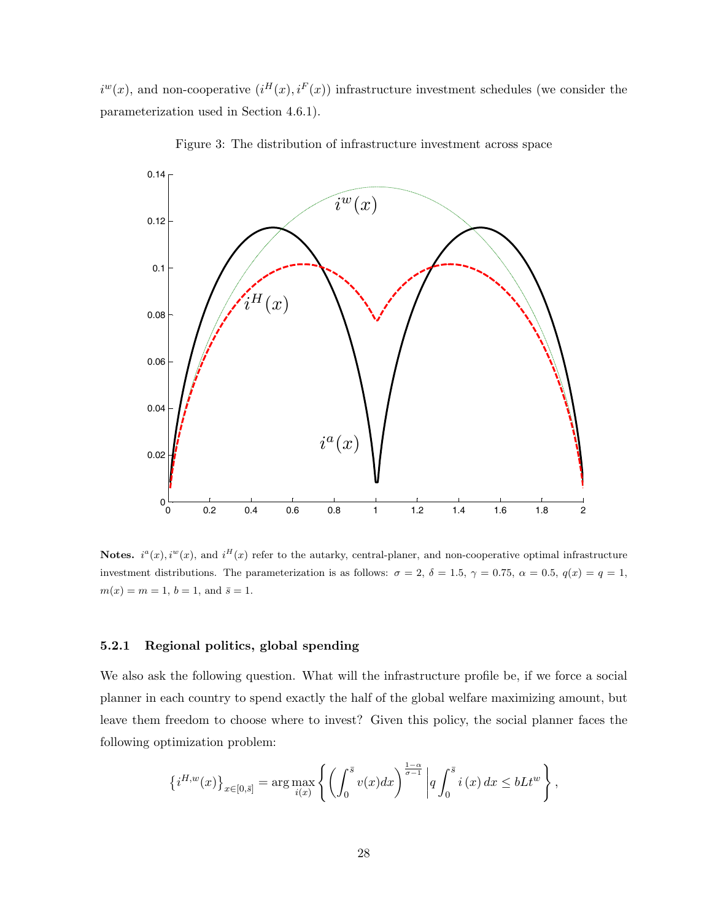$i^{w}(x)$ , and non-cooperative  $(i^{H}(x), i^{F}(x))$  infrastructure investment schedules (we consider the parameterization used in Section 4.6.1).



Figure 3: The distribution of infrastructure investment across space

**Notes.**  $i^{a}(x)$ ,  $i^{w}(x)$ , and  $i^{H}(x)$  refer to the autarky, central-planer, and non-cooperative optimal infrastructure investment distributions. The parameterization is as follows:  $\sigma = 2$ ,  $\delta = 1.5$ ,  $\gamma = 0.75$ ,  $\alpha = 0.5$ ,  $q(x) = q = 1$ ,  $m(x) = m = 1, b = 1, \text{ and } \bar{s} = 1.$ 

## 5.2.1 Regional politics, global spending

We also ask the following question. What will the infrastructure profile be, if we force a social planner in each country to spend exactly the half of the global welfare maximizing amount, but leave them freedom to choose where to invest? Given this policy, the social planner faces the following optimization problem:

$$
\left\{i^{H,w}(x)\right\}_{x\in[0,\bar{s}]} = \arg\max_{i(x)}\left\{\left(\int_0^{\bar{s}}v(x)dx\right)^{\frac{1-\alpha}{\sigma-1}}\left|q\int_0^{\bar{s}}i(x)\,dx\leq bLt^w\right\},\right\}
$$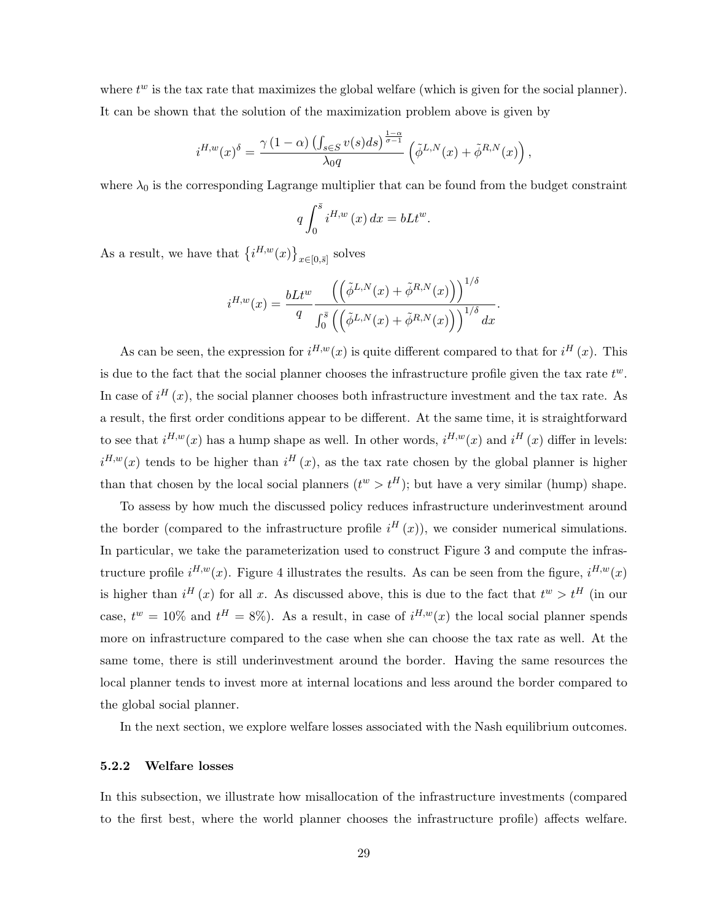where  $t^w$  is the tax rate that maximizes the global welfare (which is given for the social planner). It can be shown that the solution of the maximization problem above is given by

$$
i^{H,w}(x)^{\delta} = \frac{\gamma (1-\alpha) \left( \int_{s \in S} v(s) ds \right)^{\frac{1-\alpha}{\sigma-1}}}{\lambda_0 q} \left( \tilde{\phi}^{L,N}(x) + \tilde{\phi}^{R,N}(x) \right),
$$

where  $\lambda_0$  is the corresponding Lagrange multiplier that can be found from the budget constraint

$$
q\int_0^{\bar{s}} i^{H,w}(x) dx = bLt^w.
$$

As a result, we have that  $\{i^{H,w}(x)\}_{x\in[0,\bar{s}]}$  solves

$$
i^{H,w}(x) = \frac{bLt^w}{q} \frac{\left(\left(\tilde{\phi}^{L,N}(x) + \tilde{\phi}^{R,N}(x)\right)\right)^{1/\delta}}{\int_0^{\bar{s}} \left(\left(\tilde{\phi}^{L,N}(x) + \tilde{\phi}^{R,N}(x)\right)\right)^{1/\delta} dx}.
$$

As can be seen, the expression for  $i^{H,w}(x)$  is quite different compared to that for  $i^H(x)$ . This is due to the fact that the social planner chooses the infrastructure profile given the tax rate  $t^w$ . In case of  $i^H(x)$ , the social planner chooses both infrastructure investment and the tax rate. As a result, the first order conditions appear to be different. At the same time, it is straightforward to see that  $i^{H,w}(x)$  has a hump shape as well. In other words,  $i^{H,w}(x)$  and  $i^{H}(x)$  differ in levels:  $i^{H,w}(x)$  tends to be higher than  $i^H(x)$ , as the tax rate chosen by the global planner is higher than that chosen by the local social planners  $(t^w > t^H)$ ; but have a very similar (hump) shape.

To assess by how much the discussed policy reduces infrastructure underinvestment around the border (compared to the infrastructure profile  $i^H(x)$ ), we consider numerical simulations. In particular, we take the parameterization used to construct Figure 3 and compute the infrastructure profile  $i^{H,w}(x)$ . Figure 4 illustrates the results. As can be seen from the figure,  $i^{H,w}(x)$ is higher than  $i^H(x)$  for all x. As discussed above, this is due to the fact that  $t^w > t^H$  (in our case,  $t^w = 10\%$  and  $t^H = 8\%$ ). As a result, in case of  $i^{H,w}(x)$  the local social planner spends more on infrastructure compared to the case when she can choose the tax rate as well. At the same tome, there is still underinvestment around the border. Having the same resources the local planner tends to invest more at internal locations and less around the border compared to the global social planner.

In the next section, we explore welfare losses associated with the Nash equilibrium outcomes.

## 5.2.2 Welfare losses

In this subsection, we illustrate how misallocation of the infrastructure investments (compared to the first best, where the world planner chooses the infrastructure profile) affects welfare.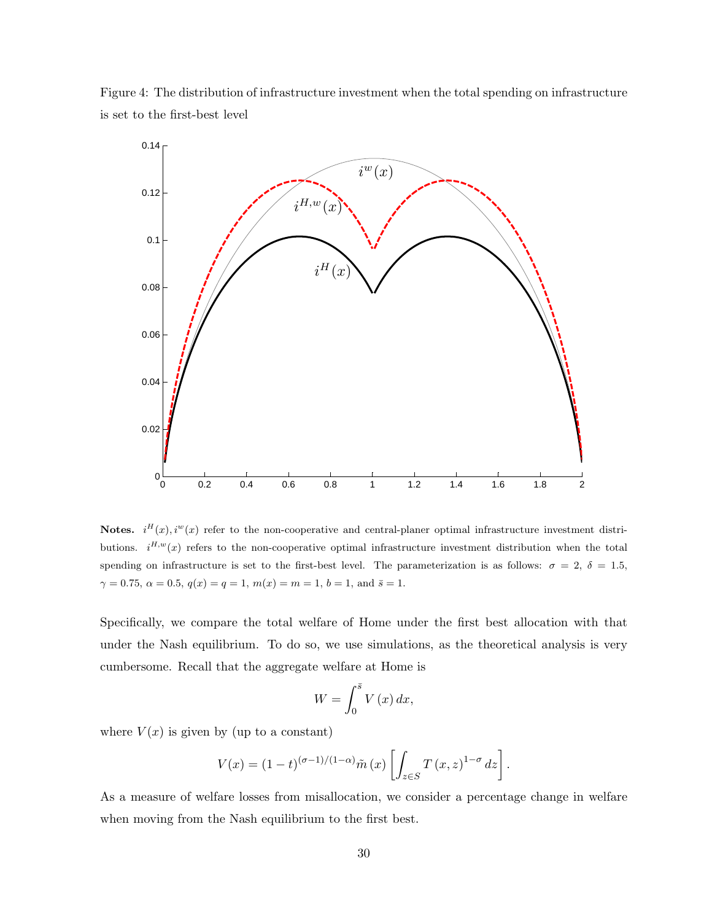Figure 4: The distribution of infrastructure investment when the total spending on infrastructure is set to the first-best level



Notes.  $i^{H}(x), i^{W}(x)$  refer to the non-cooperative and central-planer optimal infrastructure investment distributions.  $i^{H,w}(x)$  refers to the non-cooperative optimal infrastructure investment distribution when the total spending on infrastructure is set to the first-best level. The parameterization is as follows:  $\sigma = 2$ ,  $\delta = 1.5$ ,  $\gamma = 0.75, \ \alpha = 0.5, \ q(x) = q = 1, \ m(x) = m = 1, \ b = 1, \text{ and } \ \bar{s} = 1.$ 

Specifically, we compare the total welfare of Home under the first best allocation with that under the Nash equilibrium. To do so, we use simulations, as the theoretical analysis is very cumbersome. Recall that the aggregate welfare at Home is

$$
W = \int_0^{\bar{s}} V(x) \, dx,
$$

where  $V(x)$  is given by (up to a constant)

$$
V(x) = (1-t)^{(\sigma-1)/(1-\alpha)} \tilde{m}(x) \left[ \int_{z \in S} T(x,z)^{1-\sigma} dz \right].
$$

As a measure of welfare losses from misallocation, we consider a percentage change in welfare when moving from the Nash equilibrium to the first best.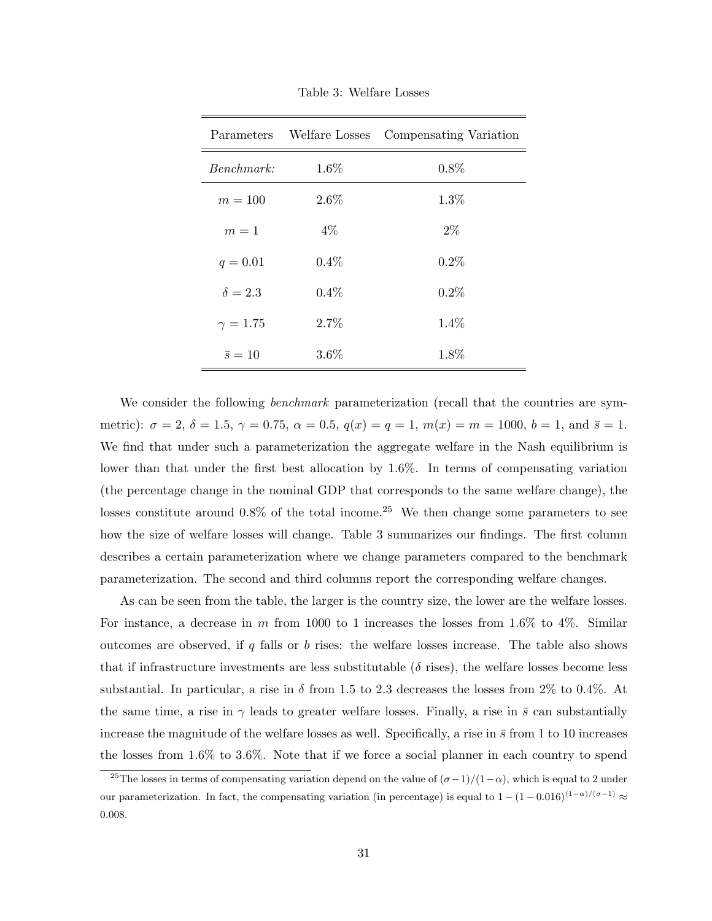|                | Parameters Welfare Losses | Compensating Variation |  |  |
|----------------|---------------------------|------------------------|--|--|
| Benchmark:     | 1.6%                      | 0.8%                   |  |  |
| $m=100$        | $2.6\%$                   | 1.3%                   |  |  |
| $m=1$          | $4\%$                     | $2\%$                  |  |  |
| $q = 0.01$     | $0.4\%$                   | 0.2%                   |  |  |
| $\delta = 2.3$ | $0.4\%$                   | 0.2%                   |  |  |
| $\gamma=1.75$  | 2.7%                      | $1.4\%$                |  |  |
| $\bar{s}=10$   | $3.6\%$                   | 1.8%                   |  |  |

Table 3: Welfare Losses

We consider the following *benchmark* parameterization (recall that the countries are symmetric):  $\sigma = 2$ ,  $\delta = 1.5$ ,  $\gamma = 0.75$ ,  $\alpha = 0.5$ ,  $q(x) = q = 1$ ,  $m(x) = m = 1000$ ,  $b = 1$ , and  $\bar{s} = 1$ . We find that under such a parameterization the aggregate welfare in the Nash equilibrium is lower than that under the first best allocation by 1.6%. In terms of compensating variation (the percentage change in the nominal GDP that corresponds to the same welfare change), the losses constitute around  $0.8\%$  of the total income.<sup>25</sup> We then change some parameters to see how the size of welfare losses will change. Table 3 summarizes our findings. The first column describes a certain parameterization where we change parameters compared to the benchmark parameterization. The second and third columns report the corresponding welfare changes.

As can be seen from the table, the larger is the country size, the lower are the welfare losses. For instance, a decrease in  $m$  from 1000 to 1 increases the losses from 1.6% to 4%. Similar outcomes are observed, if  $q$  falls or  $b$  rises: the welfare losses increase. The table also shows that if infrastructure investments are less substitutable ( $\delta$  rises), the welfare losses become less substantial. In particular, a rise in  $\delta$  from 1.5 to 2.3 decreases the losses from 2% to 0.4%. At the same time, a rise in  $\gamma$  leads to greater welfare losses. Finally, a rise in  $\bar{s}$  can substantially increase the magnitude of the welfare losses as well. Specifically, a rise in  $\bar{s}$  from 1 to 10 increases the losses from 1.6% to 3.6%. Note that if we force a social planner in each country to spend

<sup>&</sup>lt;sup>25</sup>The losses in terms of compensating variation depend on the value of  $(\sigma-1)/(1-\alpha)$ , which is equal to 2 under our parameterization. In fact, the compensating variation (in percentage) is equal to  $1 - (1 - 0.016)^{(1 - \alpha)/(\sigma - 1)} \approx$ 0.008.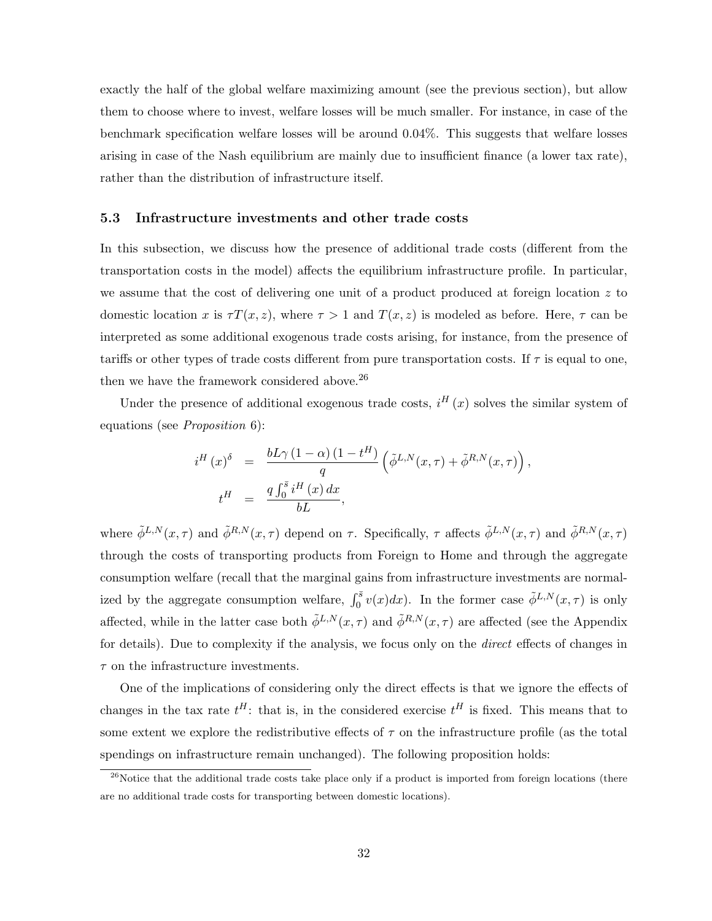exactly the half of the global welfare maximizing amount (see the previous section), but allow them to choose where to invest, welfare losses will be much smaller. For instance, in case of the benchmark specification welfare losses will be around 0.04%. This suggests that welfare losses arising in case of the Nash equilibrium are mainly due to insufficient finance (a lower tax rate), rather than the distribution of infrastructure itself.

## 5.3 Infrastructure investments and other trade costs

In this subsection, we discuss how the presence of additional trade costs (different from the transportation costs in the model) affects the equilibrium infrastructure profile. In particular, we assume that the cost of delivering one unit of a product produced at foreign location  $z$  to domestic location x is  $\tau T(x, z)$ , where  $\tau > 1$  and  $T(x, z)$  is modeled as before. Here,  $\tau$  can be interpreted as some additional exogenous trade costs arising, for instance, from the presence of tariffs or other types of trade costs different from pure transportation costs. If  $\tau$  is equal to one, then we have the framework considered above.<sup>26</sup>

Under the presence of additional exogenous trade costs,  $i^H(x)$  solves the similar system of equations (see Proposition 6):

$$
i^H(x)^{\delta} = \frac{bL\gamma (1-\alpha) (1-t^H)}{q} \left( \tilde{\phi}^{L,N}(x,\tau) + \tilde{\phi}^{R,N}(x,\tau) \right),
$$
  
\n
$$
t^H = \frac{q \int_0^{\bar{s}} i^H(x) dx}{bL},
$$

where  $\tilde{\phi}^{L,N}(x,\tau)$  and  $\tilde{\phi}^{R,N}(x,\tau)$  depend on  $\tau$ . Specifically,  $\tau$  affects  $\tilde{\phi}^{L,N}(x,\tau)$  and  $\tilde{\phi}^{R,N}(x,\tau)$ through the costs of transporting products from Foreign to Home and through the aggregate consumption welfare (recall that the marginal gains from infrastructure investments are normalized by the aggregate consumption welfare,  $\int_0^{\bar{s}} v(x) dx$ ). In the former case  $\tilde{\phi}^{L,N}(x,\tau)$  is only affected, while in the latter case both  $\tilde{\phi}^{L,N}(x,\tau)$  and  $\tilde{\phi}^{R,N}(x,\tau)$  are affected (see the Appendix for details). Due to complexity if the analysis, we focus only on the *direct* effects of changes in  $\tau$  on the infrastructure investments.

One of the implications of considering only the direct effects is that we ignore the effects of changes in the tax rate  $t^H$ : that is, in the considered exercise  $t^H$  is fixed. This means that to some extent we explore the redistributive effects of  $\tau$  on the infrastructure profile (as the total spendings on infrastructure remain unchanged). The following proposition holds:

 $26$ Notice that the additional trade costs take place only if a product is imported from foreign locations (there are no additional trade costs for transporting between domestic locations).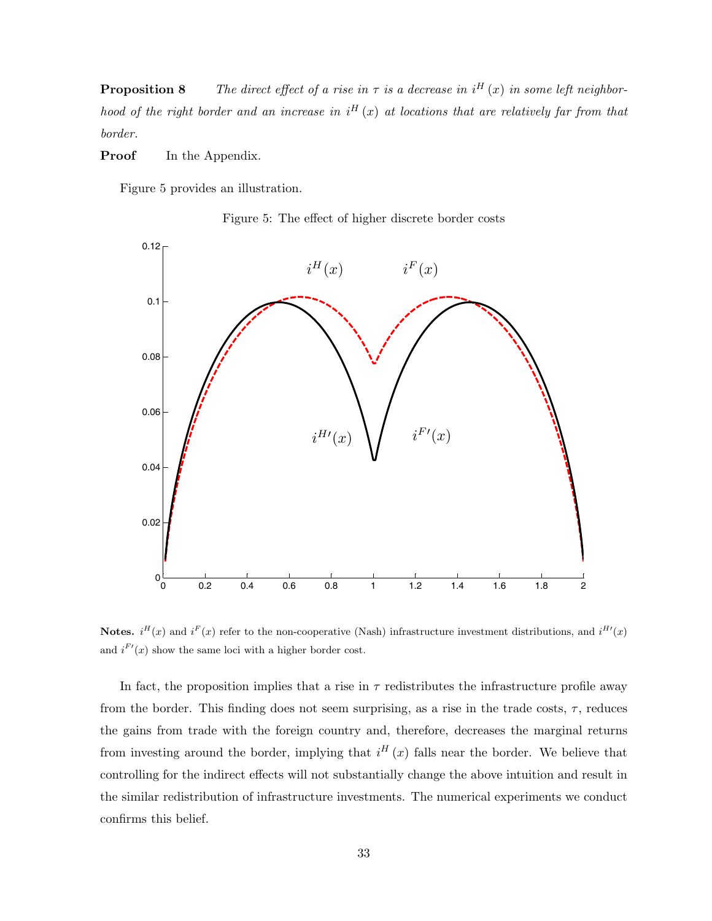**Proposition 8** The direct effect of a rise in  $\tau$  is a decrease in i<sup>H</sup> (x) in some left neighborhood of the right border and an increase in  $i^H(x)$  at locations that are relatively far from that border.

**Proof** In the Appendix.

Figure 5 provides an illustration.





Notes.  $i^{H}(x)$  and  $i^{F}(x)$  refer to the non-cooperative (Nash) infrastructure investment distributions, and  $i^{H'}(x)$ and  $i^{F'}(x)$  show the same loci with a higher border cost.

In fact, the proposition implies that a rise in  $\tau$  redistributes the infrastructure profile away from the border. This finding does not seem surprising, as a rise in the trade costs,  $\tau$ , reduces the gains from trade with the foreign country and, therefore, decreases the marginal returns from investing around the border, implying that  $i^H(x)$  falls near the border. We believe that controlling for the indirect effects will not substantially change the above intuition and result in the similar redistribution of infrastructure investments. The numerical experiments we conduct confirms this belief.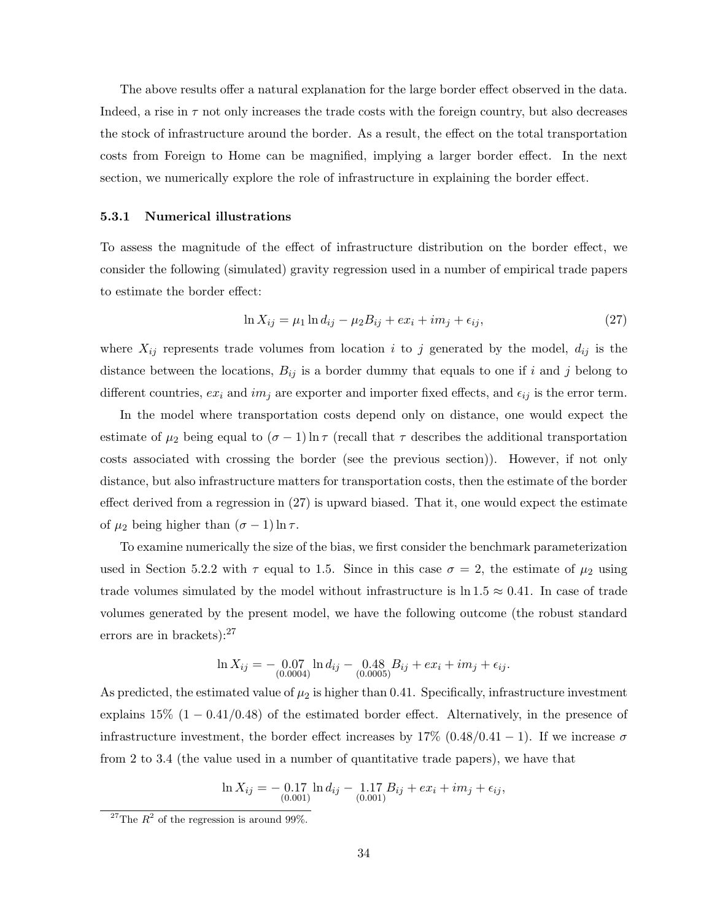The above results offer a natural explanation for the large border effect observed in the data. Indeed, a rise in  $\tau$  not only increases the trade costs with the foreign country, but also decreases the stock of infrastructure around the border. As a result, the effect on the total transportation costs from Foreign to Home can be magnified, implying a larger border effect. In the next section, we numerically explore the role of infrastructure in explaining the border effect.

#### 5.3.1 Numerical illustrations

To assess the magnitude of the effect of infrastructure distribution on the border effect, we consider the following (simulated) gravity regression used in a number of empirical trade papers to estimate the border effect:

$$
\ln X_{ij} = \mu_1 \ln d_{ij} - \mu_2 B_{ij} + ex_i + im_j + \epsilon_{ij},\tag{27}
$$

where  $X_{ij}$  represents trade volumes from location i to j generated by the model,  $d_{ij}$  is the distance between the locations,  $B_{ij}$  is a border dummy that equals to one if i and j belong to different countries,  $ex_i$  and  $im_j$  are exporter and importer fixed effects, and  $\epsilon_{ij}$  is the error term.

In the model where transportation costs depend only on distance, one would expect the estimate of  $\mu_2$  being equal to  $(\sigma - 1) \ln \tau$  (recall that  $\tau$  describes the additional transportation costs associated with crossing the border (see the previous section)). However, if not only distance, but also infrastructure matters for transportation costs, then the estimate of the border effect derived from a regression in (27) is upward biased. That it, one would expect the estimate of  $\mu_2$  being higher than  $(\sigma - 1) \ln \tau$ .

To examine numerically the size of the bias, we first consider the benchmark parameterization used in Section 5.2.2 with  $\tau$  equal to 1.5. Since in this case  $\sigma = 2$ , the estimate of  $\mu_2$  using trade volumes simulated by the model without infrastructure is  $\ln 1.5 \approx 0.41$ . In case of trade volumes generated by the present model, we have the following outcome (the robust standard errors are in brackets):<sup>27</sup>

$$
\ln X_{ij} = -\underset{(0.0004)}{0.07} \ln d_{ij} - \underset{(0.0005)}{0.48} B_{ij} + ex_i + im_j + \epsilon_{ij}.
$$

As predicted, the estimated value of  $\mu_2$  is higher than 0.41. Specifically, infrastructure investment explains  $15\%$  (1 – 0.41/0.48) of the estimated border effect. Alternatively, in the presence of infrastructure investment, the border effect increases by  $17\%$   $(0.48/0.41 - 1)$ . If we increase  $\sigma$ from 2 to 3.4 (the value used in a number of quantitative trade papers), we have that

$$
\ln X_{ij} = -\underset{(0.001)}{0.17} \ln d_{ij} - \underset{(0.001)}{1.17} B_{ij} + ex_i + im_j + \epsilon_{ij},
$$

<sup>&</sup>lt;sup>27</sup>The  $R^2$  of the regression is around 99%.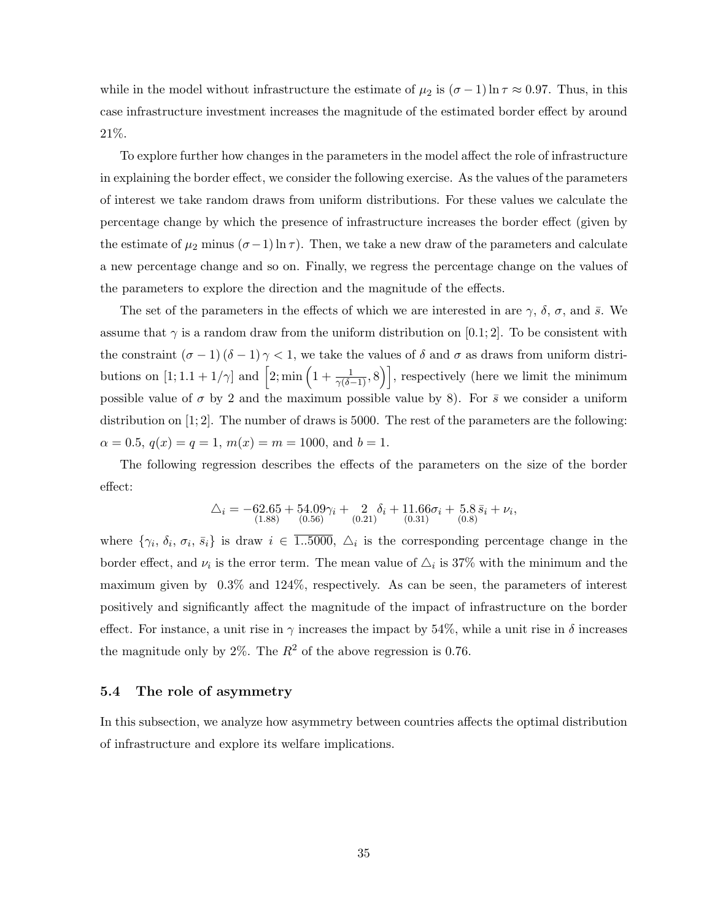while in the model without infrastructure the estimate of  $\mu_2$  is  $(\sigma - 1) \ln \tau \approx 0.97$ . Thus, in this case infrastructure investment increases the magnitude of the estimated border effect by around 21%.

To explore further how changes in the parameters in the model affect the role of infrastructure in explaining the border effect, we consider the following exercise. As the values of the parameters of interest we take random draws from uniform distributions. For these values we calculate the percentage change by which the presence of infrastructure increases the border effect (given by the estimate of  $\mu_2$  minus  $(\sigma - 1) \ln \tau$ ). Then, we take a new draw of the parameters and calculate a new percentage change and so on. Finally, we regress the percentage change on the values of the parameters to explore the direction and the magnitude of the effects.

The set of the parameters in the effects of which we are interested in are  $\gamma$ ,  $\delta$ ,  $\sigma$ , and  $\bar{s}$ . We assume that  $\gamma$  is a random draw from the uniform distribution on [0.1; 2]. To be consistent with the constraint  $(\sigma - 1)(\delta - 1)\gamma < 1$ , we take the values of  $\delta$  and  $\sigma$  as draws from uniform distributions on  $[1; 1.1 + 1/\gamma]$  and  $[2; \min\left(1 + \frac{1}{\gamma(\delta-1)}, 8\right)]$ , respectively (here we limit the minimum possible value of  $\sigma$  by 2 and the maximum possible value by 8). For  $\bar{s}$  we consider a uniform distribution on  $[1; 2]$ . The number of draws is 5000. The rest of the parameters are the following:  $\alpha = 0.5, q(x) = q = 1, m(x) = m = 1000, \text{ and } b = 1.$ 

The following regression describes the effects of the parameters on the size of the border effect:

$$
\triangle_i = -62.65 + 54.09\gamma_i + 2\delta_i + 11.66\sigma_i + 5.8\bar{s}_i + \nu_i,
$$
  
<sub>(1.88)</sub> (0.56) (0.21) (0.31) (0.8)

where  $\{\gamma_i, \delta_i, \sigma_i, \bar{s}_i\}$  is draw  $i \in \overline{1..5000}$ ,  $\Delta_i$  is the corresponding percentage change in the border effect, and  $\nu_i$  is the error term. The mean value of  $\Delta_i$  is 37% with the minimum and the maximum given by 0.3% and 124%, respectively. As can be seen, the parameters of interest positively and significantly affect the magnitude of the impact of infrastructure on the border effect. For instance, a unit rise in  $\gamma$  increases the impact by 54%, while a unit rise in  $\delta$  increases the magnitude only by 2%. The  $R^2$  of the above regression is 0.76.

## 5.4 The role of asymmetry

In this subsection, we analyze how asymmetry between countries affects the optimal distribution of infrastructure and explore its welfare implications.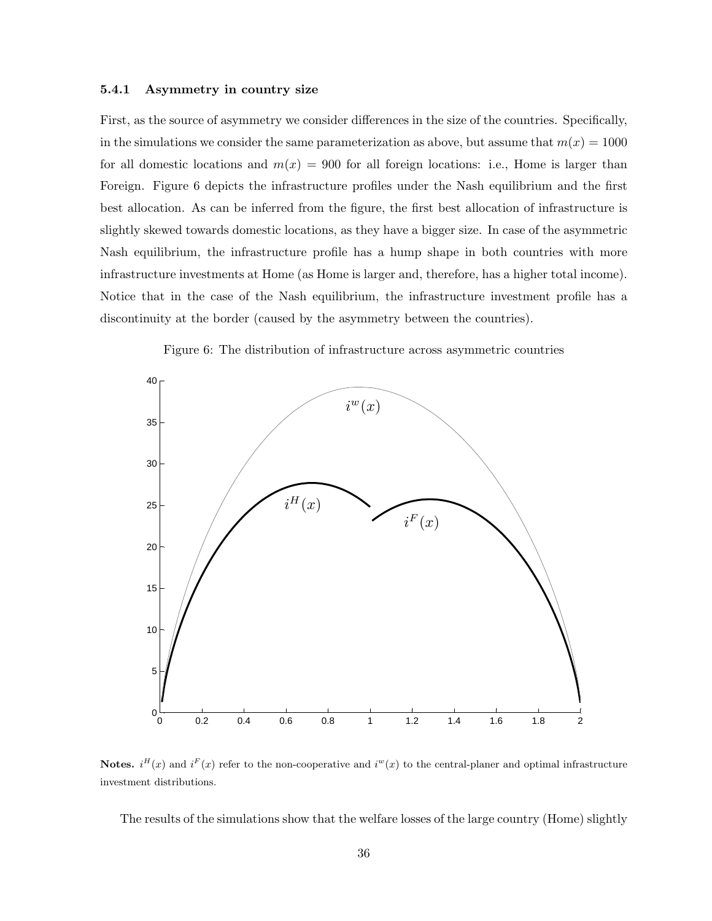### 5.4.1 Asymmetry in country size

First, as the source of asymmetry we consider differences in the size of the countries. Specifically, in the simulations we consider the same parameterization as above, but assume that  $m(x) = 1000$ for all domestic locations and  $m(x) = 900$  for all foreign locations: i.e., Home is larger than Foreign. Figure 6 depicts the infrastructure profiles under the Nash equilibrium and the first best allocation. As can be inferred from the figure, the first best allocation of infrastructure is slightly skewed towards domestic locations, as they have a bigger size. In case of the asymmetric Nash equilibrium, the infrastructure profile has a hump shape in both countries with more infrastructure investments at Home (as Home is larger and, therefore, has a higher total income). Notice that in the case of the Nash equilibrium, the infrastructure investment profile has a discontinuity at the border (caused by the asymmetry between the countries).



Figure 6: The distribution of infrastructure across asymmetric countries

Notes.  $i^{H}(x)$  and  $i^{F}(x)$  refer to the non-cooperative and  $i^{w}(x)$  to the central-planer and optimal infrastructure investment distributions.

The results of the simulations show that the welfare losses of the large country (Home) slightly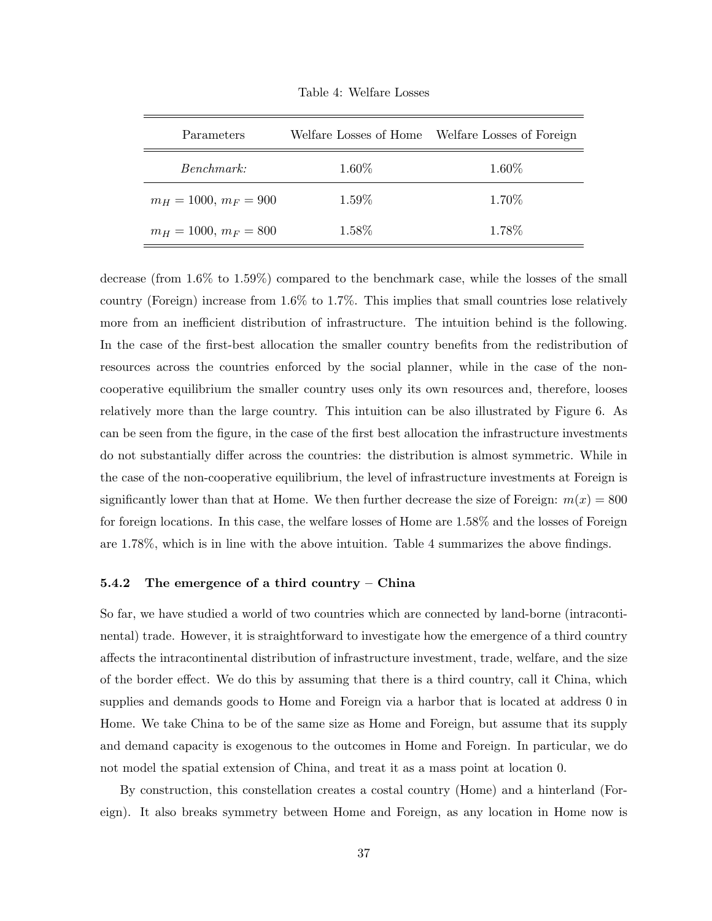| Parameters              |       | Welfare Losses of Home Welfare Losses of Foreign |  |  |
|-------------------------|-------|--------------------------------------------------|--|--|
| <i>Benchmark:</i>       | 1.60% | 1.60%                                            |  |  |
| $m_H = 1000, m_F = 900$ | 1.59% | 1.70%                                            |  |  |
| $m_H = 1000, m_F = 800$ | 1.58% | 1.78\%                                           |  |  |

Table 4: Welfare Losses

decrease (from 1.6% to 1.59%) compared to the benchmark case, while the losses of the small country (Foreign) increase from 1.6% to 1.7%. This implies that small countries lose relatively more from an inefficient distribution of infrastructure. The intuition behind is the following. In the case of the first-best allocation the smaller country benefits from the redistribution of resources across the countries enforced by the social planner, while in the case of the noncooperative equilibrium the smaller country uses only its own resources and, therefore, looses relatively more than the large country. This intuition can be also illustrated by Figure 6. As can be seen from the figure, in the case of the first best allocation the infrastructure investments do not substantially differ across the countries: the distribution is almost symmetric. While in the case of the non-cooperative equilibrium, the level of infrastructure investments at Foreign is significantly lower than that at Home. We then further decrease the size of Foreign:  $m(x) = 800$ for foreign locations. In this case, the welfare losses of Home are 1.58% and the losses of Foreign are 1.78%, which is in line with the above intuition. Table 4 summarizes the above findings.

### 5.4.2 The emergence of a third country – China

So far, we have studied a world of two countries which are connected by land-borne (intracontinental) trade. However, it is straightforward to investigate how the emergence of a third country affects the intracontinental distribution of infrastructure investment, trade, welfare, and the size of the border effect. We do this by assuming that there is a third country, call it China, which supplies and demands goods to Home and Foreign via a harbor that is located at address 0 in Home. We take China to be of the same size as Home and Foreign, but assume that its supply and demand capacity is exogenous to the outcomes in Home and Foreign. In particular, we do not model the spatial extension of China, and treat it as a mass point at location 0.

By construction, this constellation creates a costal country (Home) and a hinterland (Foreign). It also breaks symmetry between Home and Foreign, as any location in Home now is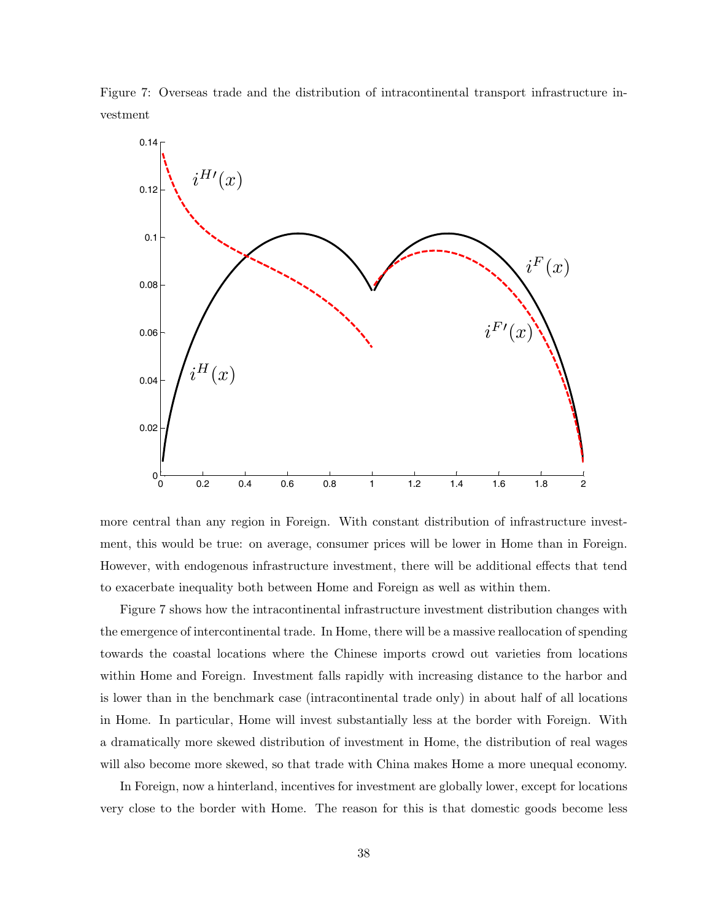Figure 7: Overseas trade and the distribution of intracontinental transport infrastructure investment



more central than any region in Foreign. With constant distribution of infrastructure investment, this would be true: on average, consumer prices will be lower in Home than in Foreign. However, with endogenous infrastructure investment, there will be additional effects that tend to exacerbate inequality both between Home and Foreign as well as within them.

Figure 7 shows how the intracontinental infrastructure investment distribution changes with the emergence of intercontinental trade. In Home, there will be a massive reallocation of spending towards the coastal locations where the Chinese imports crowd out varieties from locations within Home and Foreign. Investment falls rapidly with increasing distance to the harbor and is lower than in the benchmark case (intracontinental trade only) in about half of all locations in Home. In particular, Home will invest substantially less at the border with Foreign. With a dramatically more skewed distribution of investment in Home, the distribution of real wages will also become more skewed, so that trade with China makes Home a more unequal economy.

In Foreign, now a hinterland, incentives for investment are globally lower, except for locations very close to the border with Home. The reason for this is that domestic goods become less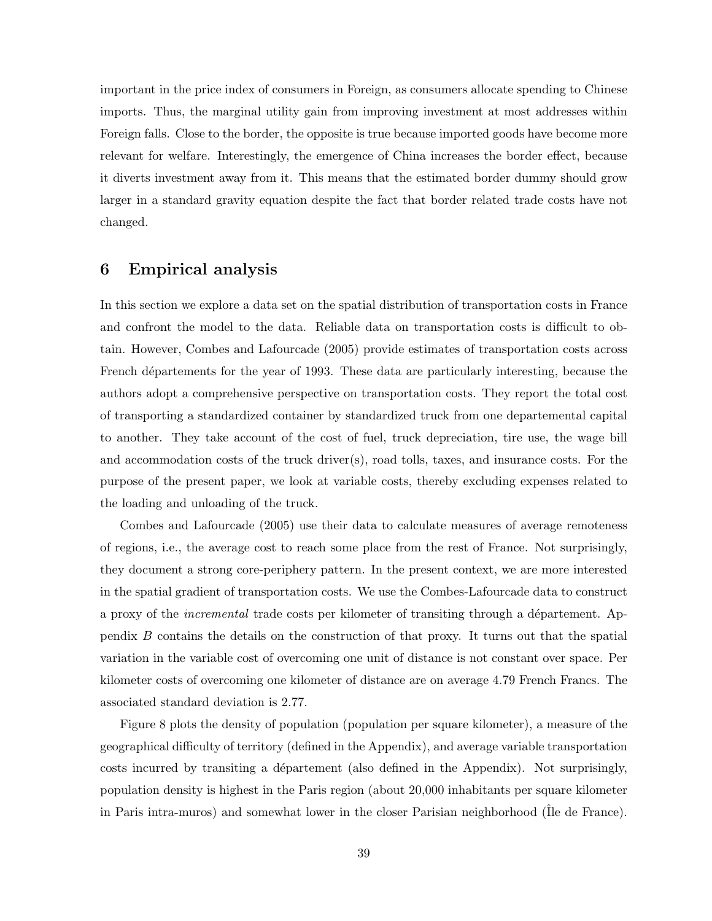important in the price index of consumers in Foreign, as consumers allocate spending to Chinese imports. Thus, the marginal utility gain from improving investment at most addresses within Foreign falls. Close to the border, the opposite is true because imported goods have become more relevant for welfare. Interestingly, the emergence of China increases the border effect, because it diverts investment away from it. This means that the estimated border dummy should grow larger in a standard gravity equation despite the fact that border related trade costs have not changed.

## 6 Empirical analysis

In this section we explore a data set on the spatial distribution of transportation costs in France and confront the model to the data. Reliable data on transportation costs is difficult to obtain. However, Combes and Lafourcade (2005) provide estimates of transportation costs across French départements for the year of 1993. These data are particularly interesting, because the authors adopt a comprehensive perspective on transportation costs. They report the total cost of transporting a standardized container by standardized truck from one departemental capital to another. They take account of the cost of fuel, truck depreciation, tire use, the wage bill and accommodation costs of the truck driver(s), road tolls, taxes, and insurance costs. For the purpose of the present paper, we look at variable costs, thereby excluding expenses related to the loading and unloading of the truck.

Combes and Lafourcade (2005) use their data to calculate measures of average remoteness of regions, i.e., the average cost to reach some place from the rest of France. Not surprisingly, they document a strong core-periphery pattern. In the present context, we are more interested in the spatial gradient of transportation costs. We use the Combes-Lafourcade data to construct a proxy of the *incremental* trade costs per kilometer of transiting through a département. Appendix B contains the details on the construction of that proxy. It turns out that the spatial variation in the variable cost of overcoming one unit of distance is not constant over space. Per kilometer costs of overcoming one kilometer of distance are on average 4.79 French Francs. The associated standard deviation is 2.77.

Figure 8 plots the density of population (population per square kilometer), a measure of the geographical difficulty of territory (defined in the Appendix), and average variable transportation costs incurred by transiting a département (also defined in the Appendix). Not surprisingly, population density is highest in the Paris region (about 20,000 inhabitants per square kilometer in Paris intra-muros) and somewhat lower in the closer Parisian neighborhood (Ile de France).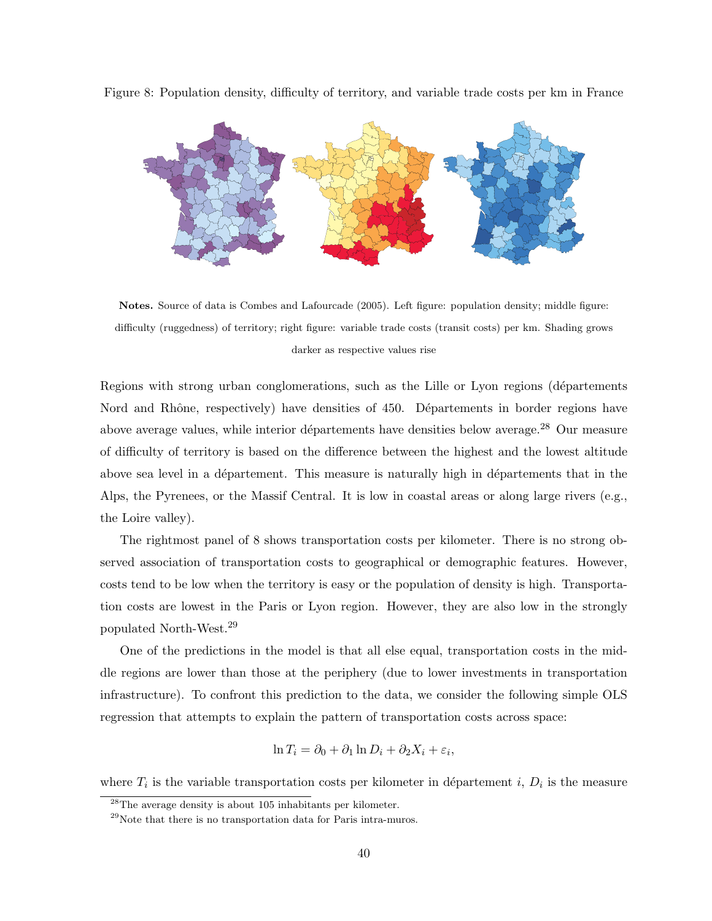

Figure 8: Population density, difficulty of territory, and variable trade costs per km in France

Notes. Source of data is Combes and Lafourcade (2005). Left figure: population density; middle figure: difficulty (ruggedness) of territory; right figure: variable trade costs (transit costs) per km. Shading grows darker as respective values rise

Regions with strong urban conglomerations, such as the Lille or Lyon regions (départements Nord and Rhône, respectively) have densities of 450. Départements in border regions have above average values, while interior départements have densities below average.<sup>28</sup> Our measure of difficulty of territory is based on the difference between the highest and the lowest altitude above sea level in a département. This measure is naturally high in départements that in the Alps, the Pyrenees, or the Massif Central. It is low in coastal areas or along large rivers (e.g., the Loire valley).

The rightmost panel of 8 shows transportation costs per kilometer. There is no strong observed association of transportation costs to geographical or demographic features. However, costs tend to be low when the territory is easy or the population of density is high. Transportation costs are lowest in the Paris or Lyon region. However, they are also low in the strongly populated North-West.<sup>29</sup>

One of the predictions in the model is that all else equal, transportation costs in the middle regions are lower than those at the periphery (due to lower investments in transportation infrastructure). To confront this prediction to the data, we consider the following simple OLS regression that attempts to explain the pattern of transportation costs across space:

$$
\ln T_i = \partial_0 + \partial_1 \ln D_i + \partial_2 X_i + \varepsilon_i,
$$

where  $T_i$  is the variable transportation costs per kilometer in département i,  $D_i$  is the measure

<sup>28</sup>The average density is about 105 inhabitants per kilometer.

 $^{29}$ Note that there is no transportation data for Paris intra-muros.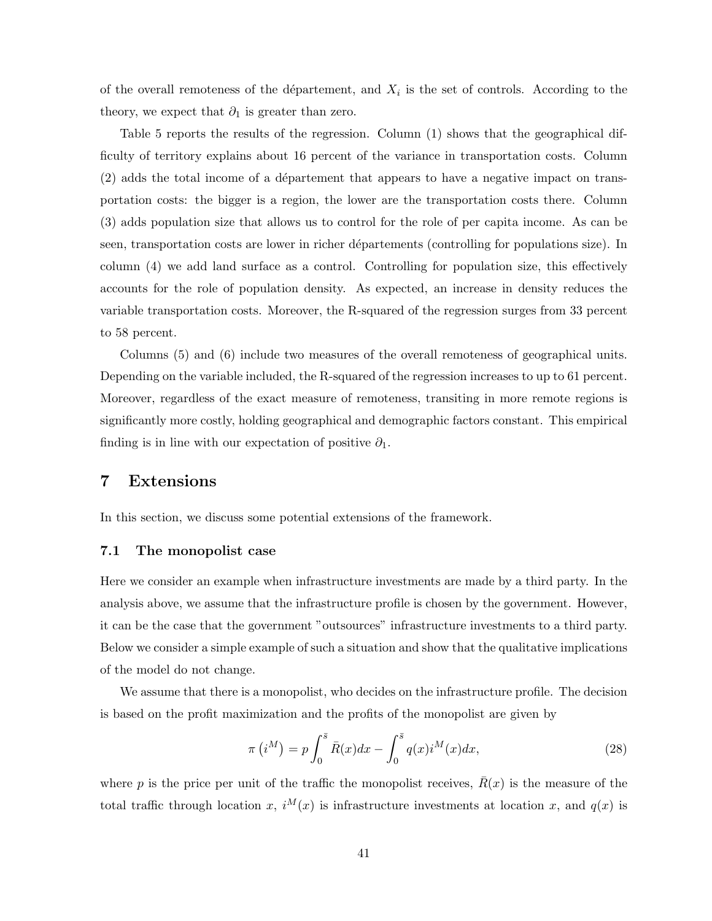of the overall remoteness of the département, and  $X_i$  is the set of controls. According to the theory, we expect that  $\partial_1$  is greater than zero.

Table 5 reports the results of the regression. Column (1) shows that the geographical difficulty of territory explains about 16 percent of the variance in transportation costs. Column  $(2)$  adds the total income of a département that appears to have a negative impact on transportation costs: the bigger is a region, the lower are the transportation costs there. Column (3) adds population size that allows us to control for the role of per capita income. As can be seen, transportation costs are lower in richer départements (controlling for populations size). In column (4) we add land surface as a control. Controlling for population size, this effectively accounts for the role of population density. As expected, an increase in density reduces the variable transportation costs. Moreover, the R-squared of the regression surges from 33 percent to 58 percent.

Columns (5) and (6) include two measures of the overall remoteness of geographical units. Depending on the variable included, the R-squared of the regression increases to up to 61 percent. Moreover, regardless of the exact measure of remoteness, transiting in more remote regions is significantly more costly, holding geographical and demographic factors constant. This empirical finding is in line with our expectation of positive  $\partial_1$ .

## 7 Extensions

In this section, we discuss some potential extensions of the framework.

### 7.1 The monopolist case

Here we consider an example when infrastructure investments are made by a third party. In the analysis above, we assume that the infrastructure profile is chosen by the government. However, it can be the case that the government "outsources" infrastructure investments to a third party. Below we consider a simple example of such a situation and show that the qualitative implications of the model do not change.

We assume that there is a monopolist, who decides on the infrastructure profile. The decision is based on the profit maximization and the profits of the monopolist are given by

$$
\pi(i^M) = p \int_0^{\bar{s}} \bar{R}(x) dx - \int_0^{\bar{s}} q(x) i^M(x) dx,
$$
\n(28)

where p is the price per unit of the traffic the monopolist receives,  $\bar{R}(x)$  is the measure of the total traffic through location x,  $i^M(x)$  is infrastructure investments at location x, and  $q(x)$  is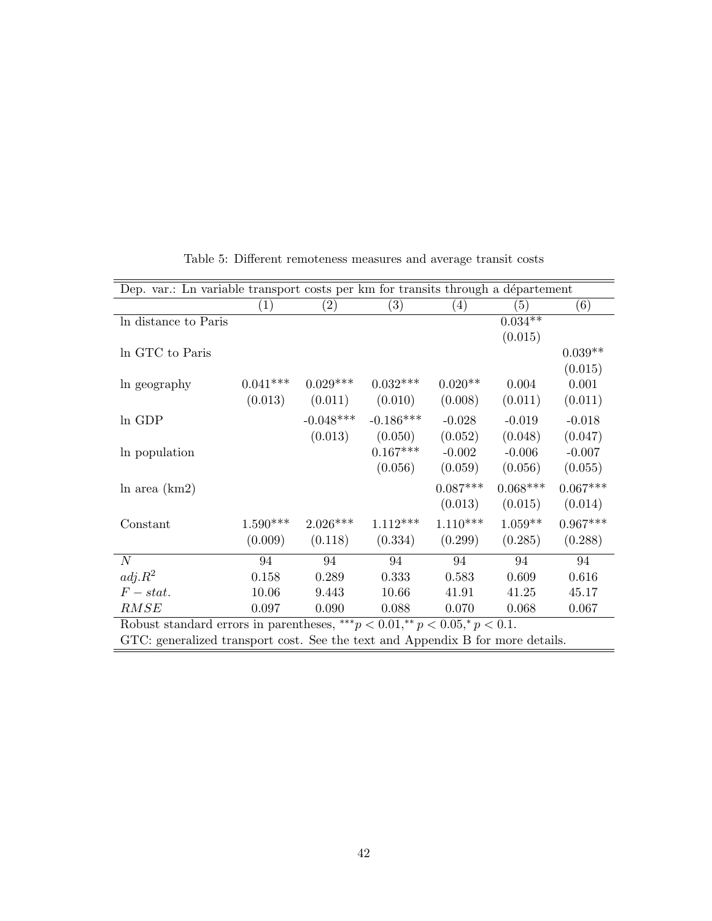| Dep. var.: Ln variable transport costs per km for transits through a département    |            |                   |             |                  |            |            |  |
|-------------------------------------------------------------------------------------|------------|-------------------|-------------|------------------|------------|------------|--|
|                                                                                     | (1)        | $\left( 2\right)$ | (3)         | $\left(4\right)$ | (5)        | (6)        |  |
| In distance to Paris                                                                |            |                   |             |                  | $0.034**$  |            |  |
|                                                                                     |            |                   |             |                  | (0.015)    |            |  |
| In GTC to Paris                                                                     |            |                   |             |                  |            | $0.039**$  |  |
|                                                                                     |            |                   |             |                  |            | (0.015)    |  |
| In geography                                                                        | $0.041***$ | $0.029***$        | $0.032***$  | $0.020**$        | 0.004      | 0.001      |  |
|                                                                                     | (0.013)    | (0.011)           | (0.010)     | (0.008)          | (0.011)    | (0.011)    |  |
| ln GDP                                                                              |            | $-0.048***$       | $-0.186***$ | $-0.028$         | $-0.019$   | $-0.018$   |  |
|                                                                                     |            | (0.013)           | (0.050)     | (0.052)          | (0.048)    | (0.047)    |  |
| In population                                                                       |            |                   | $0.167***$  | $-0.002$         | $-0.006$   | $-0.007$   |  |
|                                                                                     |            |                   | (0.056)     | (0.059)          | (0.056)    | (0.055)    |  |
| $\ln$ area $(km2)$                                                                  |            |                   |             | $0.087***$       | $0.068***$ | $0.067***$ |  |
|                                                                                     |            |                   |             | (0.013)          | (0.015)    | (0.014)    |  |
| Constant                                                                            | $1.590***$ | $2.026***$        | $1.112***$  | $1.110***$       | $1.059**$  | $0.967***$ |  |
|                                                                                     | (0.009)    | (0.118)           | (0.334)     | (0.299)          | (0.285)    | (0.288)    |  |
| N                                                                                   | 94         | 94                | 94          | 94               | 94         | 94         |  |
| $adj.R^2$                                                                           | 0.158      | 0.289             | 0.333       | 0.583            | 0.609      | 0.616      |  |
| $F-stat.$                                                                           | 10.06      | 9.443             | 10.66       | 41.91            | 41.25      | 45.17      |  |
| RMSE                                                                                | 0.097      | 0.090             | 0.088       | 0.070            | 0.068      | 0.067      |  |
| Robust standard errors in parentheses, *** $p < 0.01$ ,** $p < 0.05$ ,* $p < 0.1$ . |            |                   |             |                  |            |            |  |

Table 5: Different remoteness measures and average transit costs

GTC: generalized transport cost. See the text and Appendix B for more details.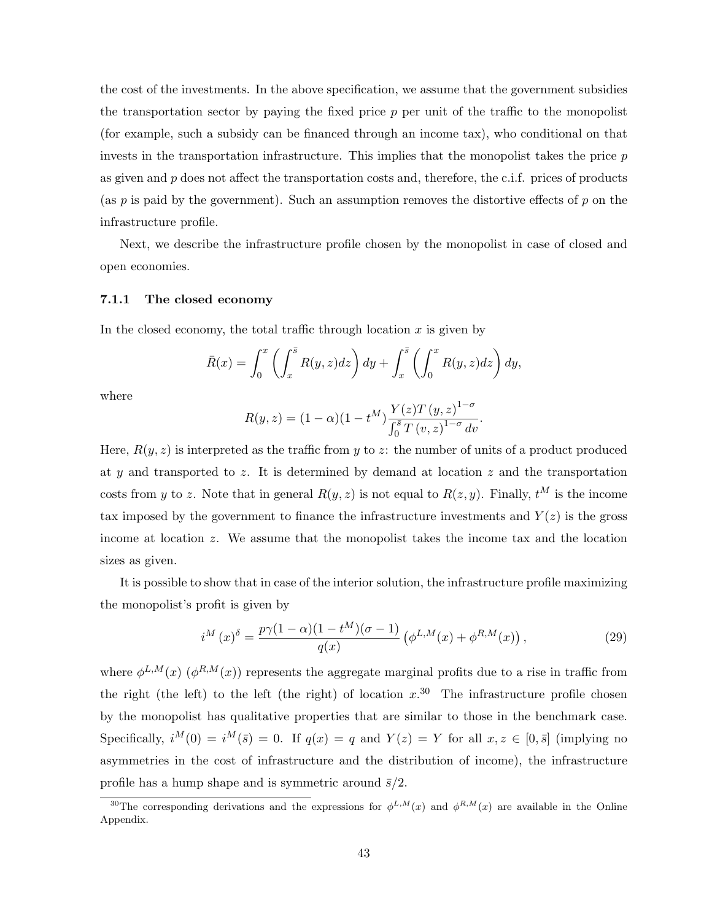the cost of the investments. In the above specification, we assume that the government subsidies the transportation sector by paying the fixed price  $p$  per unit of the traffic to the monopolist (for example, such a subsidy can be financed through an income tax), who conditional on that invests in the transportation infrastructure. This implies that the monopolist takes the price  $p$ as given and  $p$  does not affect the transportation costs and, therefore, the c.i.f. prices of products (as  $p$  is paid by the government). Such an assumption removes the distortive effects of  $p$  on the infrastructure profile.

Next, we describe the infrastructure profile chosen by the monopolist in case of closed and open economies.

### 7.1.1 The closed economy

In the closed economy, the total traffic through location  $x$  is given by

$$
\bar{R}(x) = \int_0^x \left( \int_x^{\bar{s}} R(y, z) dz \right) dy + \int_x^{\bar{s}} \left( \int_0^x R(y, z) dz \right) dy,
$$

where

$$
R(y, z) = (1 - \alpha)(1 - t^M) \frac{Y(z)T (y, z)^{1 - \sigma}}{\int_0^{\bar{s}} T (v, z)^{1 - \sigma} dv}.
$$

Here,  $R(y, z)$  is interpreted as the traffic from y to z: the number of units of a product produced at y and transported to z. It is determined by demand at location  $z$  and the transportation costs from y to z. Note that in general  $R(y, z)$  is not equal to  $R(z, y)$ . Finally,  $t^M$  is the income tax imposed by the government to finance the infrastructure investments and  $Y(z)$  is the gross income at location z. We assume that the monopolist takes the income tax and the location sizes as given.

It is possible to show that in case of the interior solution, the infrastructure profile maximizing the monopolist's profit is given by

$$
i^{M}(x)^{\delta} = \frac{p\gamma(1-\alpha)(1-t^{M})(\sigma-1)}{q(x)} \left(\phi^{L,M}(x) + \phi^{R,M}(x)\right),
$$
\n(29)

where  $\phi^{L,M}(x)$  ( $\phi^{R,M}(x)$ ) represents the aggregate marginal profits due to a rise in traffic from the right (the left) to the left (the right) of location  $x^{0.30}$ . The infrastructure profile chosen by the monopolist has qualitative properties that are similar to those in the benchmark case. Specifically,  $i^M(0) = i^M(\bar{s}) = 0$ . If  $q(x) = q$  and  $Y(z) = Y$  for all  $x, z \in [0, \bar{s}]$  (implying no asymmetries in the cost of infrastructure and the distribution of income), the infrastructure profile has a hump shape and is symmetric around  $\bar{s}/2$ .

<sup>&</sup>lt;sup>30</sup>The corresponding derivations and the expressions for  $\phi^{L,M}(x)$  and  $\phi^{R,M}(x)$  are available in the Online Appendix.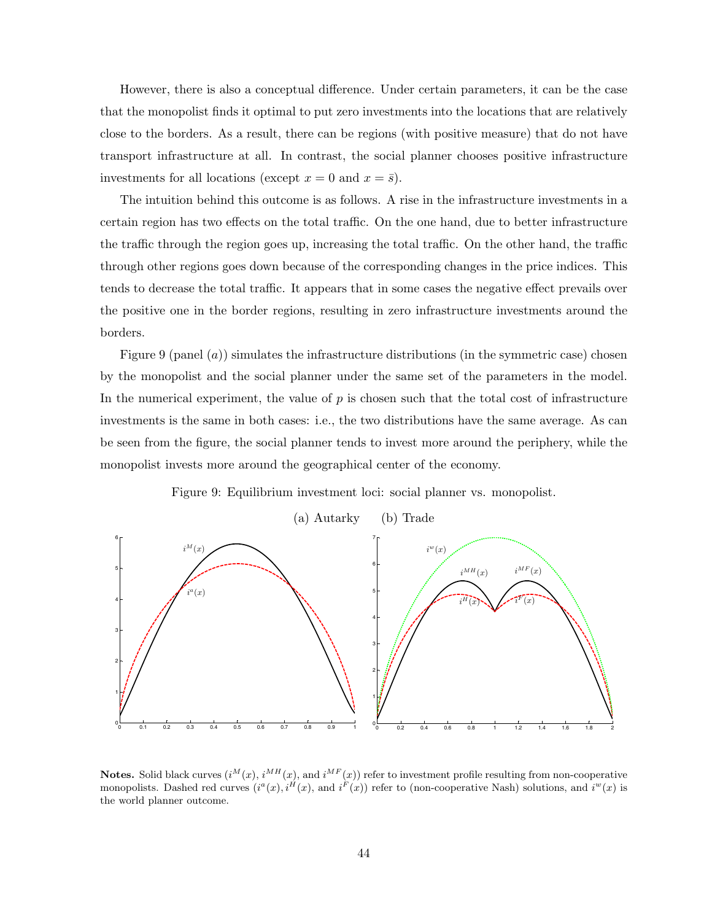However, there is also a conceptual difference. Under certain parameters, it can be the case that the monopolist finds it optimal to put zero investments into the locations that are relatively close to the borders. As a result, there can be regions (with positive measure) that do not have transport infrastructure at all. In contrast, the social planner chooses positive infrastructure investments for all locations (except  $x = 0$  and  $x = \overline{s}$ ).

The intuition behind this outcome is as follows. A rise in the infrastructure investments in a certain region has two effects on the total traffic. On the one hand, due to better infrastructure the traffic through the region goes up, increasing the total traffic. On the other hand, the traffic through other regions goes down because of the corresponding changes in the price indices. This tends to decrease the total traffic. It appears that in some cases the negative effect prevails over the positive one in the border regions, resulting in zero infrastructure investments around the borders.

Figure 9 (panel  $(a)$ ) simulates the infrastructure distributions (in the symmetric case) chosen by the monopolist and the social planner under the same set of the parameters in the model. In the numerical experiment, the value of  $p$  is chosen such that the total cost of infrastructure investments is the same in both cases: i.e., the two distributions have the same average. As can be seen from the figure, the social planner tends to invest more around the periphery, while the monopolist invests more around the geographical center of the economy.

Figure 9: Equilibrium investment loci: social planner vs. monopolist.



**Notes.** Solid black curves  $(i^M(x), i^{MH}(x))$  and  $i^{MF}(x)$  refer to investment profile resulting from non-cooperative monopolists. Dashed red curves  $(i^a(x), i^H(x),$  and  $i^F(x))$  refer to (non-cooperative Nash) solutions, and  $i^w(x)$  is the world planner outcome.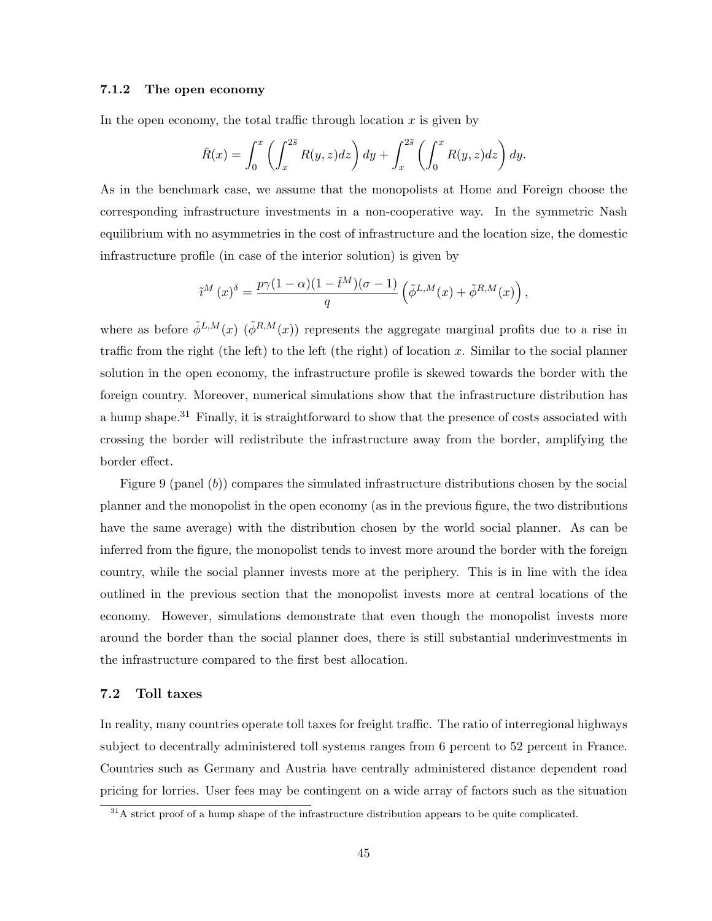### 7.1.2 The open economy

In the open economy, the total traffic through location  $x$  is given by

$$
\bar{R}(x) = \int_0^x \left( \int_x^{2\bar{s}} R(y, z) dz \right) dy + \int_x^{2\bar{s}} \left( \int_0^x R(y, z) dz \right) dy.
$$

As in the benchmark case, we assume that the monopolists at Home and Foreign choose the corresponding infrastructure investments in a non-cooperative way. In the symmetric Nash equilibrium with no asymmetries in the cost of infrastructure and the location size, the domestic infrastructure profile (in case of the interior solution) is given by

$$
\tilde{\imath}^M\left(x\right)^{\delta} = \frac{p\gamma(1-\alpha)(1-\tilde{t}^M)(\sigma-1)}{q}\left(\tilde{\phi}^{L,M}(x) + \tilde{\phi}^{R,M}(x)\right),
$$

where as before  $\tilde{\phi}^{L,M}(x)$  ( $\tilde{\phi}^{R,M}(x)$ ) represents the aggregate marginal profits due to a rise in traffic from the right (the left) to the left (the right) of location  $x$ . Similar to the social planner solution in the open economy, the infrastructure profile is skewed towards the border with the foreign country. Moreover, numerical simulations show that the infrastructure distribution has a hump shape.<sup>31</sup> Finally, it is straightforward to show that the presence of costs associated with crossing the border will redistribute the infrastructure away from the border, amplifying the border effect.

Figure 9 (panel (b)) compares the simulated infrastructure distributions chosen by the social planner and the monopolist in the open economy (as in the previous figure, the two distributions have the same average) with the distribution chosen by the world social planner. As can be inferred from the figure, the monopolist tends to invest more around the border with the foreign country, while the social planner invests more at the periphery. This is in line with the idea outlined in the previous section that the monopolist invests more at central locations of the economy. However, simulations demonstrate that even though the monopolist invests more around the border than the social planner does, there is still substantial underinvestments in the infrastructure compared to the first best allocation.

### 7.2 Toll taxes

In reality, many countries operate toll taxes for freight traffic. The ratio of interregional highways subject to decentrally administered toll systems ranges from 6 percent to 52 percent in France. Countries such as Germany and Austria have centrally administered distance dependent road pricing for lorries. User fees may be contingent on a wide array of factors such as the situation

 $31A$  strict proof of a hump shape of the infrastructure distribution appears to be quite complicated.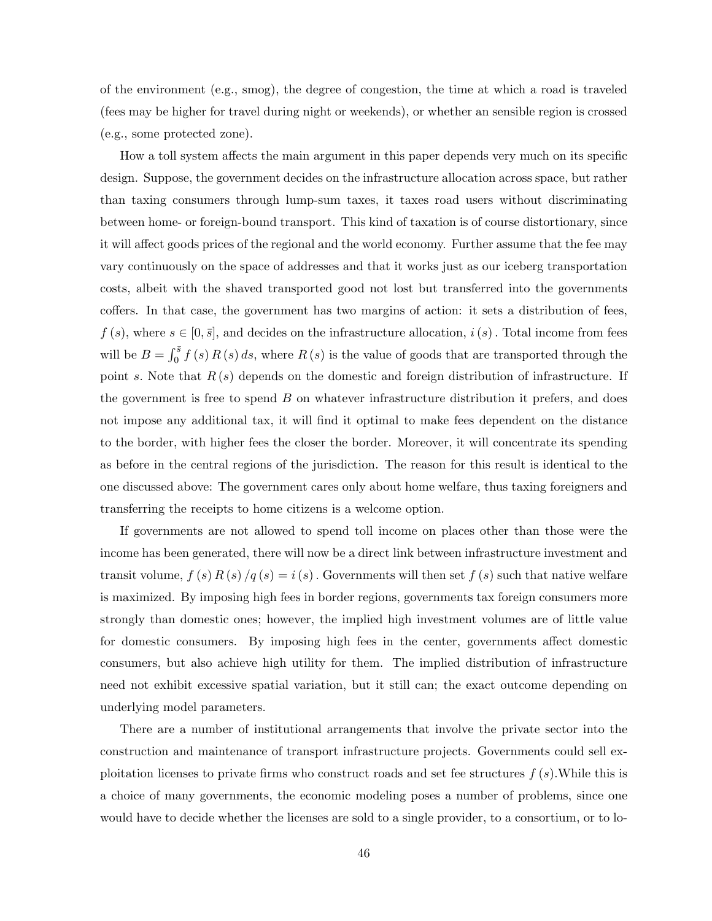of the environment (e.g., smog), the degree of congestion, the time at which a road is traveled (fees may be higher for travel during night or weekends), or whether an sensible region is crossed (e.g., some protected zone).

How a toll system affects the main argument in this paper depends very much on its specific design. Suppose, the government decides on the infrastructure allocation across space, but rather than taxing consumers through lump-sum taxes, it taxes road users without discriminating between home- or foreign-bound transport. This kind of taxation is of course distortionary, since it will affect goods prices of the regional and the world economy. Further assume that the fee may vary continuously on the space of addresses and that it works just as our iceberg transportation costs, albeit with the shaved transported good not lost but transferred into the governments coffers. In that case, the government has two margins of action: it sets a distribution of fees,  $f(s)$ , where  $s \in [0, \bar{s}]$ , and decides on the infrastructure allocation,  $i(s)$ . Total income from fees will be  $B = \int_0^{\bar{s}} f(s) R(s) ds$ , where  $R(s)$  is the value of goods that are transported through the point s. Note that  $R(s)$  depends on the domestic and foreign distribution of infrastructure. If the government is free to spend  $B$  on whatever infrastructure distribution it prefers, and does not impose any additional tax, it will find it optimal to make fees dependent on the distance to the border, with higher fees the closer the border. Moreover, it will concentrate its spending as before in the central regions of the jurisdiction. The reason for this result is identical to the one discussed above: The government cares only about home welfare, thus taxing foreigners and transferring the receipts to home citizens is a welcome option.

If governments are not allowed to spend toll income on places other than those were the income has been generated, there will now be a direct link between infrastructure investment and transit volume,  $f(s) R(s)/q(s) = i(s)$ . Governments will then set  $f(s)$  such that native welfare is maximized. By imposing high fees in border regions, governments tax foreign consumers more strongly than domestic ones; however, the implied high investment volumes are of little value for domestic consumers. By imposing high fees in the center, governments affect domestic consumers, but also achieve high utility for them. The implied distribution of infrastructure need not exhibit excessive spatial variation, but it still can; the exact outcome depending on underlying model parameters.

There are a number of institutional arrangements that involve the private sector into the construction and maintenance of transport infrastructure projects. Governments could sell exploitation licenses to private firms who construct roads and set fee structures  $f(s)$ . While this is a choice of many governments, the economic modeling poses a number of problems, since one would have to decide whether the licenses are sold to a single provider, to a consortium, or to lo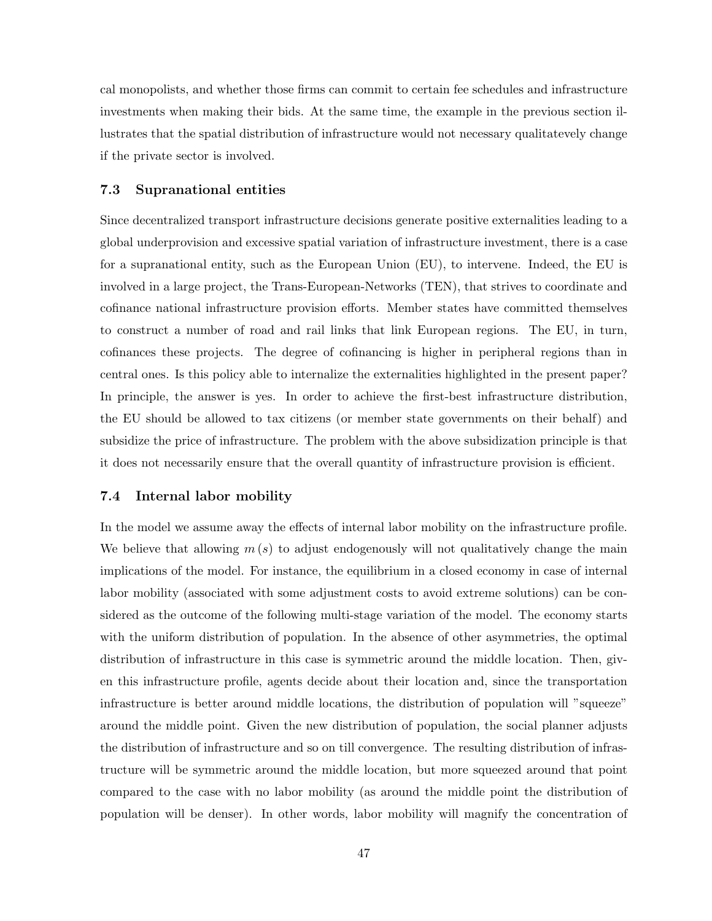cal monopolists, and whether those firms can commit to certain fee schedules and infrastructure investments when making their bids. At the same time, the example in the previous section illustrates that the spatial distribution of infrastructure would not necessary qualitatevely change if the private sector is involved.

### 7.3 Supranational entities

Since decentralized transport infrastructure decisions generate positive externalities leading to a global underprovision and excessive spatial variation of infrastructure investment, there is a case for a supranational entity, such as the European Union (EU), to intervene. Indeed, the EU is involved in a large project, the Trans-European-Networks (TEN), that strives to coordinate and cofinance national infrastructure provision efforts. Member states have committed themselves to construct a number of road and rail links that link European regions. The EU, in turn, cofinances these projects. The degree of cofinancing is higher in peripheral regions than in central ones. Is this policy able to internalize the externalities highlighted in the present paper? In principle, the answer is yes. In order to achieve the first-best infrastructure distribution, the EU should be allowed to tax citizens (or member state governments on their behalf) and subsidize the price of infrastructure. The problem with the above subsidization principle is that it does not necessarily ensure that the overall quantity of infrastructure provision is efficient.

## 7.4 Internal labor mobility

In the model we assume away the effects of internal labor mobility on the infrastructure profile. We believe that allowing  $m(s)$  to adjust endogenously will not qualitatively change the main implications of the model. For instance, the equilibrium in a closed economy in case of internal labor mobility (associated with some adjustment costs to avoid extreme solutions) can be considered as the outcome of the following multi-stage variation of the model. The economy starts with the uniform distribution of population. In the absence of other asymmetries, the optimal distribution of infrastructure in this case is symmetric around the middle location. Then, given this infrastructure profile, agents decide about their location and, since the transportation infrastructure is better around middle locations, the distribution of population will "squeeze" around the middle point. Given the new distribution of population, the social planner adjusts the distribution of infrastructure and so on till convergence. The resulting distribution of infrastructure will be symmetric around the middle location, but more squeezed around that point compared to the case with no labor mobility (as around the middle point the distribution of population will be denser). In other words, labor mobility will magnify the concentration of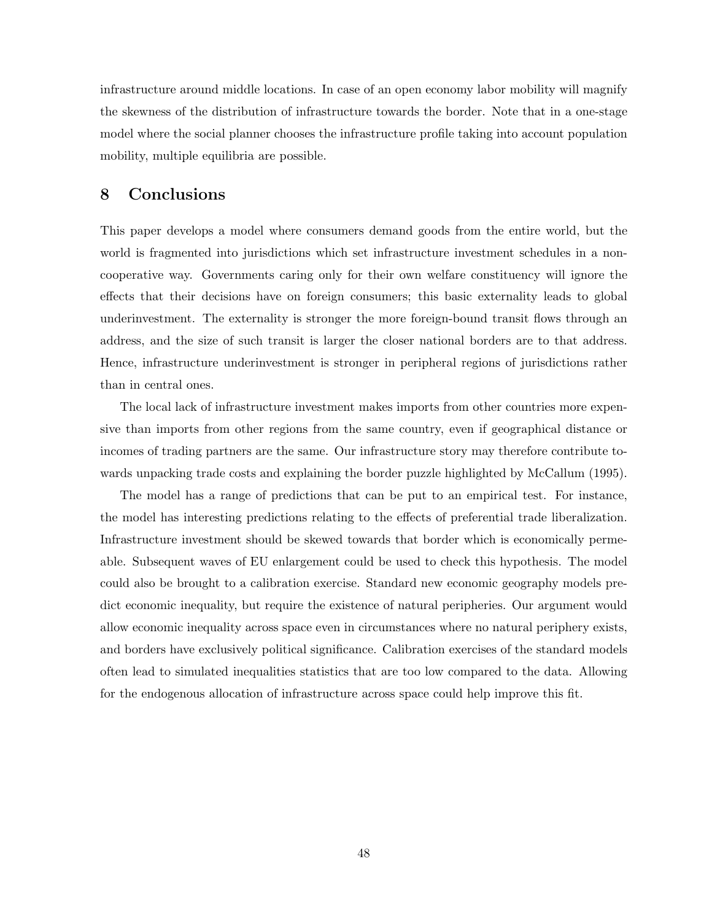infrastructure around middle locations. In case of an open economy labor mobility will magnify the skewness of the distribution of infrastructure towards the border. Note that in a one-stage model where the social planner chooses the infrastructure profile taking into account population mobility, multiple equilibria are possible.

## 8 Conclusions

This paper develops a model where consumers demand goods from the entire world, but the world is fragmented into jurisdictions which set infrastructure investment schedules in a noncooperative way. Governments caring only for their own welfare constituency will ignore the effects that their decisions have on foreign consumers; this basic externality leads to global underinvestment. The externality is stronger the more foreign-bound transit flows through an address, and the size of such transit is larger the closer national borders are to that address. Hence, infrastructure underinvestment is stronger in peripheral regions of jurisdictions rather than in central ones.

The local lack of infrastructure investment makes imports from other countries more expensive than imports from other regions from the same country, even if geographical distance or incomes of trading partners are the same. Our infrastructure story may therefore contribute towards unpacking trade costs and explaining the border puzzle highlighted by McCallum (1995).

The model has a range of predictions that can be put to an empirical test. For instance, the model has interesting predictions relating to the effects of preferential trade liberalization. Infrastructure investment should be skewed towards that border which is economically permeable. Subsequent waves of EU enlargement could be used to check this hypothesis. The model could also be brought to a calibration exercise. Standard new economic geography models predict economic inequality, but require the existence of natural peripheries. Our argument would allow economic inequality across space even in circumstances where no natural periphery exists, and borders have exclusively political significance. Calibration exercises of the standard models often lead to simulated inequalities statistics that are too low compared to the data. Allowing for the endogenous allocation of infrastructure across space could help improve this fit.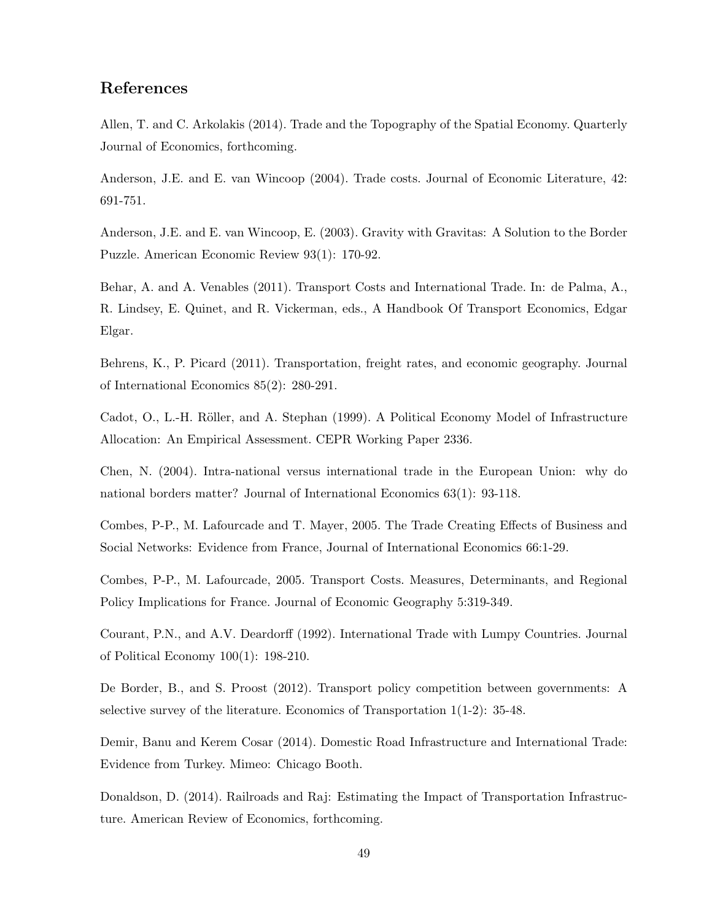## References

Allen, T. and C. Arkolakis (2014). Trade and the Topography of the Spatial Economy. Quarterly Journal of Economics, forthcoming.

Anderson, J.E. and E. van Wincoop (2004). Trade costs. Journal of Economic Literature, 42: 691-751.

Anderson, J.E. and E. van Wincoop, E. (2003). Gravity with Gravitas: A Solution to the Border Puzzle. American Economic Review 93(1): 170-92.

Behar, A. and A. Venables (2011). Transport Costs and International Trade. In: de Palma, A., R. Lindsey, E. Quinet, and R. Vickerman, eds., A Handbook Of Transport Economics, Edgar Elgar.

Behrens, K., P. Picard (2011). Transportation, freight rates, and economic geography. Journal of International Economics 85(2): 280-291.

Cadot, O., L.-H. Röller, and A. Stephan (1999). A Political Economy Model of Infrastructure Allocation: An Empirical Assessment. CEPR Working Paper 2336.

Chen, N. (2004). Intra-national versus international trade in the European Union: why do national borders matter? Journal of International Economics 63(1): 93-118.

Combes, P-P., M. Lafourcade and T. Mayer, 2005. The Trade Creating Effects of Business and Social Networks: Evidence from France, Journal of International Economics 66:1-29.

Combes, P-P., M. Lafourcade, 2005. Transport Costs. Measures, Determinants, and Regional Policy Implications for France. Journal of Economic Geography 5:319-349.

Courant, P.N., and A.V. Deardorff (1992). International Trade with Lumpy Countries. Journal of Political Economy 100(1): 198-210.

De Border, B., and S. Proost (2012). Transport policy competition between governments: A selective survey of the literature. Economics of Transportation 1(1-2): 35-48.

Demir, Banu and Kerem Cosar (2014). Domestic Road Infrastructure and International Trade: Evidence from Turkey. Mimeo: Chicago Booth.

Donaldson, D. (2014). Railroads and Raj: Estimating the Impact of Transportation Infrastructure. American Review of Economics, forthcoming.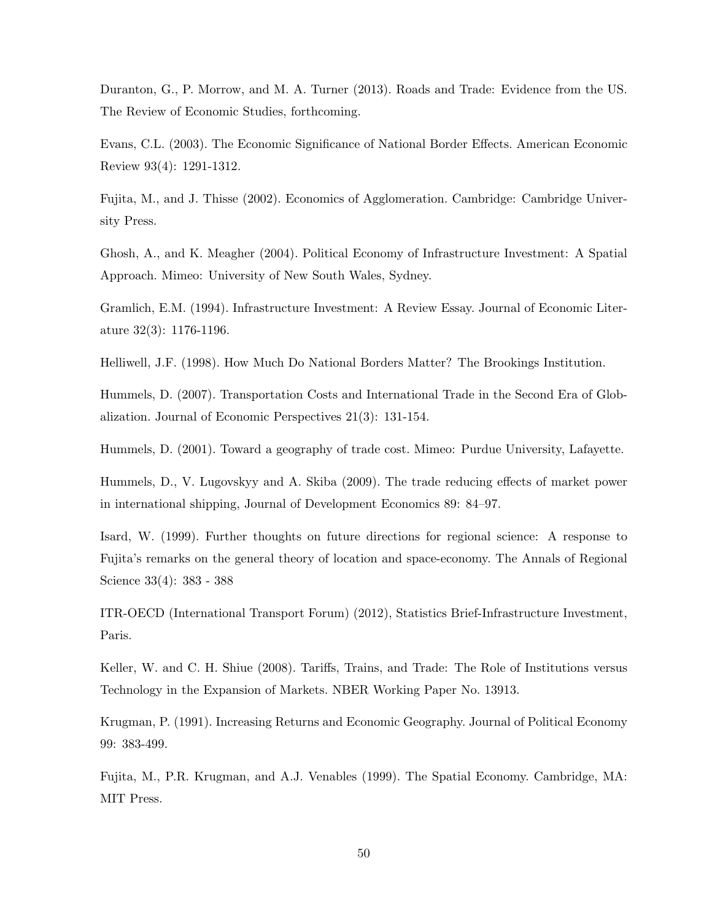Duranton, G., P. Morrow, and M. A. Turner (2013). Roads and Trade: Evidence from the US. The Review of Economic Studies, forthcoming.

Evans, C.L. (2003). The Economic Significance of National Border Effects. American Economic Review 93(4): 1291-1312.

Fujita, M., and J. Thisse (2002). Economics of Agglomeration. Cambridge: Cambridge University Press.

Ghosh, A., and K. Meagher (2004). Political Economy of Infrastructure Investment: A Spatial Approach. Mimeo: University of New South Wales, Sydney.

Gramlich, E.M. (1994). Infrastructure Investment: A Review Essay. Journal of Economic Literature 32(3): 1176-1196.

Helliwell, J.F. (1998). How Much Do National Borders Matter? The Brookings Institution.

Hummels, D. (2007). Transportation Costs and International Trade in the Second Era of Globalization. Journal of Economic Perspectives 21(3): 131-154.

Hummels, D. (2001). Toward a geography of trade cost. Mimeo: Purdue University, Lafayette.

Hummels, D., V. Lugovskyy and A. Skiba (2009). The trade reducing effects of market power in international shipping, Journal of Development Economics 89: 84–97.

Isard, W. (1999). Further thoughts on future directions for regional science: A response to Fujita's remarks on the general theory of location and space-economy. The Annals of Regional Science 33(4): 383 - 388

ITR-OECD (International Transport Forum) (2012), Statistics Brief-Infrastructure Investment, Paris.

Keller, W. and C. H. Shiue (2008). Tariffs, Trains, and Trade: The Role of Institutions versus Technology in the Expansion of Markets. NBER Working Paper No. 13913.

Krugman, P. (1991). Increasing Returns and Economic Geography. Journal of Political Economy 99: 383-499.

Fujita, M., P.R. Krugman, and A.J. Venables (1999). The Spatial Economy. Cambridge, MA: MIT Press.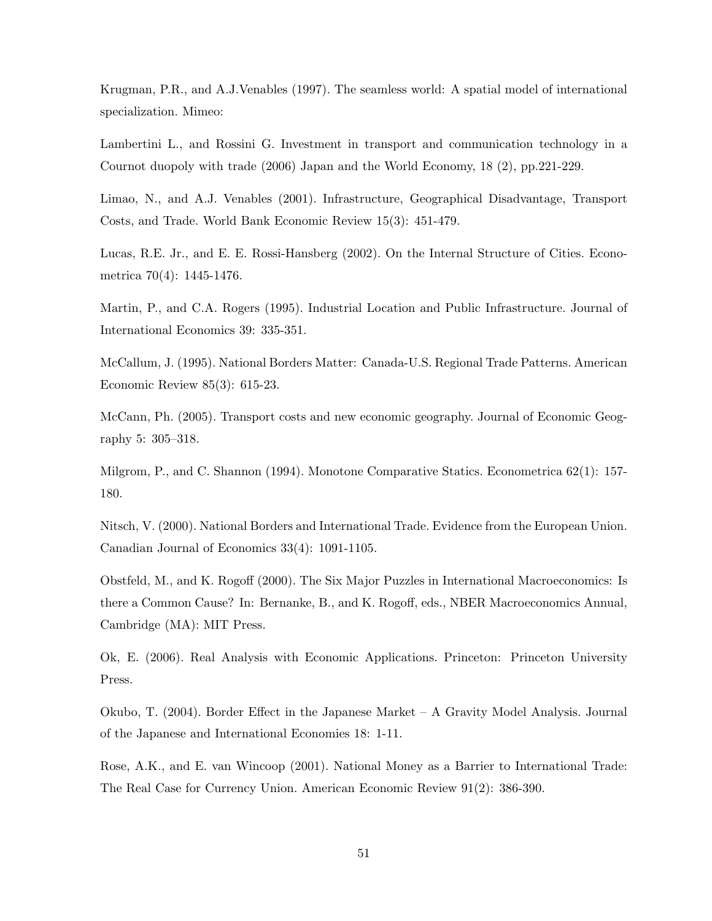Krugman, P.R., and A.J.Venables (1997). The seamless world: A spatial model of international specialization. Mimeo:

Lambertini L., and Rossini G. Investment in transport and communication technology in a Cournot duopoly with trade (2006) Japan and the World Economy, 18 (2), pp.221-229.

Limao, N., and A.J. Venables (2001). Infrastructure, Geographical Disadvantage, Transport Costs, and Trade. World Bank Economic Review 15(3): 451-479.

Lucas, R.E. Jr., and E. E. Rossi-Hansberg (2002). On the Internal Structure of Cities. Econometrica 70(4): 1445-1476.

Martin, P., and C.A. Rogers (1995). Industrial Location and Public Infrastructure. Journal of International Economics 39: 335-351.

McCallum, J. (1995). National Borders Matter: Canada-U.S. Regional Trade Patterns. American Economic Review 85(3): 615-23.

McCann, Ph. (2005). Transport costs and new economic geography. Journal of Economic Geography 5: 305–318.

Milgrom, P., and C. Shannon (1994). Monotone Comparative Statics. Econometrica 62(1): 157- 180.

Nitsch, V. (2000). National Borders and International Trade. Evidence from the European Union. Canadian Journal of Economics 33(4): 1091-1105.

Obstfeld, M., and K. Rogoff (2000). The Six Major Puzzles in International Macroeconomics: Is there a Common Cause? In: Bernanke, B., and K. Rogoff, eds., NBER Macroeconomics Annual, Cambridge (MA): MIT Press.

Ok, E. (2006). Real Analysis with Economic Applications. Princeton: Princeton University Press.

Okubo, T. (2004). Border Effect in the Japanese Market – A Gravity Model Analysis. Journal of the Japanese and International Economies 18: 1-11.

Rose, A.K., and E. van Wincoop (2001). National Money as a Barrier to International Trade: The Real Case for Currency Union. American Economic Review 91(2): 386-390.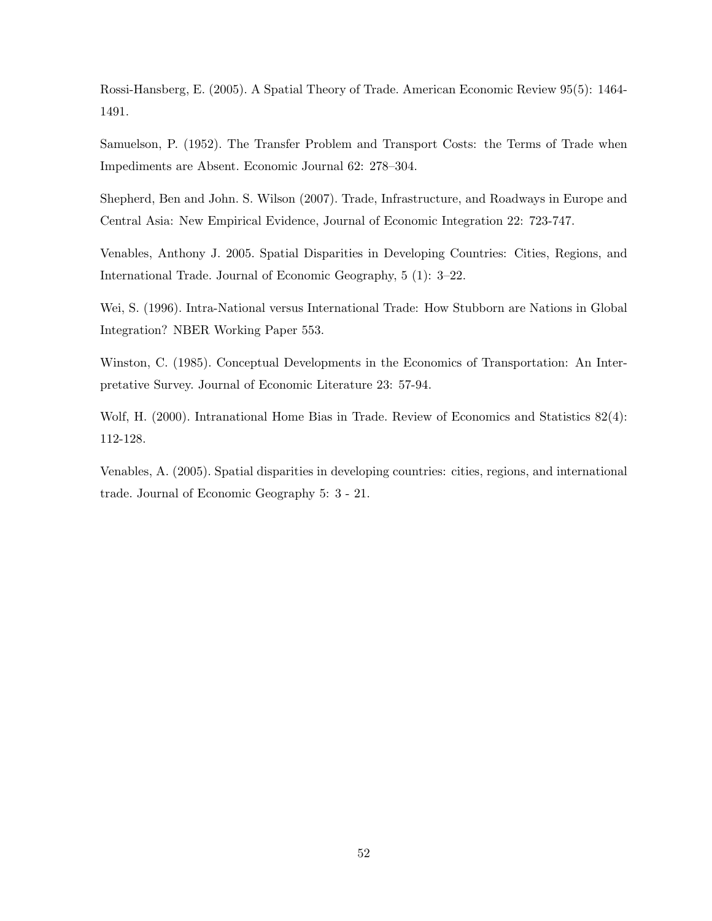Rossi-Hansberg, E. (2005). A Spatial Theory of Trade. American Economic Review 95(5): 1464- 1491.

Samuelson, P. (1952). The Transfer Problem and Transport Costs: the Terms of Trade when Impediments are Absent. Economic Journal 62: 278–304.

Shepherd, Ben and John. S. Wilson (2007). Trade, Infrastructure, and Roadways in Europe and Central Asia: New Empirical Evidence, Journal of Economic Integration 22: 723-747.

Venables, Anthony J. 2005. Spatial Disparities in Developing Countries: Cities, Regions, and International Trade. Journal of Economic Geography, 5 (1): 3–22.

Wei, S. (1996). Intra-National versus International Trade: How Stubborn are Nations in Global Integration? NBER Working Paper 553.

Winston, C. (1985). Conceptual Developments in the Economics of Transportation: An Interpretative Survey. Journal of Economic Literature 23: 57-94.

Wolf, H. (2000). Intranational Home Bias in Trade. Review of Economics and Statistics 82(4): 112-128.

Venables, A. (2005). Spatial disparities in developing countries: cities, regions, and international trade. Journal of Economic Geography 5: 3 - 21.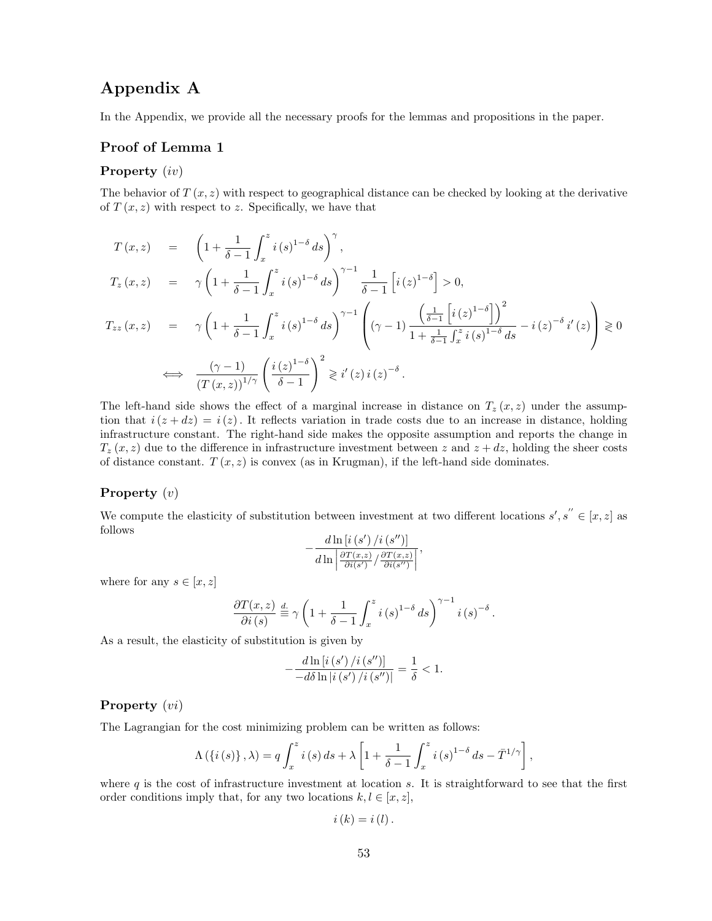## Appendix A

In the Appendix, we provide all the necessary proofs for the lemmas and propositions in the paper.

## Proof of Lemma 1

## Property (iv)

The behavior of  $T(x, z)$  with respect to geographical distance can be checked by looking at the derivative of  $T(x, z)$  with respect to z. Specifically, we have that

$$
T(x, z) = \left(1 + \frac{1}{\delta - 1} \int_{x}^{z} i(s)^{1-\delta} ds\right)^{\gamma},
$$
  
\n
$$
T_z(x, z) = \gamma \left(1 + \frac{1}{\delta - 1} \int_{x}^{z} i(s)^{1-\delta} ds\right)^{\gamma-1} \frac{1}{\delta - 1} \left[i(z)^{1-\delta}\right] > 0,
$$
  
\n
$$
T_{zz}(x, z) = \gamma \left(1 + \frac{1}{\delta - 1} \int_{x}^{z} i(s)^{1-\delta} ds\right)^{\gamma-1} \left((\gamma - 1) \frac{\left(\frac{1}{\delta - 1} \left[i(z)^{1-\delta}\right]\right)^{2}}{1 + \frac{1}{\delta - 1} \int_{x}^{z} i(s)^{1-\delta} ds} - i(z)^{-\delta} i'(z)\right) \ge 0
$$
  
\n
$$
\iff \frac{(\gamma - 1)}{(T(x, z))^{1/\gamma}} \left(\frac{i(z)^{1-\delta}}{\delta - 1}\right)^{2} \ge i'(z) i(z)^{-\delta}.
$$

The left-hand side shows the effect of a marginal increase in distance on  $T_z(x, z)$  under the assumption that  $i(z + dz) = i(z)$ . It reflects variation in trade costs due to an increase in distance, holding infrastructure constant. The right-hand side makes the opposite assumption and reports the change in  $T_z(x, z)$  due to the difference in infrastructure investment between z and  $z + dz$ , holding the sheer costs of distance constant.  $T(x, z)$  is convex (as in Krugman), if the left-hand side dominates.

### Property  $(v)$

We compute the elasticity of substitution between investment at two different locations  $s', s'' \in [x, z]$  as follows

$$
-\frac{d\ln\left[i\left(s^{\prime}\right)/i\left(s^{\prime\prime}\right)\right]}{d\ln\left|\frac{\partial T(x,z)}{\partial i\left(s^{\prime}\right)}/\frac{\partial T(x,z)}{\partial i\left(s^{\prime\prime}\right)}\right|},
$$

where for any  $s \in [x, z]$ 

$$
\frac{\partial T(x,z)}{\partial i (s)} \stackrel{d}{\equiv} \gamma \left( 1 + \frac{1}{\delta - 1} \int_x^z i (s)^{1-\delta} ds \right)^{\gamma - 1} i (s)^{-\delta}.
$$

As a result, the elasticity of substitution is given by

$$
-\frac{d\ln\left[i\left(s^{\prime}\right)/i\left(s^{\prime\prime}\right)\right]}{-d\delta\ln\left|i\left(s^{\prime}\right)/i\left(s^{\prime\prime}\right)\right|}=\frac{1}{\delta}<1.
$$

#### Property  $(vi)$

The Lagrangian for the cost minimizing problem can be written as follows:

$$
\Lambda(\lbrace i(s)\rbrace, \lambda) = q \int_x^z i(s) \, ds + \lambda \left[1 + \frac{1}{\delta - 1} \int_x^z i(s)^{1-\delta} \, ds - \bar{T}^{1/\gamma} \right],
$$

where  $q$  is the cost of infrastructure investment at location  $s$ . It is straightforward to see that the first order conditions imply that, for any two locations  $k, l \in [x, z]$ ,

$$
i(k) = i(l).
$$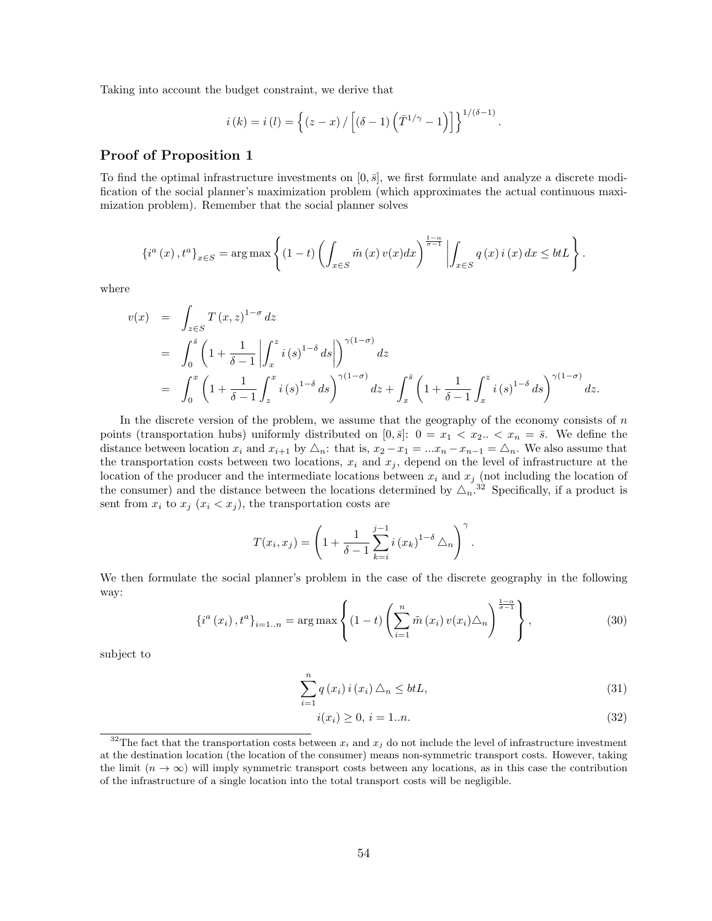Taking into account the budget constraint, we derive that

$$
i(k) = i(l) = \left\{ (z - x) / \left[ (\delta - 1) \left( \overline{T}^{1/\gamma} - 1 \right) \right] \right\}^{1/(\delta - 1)}.
$$

### Proof of Proposition 1

To find the optimal infrastructure investments on  $[0, \bar{s}]$ , we first formulate and analyze a discrete modification of the social planner's maximization problem (which approximates the actual continuous maximization problem). Remember that the social planner solves

$$
\left\{i^{a}\left(x\right),t^{a}\right\}_{x\in S}=\arg\max\left\{\left(1-t\right)\left(\int_{x\in S}\tilde{m}\left(x\right)v(x)dx\right)^{\frac{1-\alpha}{\sigma-1}}\left|\int_{x\in S}q\left(x\right)i\left(x\right)dx\leq b\right|t\right\}.
$$

where

$$
v(x) = \int_{z \in S} T(x, z)^{1-\sigma} dz
$$
  
=  $\int_0^{\bar{s}} \left(1 + \frac{1}{\delta - 1} \left| \int_x^z i(s)^{1-\delta} ds \right| \right)^{\gamma(1-\sigma)} dz$   
=  $\int_0^x \left(1 + \frac{1}{\delta - 1} \int_z^x i(s)^{1-\delta} ds \right)^{\gamma(1-\sigma)} dz + \int_x^{\bar{s}} \left(1 + \frac{1}{\delta - 1} \int_x^z i(s)^{1-\delta} ds \right)^{\gamma(1-\sigma)} dz.$ 

In the discrete version of the problem, we assume that the geography of the economy consists of  $n$ points (transportation hubs) uniformly distributed on  $[0, \bar{s}]$ :  $0 = x_1 < x_2$ .  $\langle x_n = \bar{s}$ . We define the distance between location  $x_i$  and  $x_{i+1}$  by  $\triangle_n$ : that is,  $x_2 - x_1 = ...x_n - x_{n-1} = \triangle_n$ . We also assume that the transportation costs between two locations,  $x_i$  and  $x_j$ , depend on the level of infrastructure at the location of the producer and the intermediate locations between  $x_i$  and  $x_j$  (not including the location of the consumer) and the distance between the locations determined by  $\Delta_n$ .<sup>32</sup> Specifically, if a product is sent from  $x_i$  to  $x_j$   $(x_i < x_j)$ , the transportation costs are

$$
T(x_i, x_j) = \left(1 + \frac{1}{\delta - 1} \sum_{k=i}^{j-1} i (x_k)^{1-\delta} \Delta_n \right)^{\gamma}.
$$

We then formulate the social planner's problem in the case of the discrete geography in the following way:

$$
\{i^{a}(x_{i}), t^{a}\}_{i=1..n} = \arg \max \left\{ (1-t) \left( \sum_{i=1}^{n} \tilde{m}(x_{i}) v(x_{i}) \triangle_{n} \right)^{\frac{1-\alpha}{\sigma-1}} \right\},
$$
\n(30)

subject to

$$
\sum_{i=1}^{n} q(x_i) i(x_i) \triangle_n \le btL,
$$
\n(31)

$$
i(x_i) \ge 0, \, i = 1...n. \tag{32}
$$

<sup>&</sup>lt;sup>32</sup>The fact that the transportation costs between  $x_i$  and  $x_j$  do not include the level of infrastructure investment at the destination location (the location of the consumer) means non-symmetric transport costs. However, taking the limit  $(n \to \infty)$  will imply symmetric transport costs between any locations, as in this case the contribution of the infrastructure of a single location into the total transport costs will be negligible.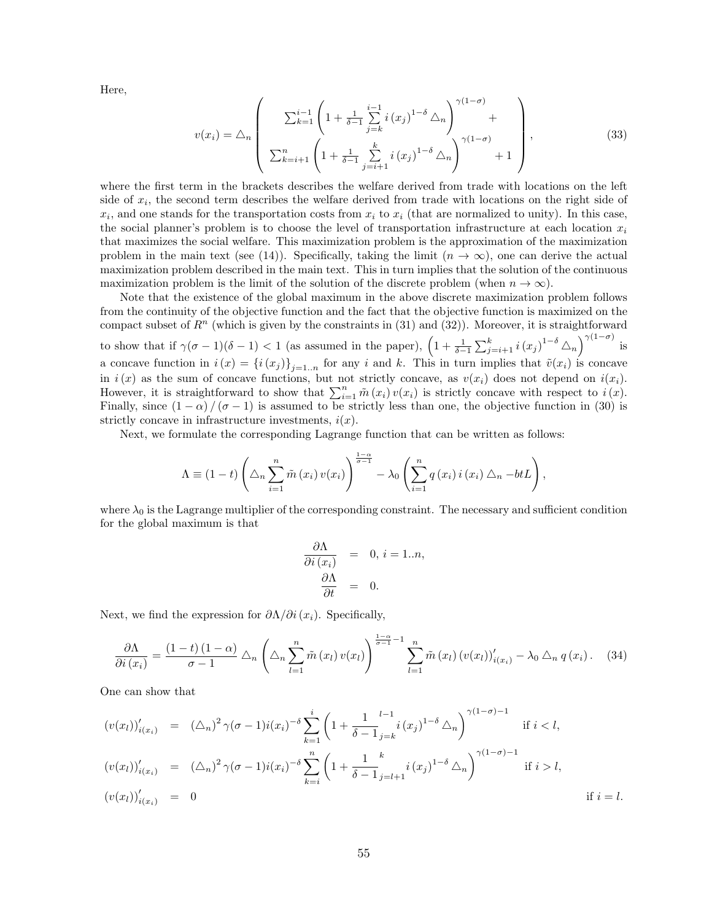Here,

$$
v(x_i) = \triangle_n \left( \frac{\sum_{k=1}^{i-1} \left( 1 + \frac{1}{\delta - 1} \sum_{j=k}^{i-1} i(x_j)^{1-\delta} \triangle_n \right)^{\gamma(1-\sigma)}}{\sum_{k=i+1}^{n} \left( 1 + \frac{1}{\delta - 1} \sum_{j=i+1}^{k} i(x_j)^{1-\delta} \triangle_n \right)^{\gamma(1-\sigma)}} + 1 \right),
$$
\n(33)

where the first term in the brackets describes the welfare derived from trade with locations on the left side of  $x_i$ , the second term describes the welfare derived from trade with locations on the right side of  $x_i$ , and one stands for the transportation costs from  $x_i$  to  $x_i$  (that are normalized to unity). In this case, the social planner's problem is to choose the level of transportation infrastructure at each location  $x_i$ that maximizes the social welfare. This maximization problem is the approximation of the maximization problem in the main text (see (14)). Specifically, taking the limit  $(n \to \infty)$ , one can derive the actual maximization problem described in the main text. This in turn implies that the solution of the continuous maximization problem is the limit of the solution of the discrete problem (when  $n \to \infty$ ).

Note that the existence of the global maximum in the above discrete maximization problem follows from the continuity of the objective function and the fact that the objective function is maximized on the compact subset of  $R^n$  (which is given by the constraints in (31) and (32)). Moreover, it is straightforward to show that if  $\gamma(\sigma-1)(\delta-1) < 1$  (as assumed in the paper),  $\left(1+\frac{1}{\delta-1}\sum_{j=i+1}^k i(x_j)^{1-\delta}\Delta_n\right)^{\gamma(1-\sigma)}$  is a concave function in  $i(x) = \{i(x_j)\}_{j=1..n}$  for any i and k. This in turn implies that  $\tilde{v}(x_i)$  is concave in  $i(x)$  as the sum of concave functions, but not strictly concave, as  $v(x_i)$  does not depend on  $i(x_i)$ . However, it is straightforward to show that  $\sum_{i=1}^{n} \tilde{m}(x_i) v(x_i)$  is strictly concave with respect to  $i(x)$ . Finally, since  $(1 - \alpha) / (\sigma - 1)$  is assumed to be strictly less than one, the objective function in (30) is strictly concave in infrastructure investments,  $i(x)$ .

Next, we formulate the corresponding Lagrange function that can be written as follows:

$$
\Lambda \equiv (1-t)\left(\Delta_n \sum_{i=1}^n \tilde{m}(x_i) v(x_i)\right)^{\frac{1-\alpha}{\sigma-1}} - \lambda_0 \left(\sum_{i=1}^n q(x_i) i(x_i) \Delta_n - btL\right),
$$

where  $\lambda_0$  is the Lagrange multiplier of the corresponding constraint. The necessary and sufficient condition for the global maximum is that

$$
\frac{\partial \Lambda}{\partial i (x_i)} = 0, i = 1..n,
$$

$$
\frac{\partial \Lambda}{\partial t} = 0.
$$

Next, we find the expression for  $\partial \Lambda / \partial i(x_i)$ . Specifically,

$$
\frac{\partial \Lambda}{\partial i(x_i)} = \frac{(1-t)(1-\alpha)}{\sigma-1} \triangle_n \left( \triangle_n \sum_{l=1}^n \tilde{m}(x_l) v(x_l) \right)^{\frac{1-\alpha}{\sigma-1}-1} \sum_{l=1}^n \tilde{m}(x_l) (v(x_l))'_{i(x_l)} - \lambda_0 \triangle_n q(x_i). \quad (34)
$$

One can show that

$$
(v(x_l))'_{i(x_i)} = (\Delta_n)^2 \gamma(\sigma - 1)i(x_i)^{-\delta} \sum_{k=1}^i \left(1 + \frac{1}{\delta - 1} \sum_{j=k}^{l-1} i(x_j)^{1-\delta} \Delta_n\right)^{\gamma(1-\sigma)-1} \text{ if } i < l,
$$
  

$$
(v(x_l))'_{i(x_i)} = (\Delta_n)^2 \gamma(\sigma - 1)i(x_i)^{-\delta} \sum_{k=i}^n \left(1 + \frac{1}{\delta - 1} \sum_{j=l+1}^k i(x_j)^{1-\delta} \Delta_n\right)^{\gamma(1-\sigma)-1} \text{ if } i > l,
$$
  

$$
(v(x_l))'_{i(x_i)} = 0 \text{ if } i = l.
$$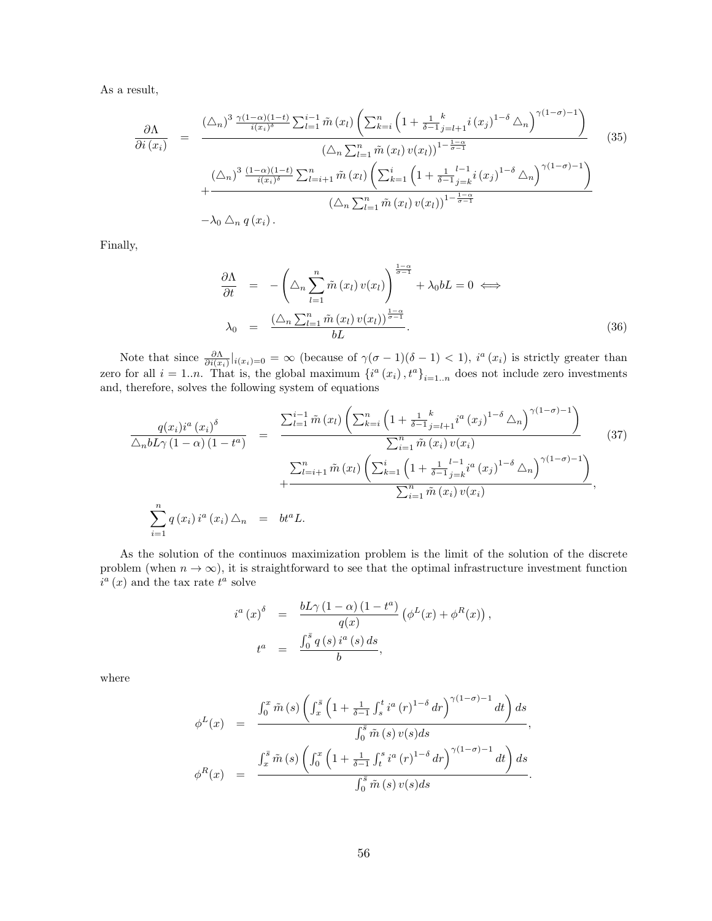As a result,

$$
\frac{\partial \Lambda}{\partial i (x_i)} = \frac{\left(\bigtriangleup_n\right)^3 \frac{\gamma(1-\alpha)(1-t)}{i(x_i)^{\delta}} \sum_{l=1}^{i-1} \tilde{m} (x_l) \left(\sum_{k=i}^n \left(1 + \frac{1}{\delta - 1} \sum_{j=l+1}^k i (x_j)^{1-\delta} \bigtriangleup_n\right)^{\gamma(1-\sigma)-1}\right)}{\left(\bigtriangleup_n \sum_{l=1}^n \tilde{m} (x_l) v(x_l)\right)^{1-\frac{1-\alpha}{\sigma-1}}} \cdot \left(\bigtriangleup_n\right)^3 \frac{(1-\alpha)(1-t)}{i(x_i)^{\delta}} \sum_{l=i+1}^n \tilde{m} (x_l) \left(\sum_{k=1}^i \left(1 + \frac{1}{\delta - 1} \sum_{j=k}^l (x_j)^{1-\delta} \bigtriangleup_n\right)^{\gamma(1-\sigma)-1}\right)}{\left(\bigtriangleup_n \sum_{l=1}^n \tilde{m} (x_l) v(x_l)\right)^{1-\frac{1-\alpha}{\sigma-1}}} \cdot \left(\bigtriangleup_n\right)^n
$$
\n
$$
- \lambda_0 \bigtriangleup_n q (x_i).
$$
\n(35)

Finally,

$$
\frac{\partial \Lambda}{\partial t} = -\left(\Delta_n \sum_{l=1}^n \tilde{m}(x_l) v(x_l)\right)^{\frac{1-\alpha}{\sigma-1}} + \lambda_0 bL = 0 \iff
$$
\n
$$
\lambda_0 = \frac{\left(\Delta_n \sum_{l=1}^n \tilde{m}(x_l) v(x_l)\right)^{\frac{1-\alpha}{\sigma-1}}}{bL}.
$$
\n(36)

Note that since  $\frac{\partial \Lambda}{\partial i(x_i)}|_{i(x_i)=0} = \infty$  (because of  $\gamma(\sigma-1)(\delta-1) < 1$ ),  $i^a(x_i)$  is strictly greater than zero for all  $i = 1..n$ . That is, the global maximum  $\{i^a(x_i), t^a\}_{i=1..n}$  does not include zero investments and, therefore, solves the following system of equations

$$
\frac{q(x_i)i^a(x_i)^{\delta}}{\Delta_n b L \gamma (1-\alpha) (1-t^a)} = \frac{\sum_{l=1}^{i-1} \tilde{m}(x_l) \left( \sum_{k=i}^n \left( 1 + \frac{1}{\delta-1} \sum_{j=l+1}^k i^a(x_j)^{1-\delta} \Delta_n \right)^{\gamma (1-\sigma)-1} \right)}{\sum_{i=1}^n \tilde{m}(x_i) v(x_i)} + \frac{\sum_{l=i+1}^n \tilde{m}(x_l) \left( \sum_{k=1}^i \left( 1 + \frac{1}{\delta-1} \sum_{j=k}^{l-1} i^a(x_j)^{1-\delta} \Delta_n \right)^{\gamma (1-\sigma)-1} \right)}{\sum_{i=1}^n \tilde{m}(x_i) v(x_i)},
$$
\n
$$
\sum_{i=1}^n q(x_i) i^a(x_i) \Delta_n = bt^a L.
$$
\n(37)

As the solution of the continuos maximization problem is the limit of the solution of the discrete problem (when  $n \to \infty$ ), it is straightforward to see that the optimal infrastructure investment function  $i^a(x)$  and the tax rate  $t^a$  solve

$$
i^{a}(x)^{\delta} = \frac{bL\gamma (1-\alpha) (1-t^{a})}{q(x)} (\phi^{L}(x) + \phi^{R}(x)),
$$
  

$$
t^{a} = \frac{\int_{0}^{\bar{s}} q(s) i^{a}(s) ds}{b},
$$

where

$$
\phi^{L}(x) = \frac{\int_{0}^{x} \tilde{m}(s) \left( \int_{x}^{\bar{s}} \left( 1 + \frac{1}{\delta - 1} \int_{s}^{t} i^{a}(r)^{1-\delta} dr \right)^{\gamma(1-\sigma)-1} dt \right) ds}{\int_{0}^{\bar{s}} \tilde{m}(s) v(s) ds},
$$

$$
\phi^{R}(x) = \frac{\int_{x}^{\bar{s}} \tilde{m}(s) \left( \int_{0}^{x} \left( 1 + \frac{1}{\delta - 1} \int_{t}^{s} i^{a}(r)^{1-\delta} dr \right)^{\gamma(1-\sigma)-1} dt \right) ds}{\int_{0}^{\bar{s}} \tilde{m}(s) v(s) ds}.
$$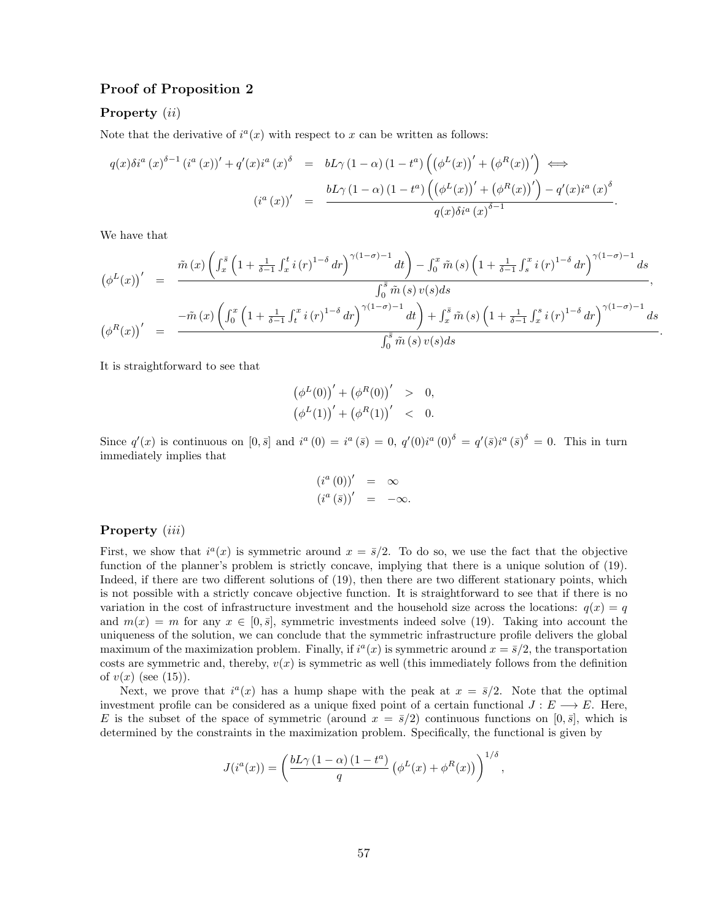## Proof of Proposition 2

## Property (*ii*)

Note that the derivative of  $i^a(x)$  with respect to x can be written as follows:

$$
q(x)\delta i^{a}(x)^{\delta-1} (i^{a}(x))' + q'(x)i^{a}(x)^{\delta} = bL\gamma (1-\alpha) (1-t^{a}) \left( (\phi^{L}(x))' + (\phi^{R}(x))' \right) \iff
$$

$$
(i^{a}(x))' = \frac{bL\gamma (1-\alpha) (1-t^{a}) \left( (\phi^{L}(x))' + (\phi^{R}(x))' \right) - q'(x)i^{a}(x)^{\delta}}{q(x)\delta i^{a}(x)^{\delta-1}}.
$$

We have that

$$
\left(\phi^{L}(x)\right)' = \frac{\tilde{m}(x)\left(\int_{x}^{\bar{s}}\left(1+\frac{1}{\delta-1}\int_{x}^{t}i(r)^{1-\delta}dr\right)^{\gamma(1-\sigma)-1}dt\right)-\int_{0}^{x}\tilde{m}(s)\left(1+\frac{1}{\delta-1}\int_{s}^{x}i(r)^{1-\delta}dr\right)^{\gamma(1-\sigma)-1}ds}{\int_{0}^{\bar{s}}\tilde{m}(s)\,v(s)ds},
$$
\n
$$
\left(\phi^{R}(x)\right)' = \frac{-\tilde{m}(x)\left(\int_{0}^{x}\left(1+\frac{1}{\delta-1}\int_{t}^{x}i(r)^{1-\delta}dr\right)^{\gamma(1-\sigma)-1}dt\right)+\int_{x}^{\bar{s}}\tilde{m}(s)\left(1+\frac{1}{\delta-1}\int_{x}^{s}i(r)^{1-\delta}dr\right)^{\gamma(1-\sigma)-1}ds}{\int_{0}^{\bar{s}}\tilde{m}(s)\,v(s)ds}
$$

.

It is straightforward to see that

$$
\begin{aligned} \left(\phi^L(0)\right)' + \left(\phi^R(0)\right)' &> 0, \\ \left(\phi^L(1)\right)' + \left(\phi^R(1)\right)' &< 0. \end{aligned}
$$

Since  $q'(x)$  is continuous on  $[0,\bar{s}]$  and  $i^a(0) = i^a(\bar{s}) = 0$ ,  $q'(0)i^a(0)^{\delta} = q'(\bar{s})i^a(\bar{s})^{\delta} = 0$ . This in turn immediately implies that

$$
\begin{array}{rcl}\n(i^a(0))' & = & \infty \\
(i^a(\bar{s}))' & = & -\infty.\n\end{array}
$$

#### Property (*iii*)

First, we show that  $i^a(x)$  is symmetric around  $x = \bar{s}/2$ . To do so, we use the fact that the objective function of the planner's problem is strictly concave, implying that there is a unique solution of (19). Indeed, if there are two different solutions of (19), then there are two different stationary points, which is not possible with a strictly concave objective function. It is straightforward to see that if there is no variation in the cost of infrastructure investment and the household size across the locations:  $q(x) = q(x)$ and  $m(x) = m$  for any  $x \in [0, \bar{s}]$ , symmetric investments indeed solve (19). Taking into account the uniqueness of the solution, we can conclude that the symmetric infrastructure profile delivers the global maximum of the maximization problem. Finally, if  $i^a(x)$  is symmetric around  $x = \overline{s}/2$ , the transportation costs are symmetric and, thereby,  $v(x)$  is symmetric as well (this immediately follows from the definition of  $v(x)$  (see (15)).

Next, we prove that  $i^a(x)$  has a hump shape with the peak at  $x = \bar{s}/2$ . Note that the optimal investment profile can be considered as a unique fixed point of a certain functional  $J : E \longrightarrow E$ . Here, E is the subset of the space of symmetric (around  $x = \bar{s}/2$ ) continuous functions on  $[0, \bar{s}]$ , which is determined by the constraints in the maximization problem. Specifically, the functional is given by

$$
J(i^{a}(x)) = \left(\frac{bL\gamma (1-\alpha) (1-t^{a})}{q} (\phi^{L}(x) + \phi^{R}(x))\right)^{1/\delta},
$$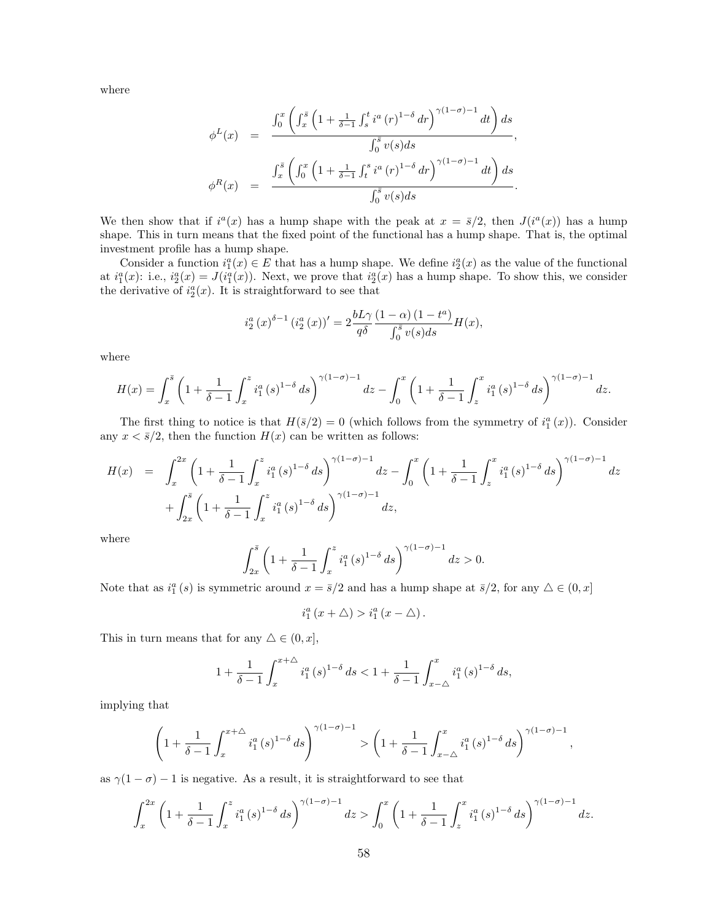where

$$
\phi^{L}(x) = \frac{\int_{0}^{x} \left( \int_{x}^{\bar{s}} \left( 1 + \frac{1}{\delta - 1} \int_{s}^{t} i^{a} (r)^{1-\delta} dr \right)^{\gamma(1-\sigma)-1} dt \right) ds}{\int_{0}^{\bar{s}} v(s) ds},
$$

$$
\phi^{R}(x) = \frac{\int_{x}^{\bar{s}} \left( \int_{0}^{x} \left( 1 + \frac{1}{\delta - 1} \int_{t}^{s} i^{a} (r)^{1-\delta} dr \right)^{\gamma(1-\sigma)-1} dt \right) ds}{\int_{0}^{\bar{s}} v(s) ds}.
$$

We then show that if  $i^a(x)$  has a hump shape with the peak at  $x = \frac{\bar{s}}{2}$ , then  $J(i^a(x))$  has a hump shape. This in turn means that the fixed point of the functional has a hump shape. That is, the optimal investment profile has a hump shape.

Consider a function  $i_1^a(x) \in E$  that has a hump shape. We define  $i_2^a(x)$  as the value of the functional at  $i_1^a(x)$ : i.e.,  $i_2^a(x) = J(i_1^a(x))$ . Next, we prove that  $i_2^a(x)$  has a hump shape. To show this, we consider the derivative of  $i_2^a(x)$ . It is straightforward to see that

$$
i_2^a(x)^{\delta-1} (i_2^a(x))' = 2 \frac{bL\gamma}{q\delta} \frac{(1-\alpha)(1-t^a)}{\int_0^s v(s)ds} H(x),
$$

where

$$
H(x) = \int_x^{\bar{s}} \left(1 + \frac{1}{\delta - 1} \int_x^x i_1^a(s)^{1-\delta} ds\right)^{\gamma(1-\sigma)-1} dz - \int_0^x \left(1 + \frac{1}{\delta - 1} \int_z^x i_1^a(s)^{1-\delta} ds\right)^{\gamma(1-\sigma)-1} dz.
$$

The first thing to notice is that  $H(\bar{s}/2) = 0$  (which follows from the symmetry of  $i_1^a(x)$ ). Consider any  $x < \bar{s}/2$ , then the function  $H(x)$  can be written as follows:

$$
H(x) = \int_{x}^{2x} \left(1 + \frac{1}{\delta - 1} \int_{x}^{z} i_1^a(s)^{1-\delta} ds\right)^{\gamma(1-\sigma)-1} dz - \int_{0}^{x} \left(1 + \frac{1}{\delta - 1} \int_{z}^{x} i_1^a(s)^{1-\delta} ds\right)^{\gamma(1-\sigma)-1} dz + \int_{2x}^{\bar{s}} \left(1 + \frac{1}{\delta - 1} \int_{x}^{z} i_1^a(s)^{1-\delta} ds\right)^{\gamma(1-\sigma)-1} dz,
$$

where

$$
\int_{2x}^{\bar{s}} \left(1 + \frac{1}{\delta - 1} \int_{x}^{z} i_1^a (s)^{1 - \delta} ds\right)^{\gamma (1 - \sigma) - 1} dz > 0.
$$

Note that as  $i_1^a(s)$  is symmetric around  $x = \overline{s}/2$  and has a hump shape at  $\overline{s}/2$ , for any  $\Delta \in (0, x]$ 

$$
i_1^a(x+\triangle) > i_1^a(x-\triangle).
$$

This in turn means that for any  $\triangle \in (0, x]$ ,

$$
1 + \frac{1}{\delta - 1} \int_{x}^{x + \Delta} i_1^a(s)^{1 - \delta} ds < 1 + \frac{1}{\delta - 1} \int_{x - \Delta}^{x} i_1^a(s)^{1 - \delta} ds,
$$

implying that

$$
\left(1+\frac{1}{\delta-1}\int_{x}^{x+\Delta}i_1^a(s)^{1-\delta}ds\right)^{\gamma(1-\sigma)-1}>\left(1+\frac{1}{\delta-1}\int_{x-\Delta}^{x}i_1^a(s)^{1-\delta}ds\right)^{\gamma(1-\sigma)-1},
$$

as  $\gamma(1-\sigma) - 1$  is negative. As a result, it is straightforward to see that

$$
\int_{x}^{2x} \left(1 + \frac{1}{\delta - 1} \int_{x}^{z} i_1^{a} (s)^{1-\delta} ds\right)^{\gamma(1-\sigma)-1} dz > \int_{0}^{x} \left(1 + \frac{1}{\delta - 1} \int_{z}^{x} i_1^{a} (s)^{1-\delta} ds\right)^{\gamma(1-\sigma)-1} dz.
$$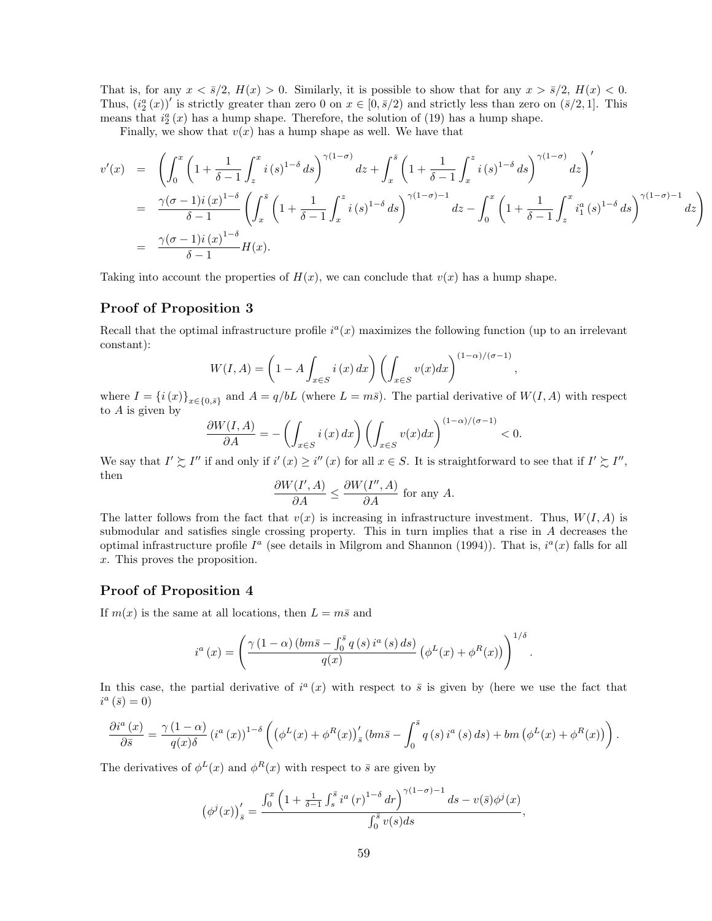That is, for any  $x < \overline{s}/2$ ,  $H(x) > 0$ . Similarly, it is possible to show that for any  $x > \overline{s}/2$ ,  $H(x) < 0$ . Thus,  $(i_2^a(x))'$  is strictly greater than zero 0 on  $x \in [0, \bar{s}/2)$  and strictly less than zero on  $(\bar{s}/2, 1]$ . This means that  $i_2^a(x)$  has a hump shape. Therefore, the solution of (19) has a hump shape.

Finally, we show that  $v(x)$  has a hump shape as well. We have that

$$
v'(x) = \left( \int_0^x \left( 1 + \frac{1}{\delta - 1} \int_z^x i(s)^{1-\delta} ds \right)^{\gamma(1-\sigma)} dz + \int_x^{\bar{s}} \left( 1 + \frac{1}{\delta - 1} \int_x^z i(s)^{1-\delta} ds \right)^{\gamma(1-\sigma)} dz \right)'
$$
  
\n
$$
= \frac{\gamma(\sigma - 1)i(x)^{1-\delta}}{\delta - 1} \left( \int_x^{\bar{s}} \left( 1 + \frac{1}{\delta - 1} \int_x^z i(s)^{1-\delta} ds \right)^{\gamma(1-\sigma)-1} dz - \int_0^x \left( 1 + \frac{1}{\delta - 1} \int_z^x i_1^a(s)^{1-\delta} ds \right)^{\gamma(1-\sigma)-1} dz \right)
$$
  
\n
$$
= \frac{\gamma(\sigma - 1)i(x)^{1-\delta}}{\delta - 1} H(x).
$$

,

Taking into account the properties of  $H(x)$ , we can conclude that  $v(x)$  has a hump shape.

## Proof of Proposition 3

Recall that the optimal infrastructure profile  $i^a(x)$  maximizes the following function (up to an irrelevant constant):

$$
W(I, A) = \left(1 - A \int_{x \in S} i(x) dx\right) \left(\int_{x \in S} v(x) dx\right)^{(1-\alpha)/(\sigma-1)}
$$

where  $I = \{i(x)\}_{x \in \{0,\bar{s}\}}$  and  $A = q/bL$  (where  $L = m\bar{s}$ ). The partial derivative of  $W(I, A)$  with respect to A is given by

$$
\frac{\partial W(I,A)}{\partial A} = -\left(\int_{x \in S} i(x) \, dx\right) \left(\int_{x \in S} v(x) \, dx\right)^{(1-\alpha)/(\sigma-1)} < 0.
$$

We say that  $I' \succeq I''$  if and only if  $i'(x) \ge i''(x)$  for all  $x \in S$ . It is straightforward to see that if  $I' \succeq I''$ , then

$$
\frac{\partial W(I',A)}{\partial A} \le \frac{\partial W(I'',A)}{\partial A} \text{ for any } A.
$$

The latter follows from the fact that  $v(x)$  is increasing in infrastructure investment. Thus,  $W(I, A)$  is submodular and satisfies single crossing property. This in turn implies that a rise in A decreases the optimal infrastructure profile  $I^a$  (see details in Milgrom and Shannon (1994)). That is,  $i^a(x)$  falls for all x. This proves the proposition.

## Proof of Proposition 4

If  $m(x)$  is the same at all locations, then  $L = m\bar{s}$  and

$$
i^{a}(x) = \left(\frac{\gamma(1-\alpha)(b m\bar{s} - \int_{0}^{\bar{s}} q(s) i^{a}(s) ds)}{q(x)} \left(\phi^{L}(x) + \phi^{R}(x)\right)\right)^{1/\delta}.
$$

In this case, the partial derivative of  $i^a(x)$  with respect to  $\bar{s}$  is given by (here we use the fact that  $i^a(\bar{s}) = 0$ 

$$
\frac{\partial i^{a}(x)}{\partial \bar{s}} = \frac{\gamma (1-\alpha)}{q(x)\delta} \left( i^{a}(x) \right)^{1-\delta} \left( \left( \phi^{L}(x) + \phi^{R}(x) \right)'_{\bar{s}} \left( b m \bar{s} - \int_{0}^{\bar{s}} q(s) i^{a}(s) ds \right) + b m \left( \phi^{L}(x) + \phi^{R}(x) \right) \right).
$$

The derivatives of  $\phi^L(x)$  and  $\phi^R(x)$  with respect to  $\bar{s}$  are given by

$$
\left(\phi^j(x)\right)'_{\bar{s}} = \frac{\int_0^x \left(1 + \frac{1}{\delta - 1} \int_s^{\bar{s}} i^a \left(r\right)^{1 - \delta} dr\right)^{\gamma(1 - \sigma) - 1} ds - v(\bar{s}) \phi^j(x)}{\int_0^{\bar{s}} v(s) ds},
$$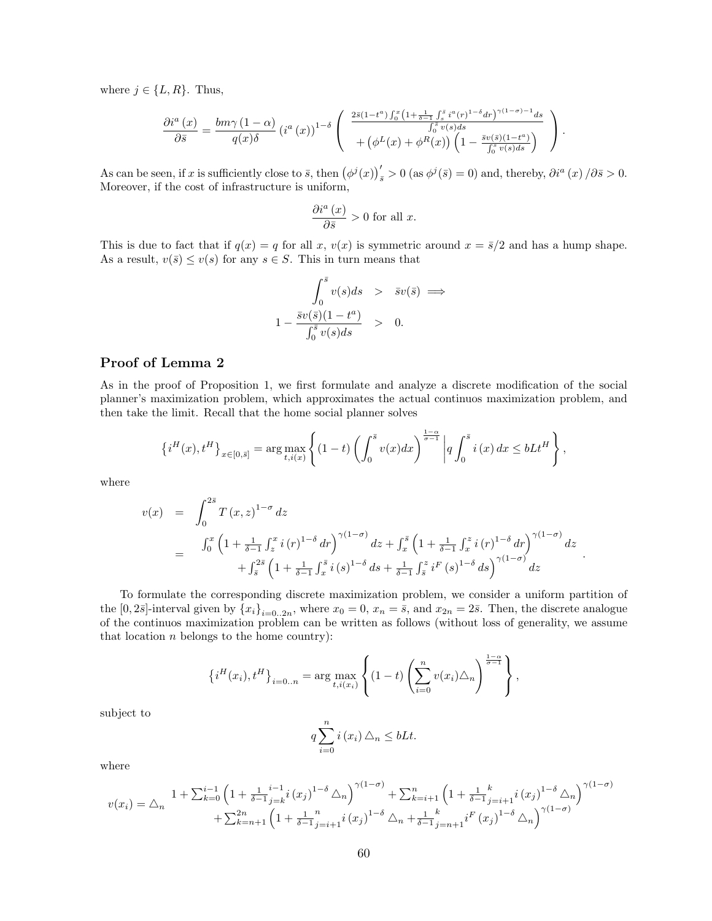where  $j \in \{L, R\}$ . Thus,

$$
\frac{\partial i^a(x)}{\partial \bar{s}} = \frac{bm\gamma (1-\alpha)}{q(x)\delta} \left( i^a(x) \right)^{1-\delta} \left( \frac{\frac{2\bar{s}(1-t^a)\int_0^x \left(1+\frac{1}{\delta-1}\int_s^{\bar{s}} i^a(r)^{1-\delta} dr\right)^{\gamma(1-\sigma)-1}ds}{\int_0^{\bar{s}} v(s)ds} + \left( \phi^L(x) + \phi^R(x) \right) \left(1 - \frac{\bar{s}v(\bar{s})(1-t^a)}{\int_0^{\bar{s}} v(s)ds} \right) \right).
$$

As can be seen, if x is sufficiently close to  $\bar{s}$ , then  $(\phi^j(x))'_{\bar{s}} > 0$  (as  $\phi^j(\bar{s}) = 0$ ) and, thereby,  $\partial i^a(x)/\partial \bar{s} > 0$ . Moreover, if the cost of infrastructure is uniform,

$$
\frac{\partial i^a(x)}{\partial \bar{s}} > 0 \text{ for all } x.
$$

This is due to fact that if  $q(x) = q$  for all x,  $v(x)$  is symmetric around  $x = \overline{s}/2$  and has a hump shape. As a result,  $v(\bar{s}) \le v(s)$  for any  $s \in S$ . This in turn means that

$$
\int_0^{\bar{s}} v(s)ds \quad > \quad \bar{s}v(\bar{s}) \implies \n1 - \frac{\bar{s}v(\bar{s})(1 - t^a)}{\int_0^{\bar{s}} v(s)ds} \quad > \quad 0.
$$

## Proof of Lemma 2

As in the proof of Proposition 1, we first formulate and analyze a discrete modification of the social planner's maximization problem, which approximates the actual continuos maximization problem, and then take the limit. Recall that the home social planner solves

$$
\left\{i^{H}(x), t^{H}\right\}_{x \in [0,\bar{s}]} = \arg \max_{t, i(x)} \left\{ (1-t) \left( \int_{0}^{\bar{s}} v(x) dx \right)^{\frac{1-\alpha}{\sigma-1}} \left| q \int_{0}^{\bar{s}} i(x) dx \leq bLt^{H} \right. \right\},\,
$$

where

$$
v(x) = \int_0^{2\bar{s}} T(x, z)^{1-\sigma} dz
$$
  
= 
$$
\int_0^x \left(1 + \frac{1}{\delta - 1} \int_z^x i(r)^{1-\delta} dr\right)^{\gamma(1-\sigma)} dz + \int_x^{\bar{s}} \left(1 + \frac{1}{\delta - 1} \int_x^z i(r)^{1-\delta} dr\right)^{\gamma(1-\sigma)} dz
$$
  
+ 
$$
\int_{\bar{s}}^{2\bar{s}} \left(1 + \frac{1}{\delta - 1} \int_x^{\bar{s}} i(s)^{1-\delta} ds + \frac{1}{\delta - 1} \int_{\bar{s}}^z i^F(s)^{1-\delta} ds\right)^{\gamma(1-\sigma)} dz
$$

.

,

To formulate the corresponding discrete maximization problem, we consider a uniform partition of the  $[0, 2\bar{s}]$ -interval given by  $\{x_i\}_{i=0..2n}$ , where  $x_0 = 0$ ,  $x_n = \bar{s}$ , and  $x_{2n} = 2\bar{s}$ . Then, the discrete analogue of the continuos maximization problem can be written as follows (without loss of generality, we assume that location  $n$  belongs to the home country):

$$
\left\{i^{H}(x_{i}), t^{H}\right\}_{i=0..n} = \arg \max_{t, i(x_{i})} \left\{ (1-t) \left( \sum_{i=0}^{n} v(x_{i}) \triangle_{n} \right)^{\frac{1-\alpha}{\sigma-1}} \right\}
$$

subject to

$$
q\sum_{i=0}^{n}i\left(x_{i}\right)\triangle_{n}\leq bLt.
$$

where

$$
v(x_i) = \triangle_n \frac{1 + \sum_{k=0}^{i-1} \left(1 + \frac{1}{\delta - 1} \sum_{j=k}^{i-1} i(x_j)^{1-\delta} \triangle_n\right)^{\gamma(1-\sigma)}}{1 + \sum_{k=n+1}^{2n} \left(1 + \frac{1}{\delta - 1} \sum_{j=i+1}^{n} i(x_j)^{1-\delta} \triangle_n + \frac{1}{\delta - 1} \sum_{j=i+1}^{k} i(x_j)^{1-\delta} \triangle_n\right)^{\gamma(1-\sigma)}} + \sum_{k=n+1}^{2n} \left(1 + \frac{1}{\delta - 1} \sum_{j=i+1}^{n} i(x_j)^{1-\delta} \triangle_n + \frac{1}{\delta - 1} \sum_{j=n+1}^{k} i(x_j)^{1-\delta} \triangle_n\right)^{\gamma(1-\sigma)}
$$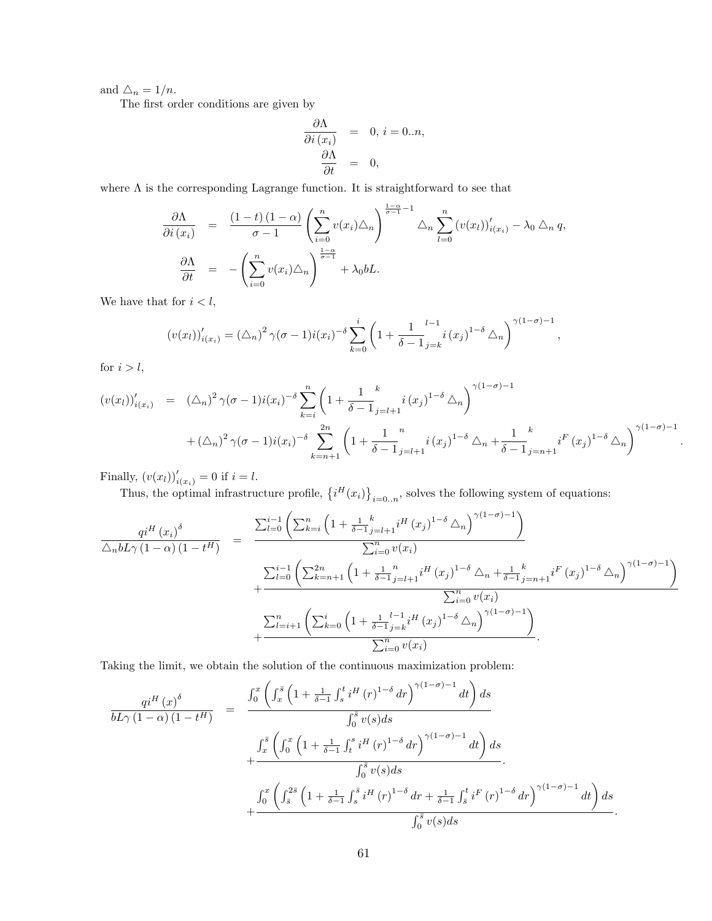and  $\Delta_n = 1/n$ .

The first order conditions are given by

$$
\begin{array}{rcl} \frac{\partial\Lambda}{\partial i\left(x_{i}\right)} & = & 0,\, i=0..n,\\ \frac{\partial\Lambda}{\partial t} & = & 0, \end{array}
$$

where  $\Lambda$  is the corresponding Lagrange function. It is straightforward to see that

$$
\frac{\partial \Lambda}{\partial i(x_i)} = \frac{(1-t)(1-\alpha)}{\sigma - 1} \left( \sum_{i=0}^n v(x_i) \Delta_n \right)^{\frac{1-\alpha}{\sigma - 1} - 1} \Delta_n \sum_{l=0}^n (v(x_l))'_{i(x_l)} - \lambda_0 \Delta_n q,
$$
  

$$
\frac{\partial \Lambda}{\partial t} = - \left( \sum_{i=0}^n v(x_i) \Delta_n \right)^{\frac{1-\alpha}{\sigma - 1}} + \lambda_0 bL.
$$

We have that for  $i < l$ ,

$$
(v(x_l))'_{i(x_i)} = (\triangle_n)^2 \gamma (\sigma - 1) i(x_i)^{-\delta} \sum_{k=0}^i \left(1 + \frac{1}{\delta - 1} \sum_{j=k}^{l-1} i(x_j)^{1-\delta} \triangle_n \right)^{\gamma (1-\sigma)-1},
$$

for  $i > l$ ,

$$
\begin{split} \left(v(x_l)\right)'_{i(x_i)} &= (\triangle_n)^2 \,\gamma(\sigma-1)i(x_i)^{-\delta} \sum_{k=i}^n \left(1 + \frac{1}{\delta-1} \sum_{j=l+1}^k i(x_j)^{1-\delta} \,\triangle_n\right)^{\gamma(1-\sigma)-1} \\ &+ (\triangle_n)^2 \,\gamma(\sigma-1)i(x_i)^{-\delta} \sum_{k=n+1}^{2n} \left(1 + \frac{1}{\delta-1} \sum_{j=l+1}^n i(x_j)^{1-\delta} \,\triangle_n + \frac{1}{\delta-1} \sum_{j=n+1}^k i^F(x_j)^{1-\delta} \,\triangle_n\right)^{\gamma(1-\sigma)-1} .\end{split}
$$

Finally,  $(v(x_l))'_{i(x_i)} = 0$  if  $i = l$ .

Thus, the optimal infrastructure profile,  $\{i^H(x_i)\}_{i=0..n}$ , solves the following system of equations:

$$
\frac{q i^{H}(x_{i})^{\delta}}{\Delta_{n} b L \gamma (1-\alpha) (1-t^{H})} = \frac{\sum_{l=0}^{i-1} \left( \sum_{k=i}^{n} \left( 1 + \frac{1}{\delta-1} \frac{k}{j-l+1} i^{H}(x_{j})^{1-\delta} \Delta_{n} \right)^{\gamma (1-\sigma)-1} \right)}{\sum_{i=0}^{n} v(x_{i})} + \frac{\sum_{l=0}^{i-1} \left( \sum_{k=n+1}^{2n} \left( 1 + \frac{1}{\delta-1} \frac{n}{j-l+1} i^{H}(x_{j})^{1-\delta} \Delta_{n} + \frac{1}{\delta-1} \frac{k}{j=n+1} i^{F}(x_{j})^{1-\delta} \Delta_{n} \right)^{\gamma (1-\sigma)-1} \right)}{\sum_{i=0}^{n} v(x_{i})} + \frac{\sum_{l=i+1}^{n} \left( \sum_{k=0}^{i} \left( 1 + \frac{1}{\delta-1} \frac{l-1}{j=k} i^{H}(x_{j})^{1-\delta} \Delta_{n} \right)^{\gamma (1-\sigma)-1} \right)}{\sum_{i=0}^{n} v(x_{i})}.
$$

Taking the limit, we obtain the solution of the continuous maximization problem:

$$
\frac{q i^{H}(x)^{\delta}}{b L \gamma (1-\alpha) (1-t^{H})} = \frac{\int_{0}^{x} \left( \int_{x}^{\bar{s}} \left( 1 + \frac{1}{\delta - 1} \int_{s}^{t} i^{H}(r)^{1-\delta} dr \right)^{\gamma (1-\sigma)-1} dt \right) ds}{\int_{0}^{\bar{s}} v(s) ds} + \frac{\int_{x}^{\bar{s}} \left( \int_{0}^{x} \left( 1 + \frac{1}{\delta - 1} \int_{t}^{s} i^{H}(r)^{1-\delta} dr \right)^{\gamma (1-\sigma)-1} dt \right) ds}{\int_{0}^{\bar{s}} v(s) ds} + \frac{\int_{0}^{x} \left( \int_{\bar{s}}^{2\bar{s}} \left( 1 + \frac{1}{\delta - 1} \int_{s}^{\bar{s}} i^{H}(r)^{1-\delta} dr + \frac{1}{\delta - 1} \int_{\bar{s}}^{t} i^{F}(r)^{1-\delta} dr \right)^{\gamma (1-\sigma)-1} dt \right) ds}{\int_{0}^{\bar{s}} v(s) ds}.
$$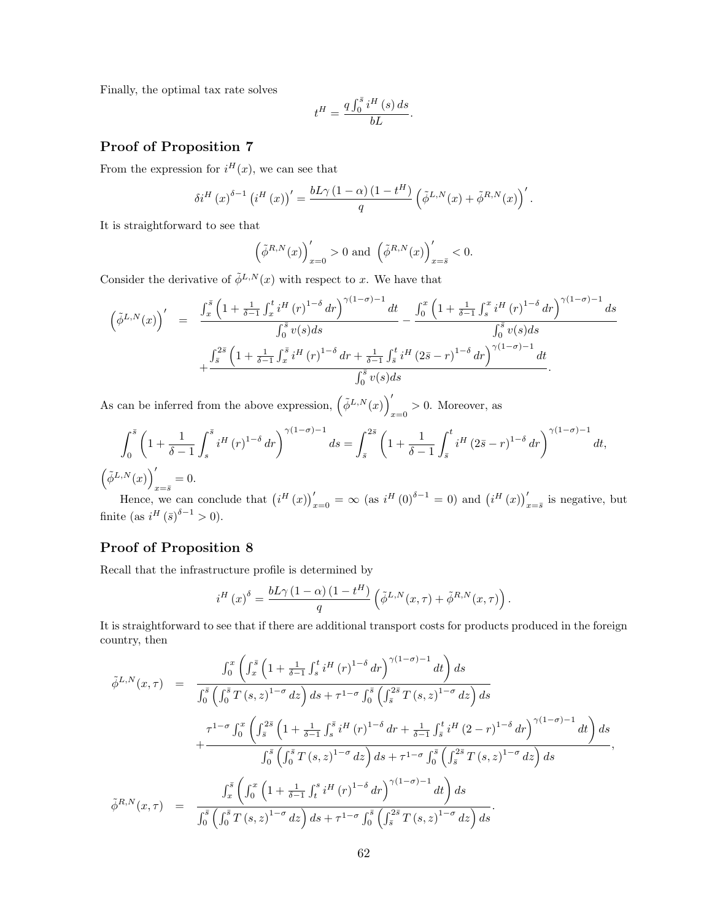Finally, the optimal tax rate solves

$$
t^H = \frac{q \int_0^{\bar{s}} i^H(s) \, ds}{bL}.
$$

## Proof of Proposition 7

From the expression for  $i^{H}(x)$ , we can see that

$$
\delta i^H\left(x\right)^{\delta-1}\left(i^H\left(x\right)\right)'=\frac{bL\gamma\left(1-\alpha\right)\left(1-t^H\right)}{q}\left(\tilde{\phi}^{L,N}(x)+\tilde{\phi}^{R,N}(x)\right)'.
$$

It is straightforward to see that

$$
\left(\tilde{\phi}^{R,N}(x)\right)_{x=0}' > 0 \text{ and } \left(\tilde{\phi}^{R,N}(x)\right)_{x=\bar{s}}' < 0.
$$

Consider the derivative of  $\tilde{\phi}^{L,N}(x)$  with respect to x. We have that

$$
\left(\tilde{\phi}^{L,N}(x)\right)' = \frac{\int_x^{\bar{s}} \left(1 + \frac{1}{\delta - 1} \int_x^t i^H(r)^{1-\delta} dr\right)^{\gamma(1-\sigma)-1} dt}{\int_0^{\bar{s}} v(s) ds} - \frac{\int_0^x \left(1 + \frac{1}{\delta - 1} \int_s^x i^H(r)^{1-\delta} dr\right)^{\gamma(1-\sigma)-1} ds}{\int_0^{\bar{s}} v(s) ds} + \frac{\int_s^{2\bar{s}} \left(1 + \frac{1}{\delta - 1} \int_x^{\bar{s}} i^H(r)^{1-\delta} dr + \frac{1}{\delta - 1} \int_s^t i^H (2\bar{s} - r)^{1-\delta} dr\right)^{\gamma(1-\sigma)-1} dt}{\int_0^{\bar{s}} v(s) ds}.
$$

As can be inferred from the above expression,  $(\tilde{\phi}^{L,N}(x))'$  $x=0$  > 0. Moreover, as

$$
\int_0^{\bar{s}} \left( 1 + \frac{1}{\delta - 1} \int_s^{\bar{s}} i^H(r)^{1 - \delta} dr \right)^{\gamma (1 - \sigma) - 1} ds = \int_{\bar{s}}^{2\bar{s}} \left( 1 + \frac{1}{\delta - 1} \int_{\bar{s}}^t i^H (2\bar{s} - r)^{1 - \delta} dr \right)^{\gamma (1 - \sigma) - 1} dt,
$$
  

$$
\left( \tilde{\phi}^{L, N}(x) \right)'_{x = \bar{s}} = 0.
$$

Hence, we can conclude that  $(i^H(x))'_{x=0} = \infty$  (as  $i^H(0)^{\delta-1} = 0$ ) and  $(i^H(x))'_{x=\bar{s}}$  is negative, but finite (as  $i^H(\bar{s})^{\delta-1} > 0$ ).

## Proof of Proposition 8

Recall that the infrastructure profile is determined by

$$
i^H(x)^{\delta} = \frac{bL\gamma (1-\alpha) (1-t^H)}{q} \left( \tilde{\phi}^{L,N}(x,\tau) + \tilde{\phi}^{R,N}(x,\tau) \right).
$$

It is straightforward to see that if there are additional transport costs for products produced in the foreign country, then

$$
\tilde{\phi}^{L,N}(x,\tau) = \frac{\int_0^x \left( \int_x^{\bar{s}} \left( 1 + \frac{1}{\delta - 1} \int_s^t i^H(r)^{1-\delta} dr \right)^{\gamma(1-\sigma)-1} dt \right) ds}{\int_0^{\bar{s}} \left( \int_0^{\bar{s}} T(s, z)^{1-\sigma} dz \right) ds + \tau^{1-\sigma} \int_0^{\bar{s}} \left( \int_s^{2\bar{s}} T(s, z)^{1-\sigma} dz \right) ds} + \frac{\tau^{1-\sigma} \int_0^x \left( \int_s^{2\bar{s}} \left( 1 + \frac{1}{\delta - 1} \int_s^{\bar{s}} i^H(r)^{1-\delta} dr + \frac{1}{\delta - 1} \int_s^t i^H (2 - r)^{1-\delta} dr \right)^{\gamma(1-\sigma)-1} dt \right) ds}{\int_0^{\bar{s}} \left( \int_0^{\bar{s}} T(s, z)^{1-\sigma} dz \right) ds + \tau^{1-\sigma} \int_0^{\bar{s}} \left( \int_s^{2\bar{s}} T(s, z)^{1-\sigma} dz \right) ds} ,
$$
  

$$
\tilde{\phi}^{R,N}(x,\tau) = \frac{\int_x^{\bar{s}} \left( \int_0^x \left( 1 + \frac{1}{\delta - 1} \int_t^s i^H(r)^{1-\delta} dr \right)^{\gamma(1-\sigma)-1} dt \right) ds}{\int_0^{\bar{s}} \left( \int_0^{\bar{s}} T(s, z)^{1-\sigma} dz \right) ds + \tau^{1-\sigma} \int_0^{\bar{s}} \left( \int_s^{2\bar{s}} T(s, z)^{1-\sigma} dz \right) ds}.
$$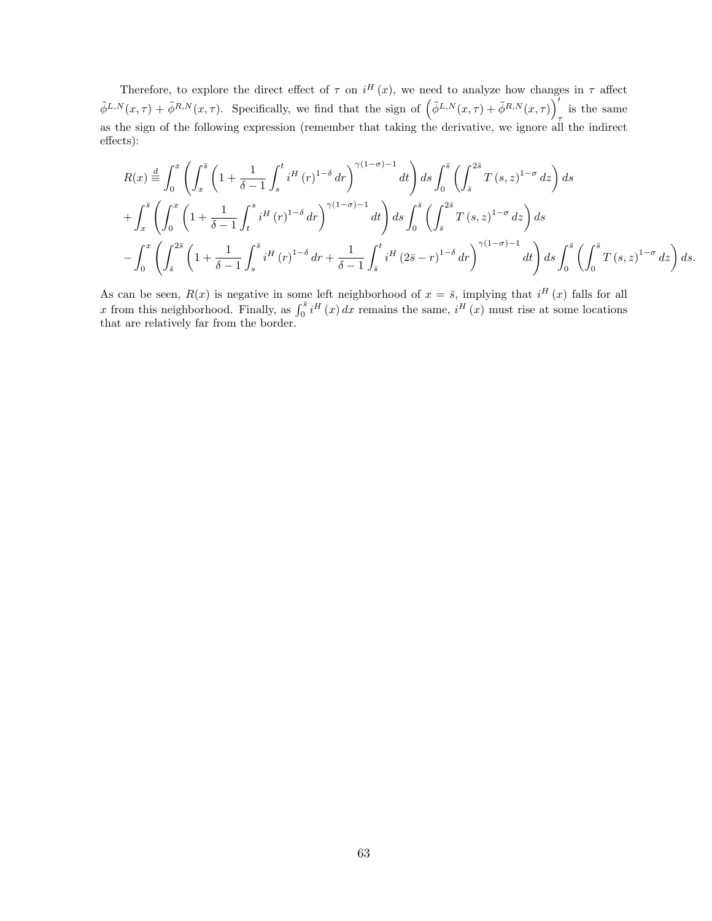Therefore, to explore the direct effect of  $\tau$  on  $i^H(x)$ , we need to analyze how changes in  $\tau$  affect  $\tilde{\phi}^{L,N}(x,\tau) + \tilde{\phi}^{R,N}(x,\tau)$ . Specifically, we find that the sign of  $(\tilde{\phi}^{L,N}(x,\tau) + \tilde{\phi}^{R,N}(x,\tau))$ is the same as the sign of the following expression (remember that taking the derivative, we ignore all the indirect effects):

$$
R(x) \stackrel{d}{=} \int_0^x \left( \int_x^{\bar{s}} \left( 1 + \frac{1}{\delta - 1} \int_s^t i^H (r)^{1 - \delta} dr \right)^{\gamma (1 - \sigma) - 1} dt \right) ds \int_0^{\bar{s}} \left( \int_s^{2\bar{s}} T(s, z)^{1 - \sigma} dz \right) ds
$$
  
+ 
$$
\int_x^{\bar{s}} \left( \int_0^x \left( 1 + \frac{1}{\delta - 1} \int_t^s i^H (r)^{1 - \delta} dr \right)^{\gamma (1 - \sigma) - 1} dt \right) ds \int_0^{\bar{s}} \left( \int_s^{2\bar{s}} T(s, z)^{1 - \sigma} dz \right) ds
$$
  
- 
$$
\int_0^x \left( \int_{\bar{s}}^{2\bar{s}} \left( 1 + \frac{1}{\delta - 1} \int_s^{\bar{s}} i^H (r)^{1 - \delta} dr + \frac{1}{\delta - 1} \int_{\bar{s}}^t i^H (2\bar{s} - r)^{1 - \delta} dr \right)^{\gamma (1 - \sigma) - 1} dt \right) ds \int_0^{\bar{s}} \left( \int_0^{\bar{s}} T(s, z)^{1 - \sigma} dz \right) ds.
$$

As can be seen,  $R(x)$  is negative in some left neighborhood of  $x = \overline{s}$ , implying that  $i^H(x)$  falls for all x from this neighborhood. Finally, as  $\int_0^{\bar{s}} i^H(x) dx$  remains the same,  $i^H(x)$  must rise at some locations that are relatively far from the border.